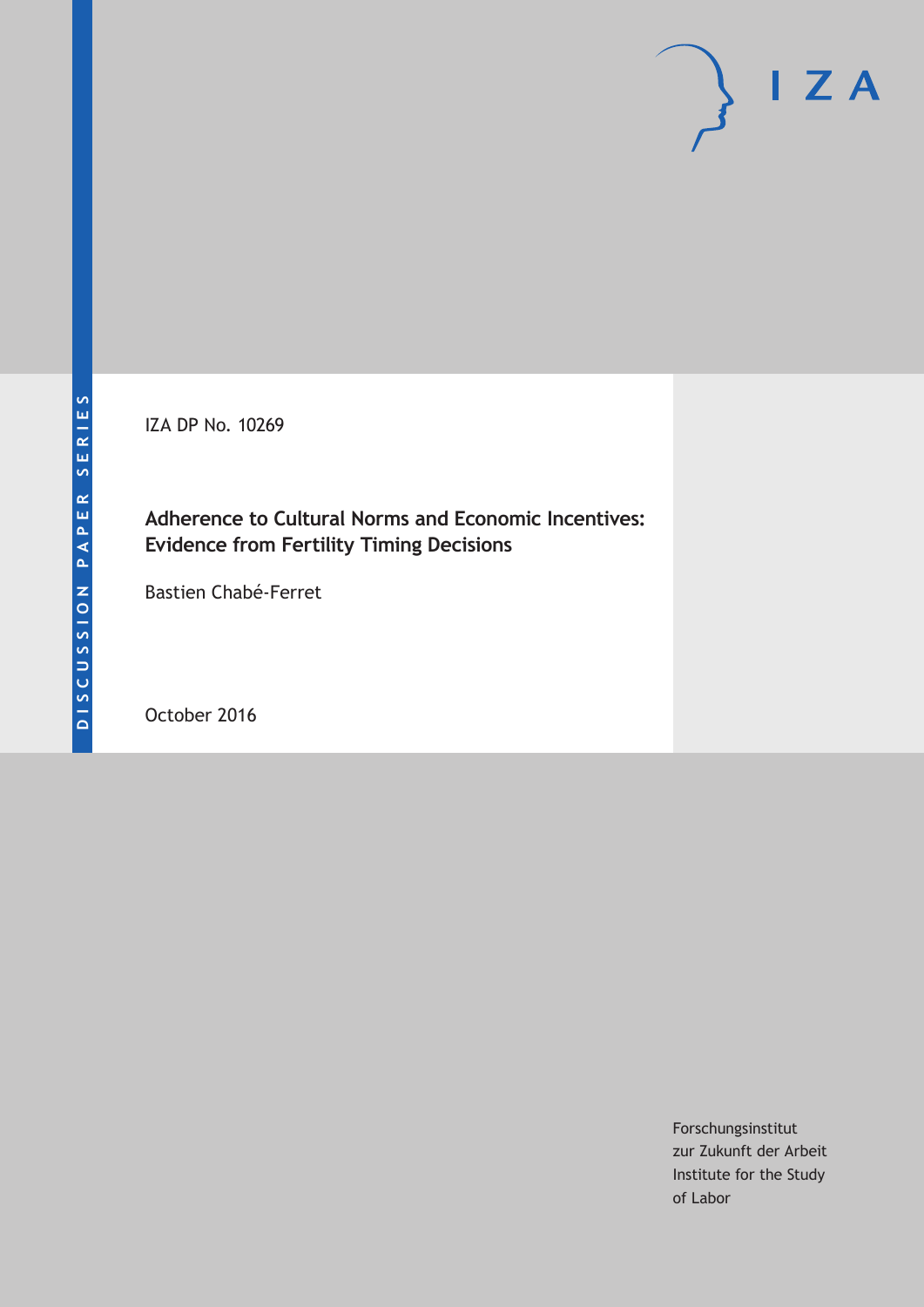IZA DP No. 10269

## **Adherence to Cultural Norms and Economic Incentives: Evidence from Fertility Timing Decisions**

Bastien Chabé-Ferret

October 2016

Forschungsinstitut zur Zukunft der Arbeit Institute for the Study of Labor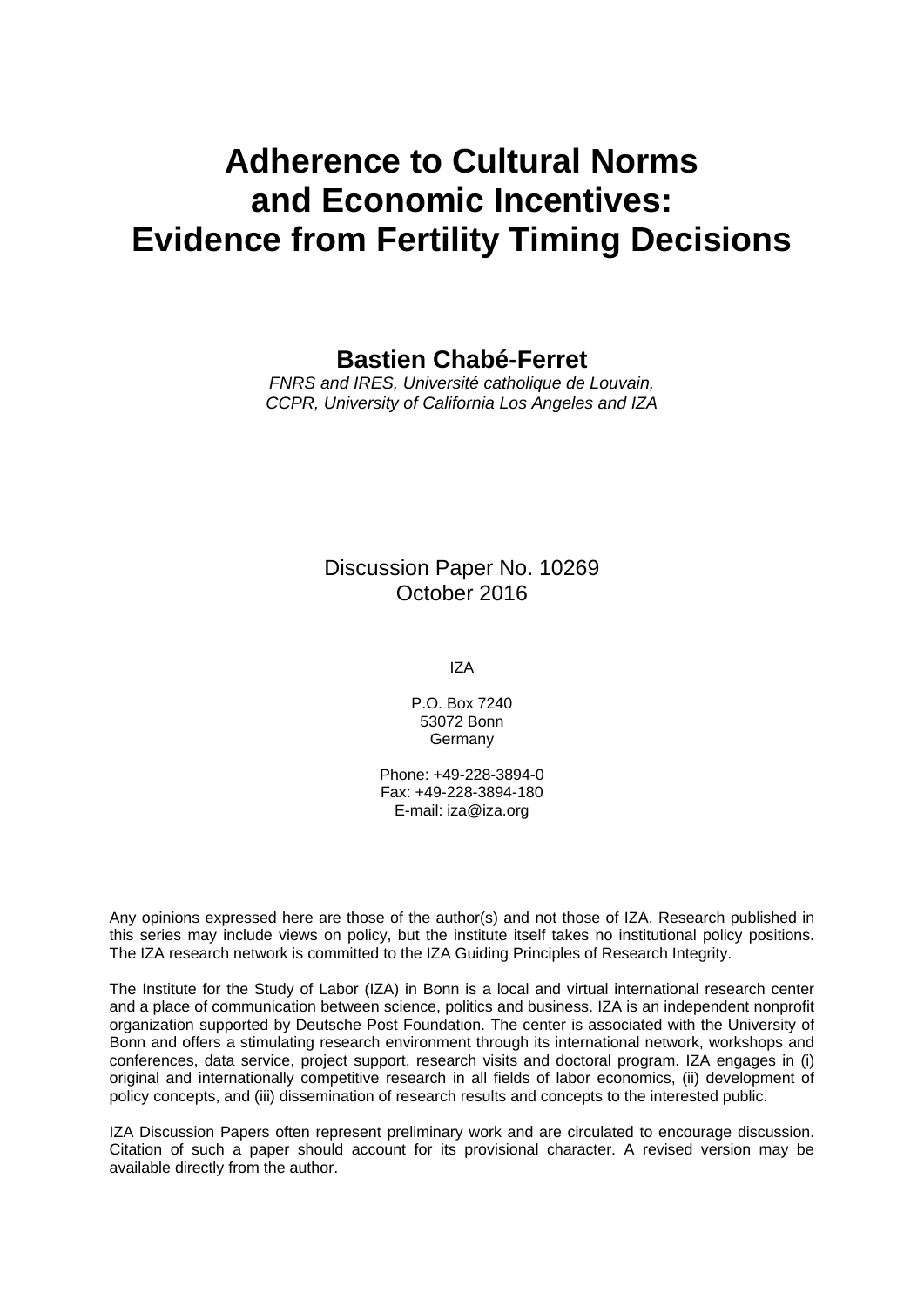# **Adherence to Cultural Norms and Economic Incentives: Evidence from Fertility Timing Decisions**

**Bastien Chabé-Ferret** 

*FNRS and IRES, Université catholique de Louvain, CCPR, University of California Los Angeles and IZA* 

### Discussion Paper No. 10269 October 2016

IZA

P.O. Box 7240 53072 Bonn Germany

Phone: +49-228-3894-0 Fax: +49-228-3894-180 E-mail: iza@iza.org

Any opinions expressed here are those of the author(s) and not those of IZA. Research published in this series may include views on policy, but the institute itself takes no institutional policy positions. The IZA research network is committed to the IZA Guiding Principles of Research Integrity.

The Institute for the Study of Labor (IZA) in Bonn is a local and virtual international research center and a place of communication between science, politics and business. IZA is an independent nonprofit organization supported by Deutsche Post Foundation. The center is associated with the University of Bonn and offers a stimulating research environment through its international network, workshops and conferences, data service, project support, research visits and doctoral program. IZA engages in (i) original and internationally competitive research in all fields of labor economics, (ii) development of policy concepts, and (iii) dissemination of research results and concepts to the interested public.

IZA Discussion Papers often represent preliminary work and are circulated to encourage discussion. Citation of such a paper should account for its provisional character. A revised version may be available directly from the author.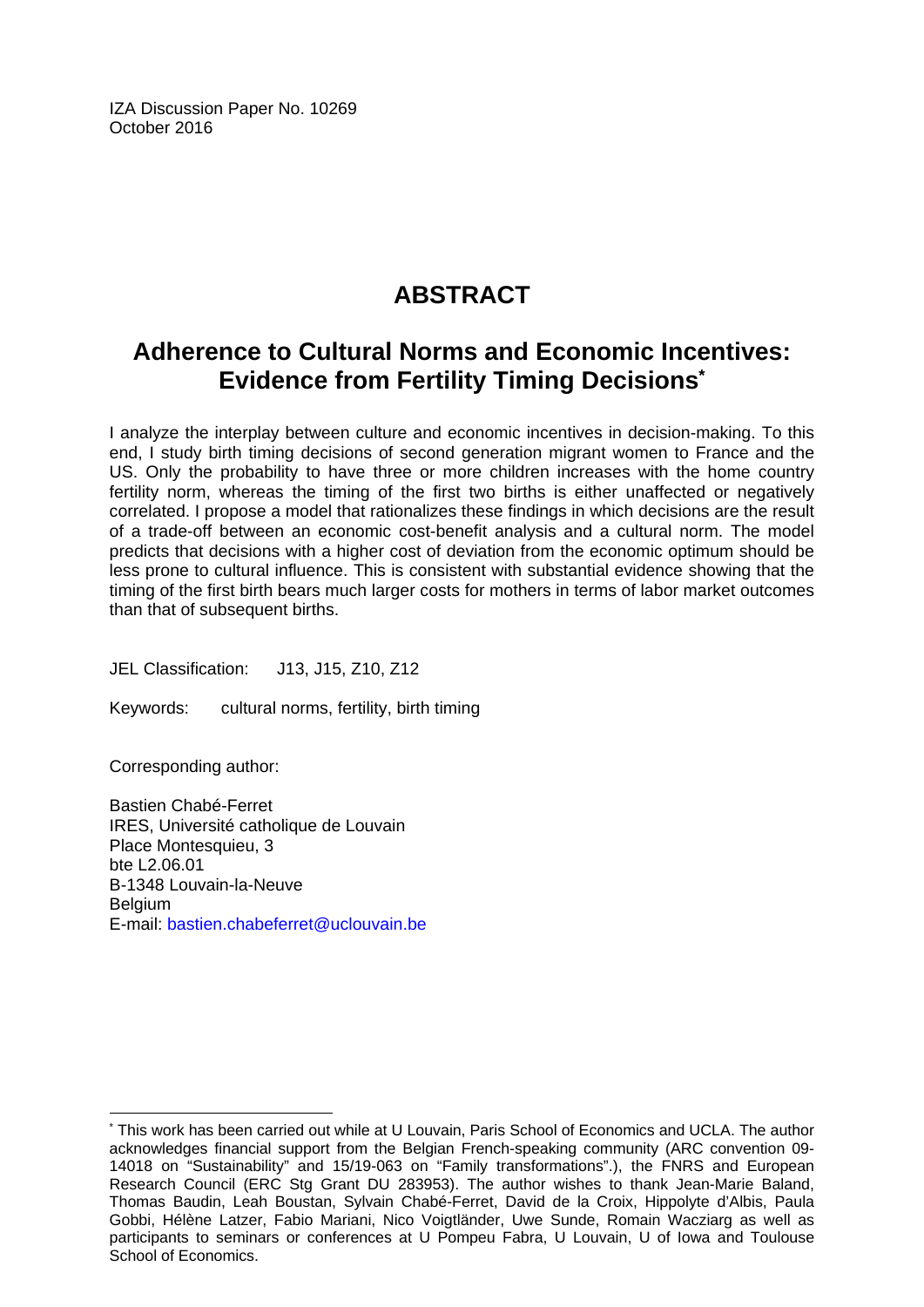IZA Discussion Paper No. 10269 October 2016

## **ABSTRACT**

## **Adherence to Cultural Norms and Economic Incentives: Evidence from Fertility Timing Decisions\***

I analyze the interplay between culture and economic incentives in decision-making. To this end, I study birth timing decisions of second generation migrant women to France and the US. Only the probability to have three or more children increases with the home country fertility norm, whereas the timing of the first two births is either unaffected or negatively correlated. I propose a model that rationalizes these findings in which decisions are the result of a trade-off between an economic cost-benefit analysis and a cultural norm. The model predicts that decisions with a higher cost of deviation from the economic optimum should be less prone to cultural influence. This is consistent with substantial evidence showing that the timing of the first birth bears much larger costs for mothers in terms of labor market outcomes than that of subsequent births.

JEL Classification: J13, J15, Z10, Z12

Keywords: cultural norms, fertility, birth timing

Corresponding author:

 $\overline{\phantom{a}}$ 

Bastien Chabé-Ferret IRES, Université catholique de Louvain Place Montesquieu, 3 bte L2.06.01 B-1348 Louvain-la-Neuve Belgium E-mail: bastien.chabeferret@uclouvain.be

<sup>\*</sup> This work has been carried out while at U Louvain, Paris School of Economics and UCLA. The author acknowledges financial support from the Belgian French-speaking community (ARC convention 09- 14018 on "Sustainability" and 15/19-063 on "Family transformations".), the FNRS and European Research Council (ERC Stg Grant DU 283953). The author wishes to thank Jean-Marie Baland, Thomas Baudin, Leah Boustan, Sylvain Chabé-Ferret, David de la Croix, Hippolyte d'Albis, Paula Gobbi, Hélène Latzer, Fabio Mariani, Nico Voigtländer, Uwe Sunde, Romain Wacziarg as well as participants to seminars or conferences at U Pompeu Fabra, U Louvain, U of Iowa and Toulouse School of Economics.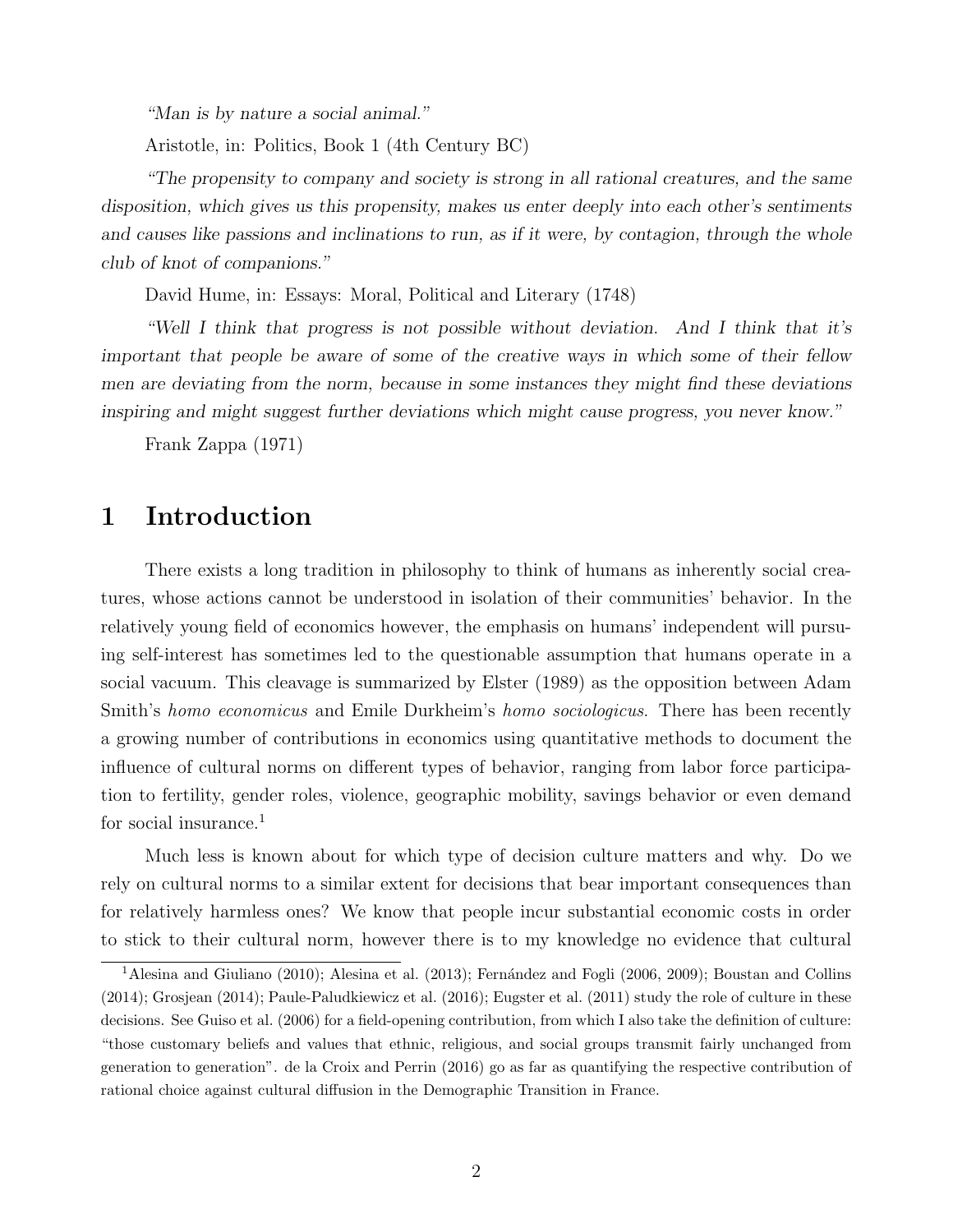"Man is by nature a social animal."

Aristotle, in: Politics, Book 1 (4th Century BC)

"The propensity to company and society is strong in all rational creatures, and the same disposition, which gives us this propensity, makes us enter deeply into each other's sentiments and causes like passions and inclinations to run, as if it were, by contagion, through the whole club of knot of companions."

David Hume, in: Essays: Moral, Political and Literary (1748)

"Well I think that progress is not possible without deviation. And I think that it's important that people be aware of some of the creative ways in which some of their fellow men are deviating from the norm, because in some instances they might find these deviations inspiring and might suggest further deviations which might cause progress, you never know."

Frank Zappa (1971)

## 1 Introduction

There exists a long tradition in philosophy to think of humans as inherently social creatures, whose actions cannot be understood in isolation of their communities' behavior. In the relatively young field of economics however, the emphasis on humans' independent will pursuing self-interest has sometimes led to the questionable assumption that humans operate in a social vacuum. This cleavage is summarized by Elster (1989) as the opposition between Adam Smith's homo economicus and Emile Durkheim's homo sociologicus. There has been recently a growing number of contributions in economics using quantitative methods to document the influence of cultural norms on different types of behavior, ranging from labor force participation to fertility, gender roles, violence, geographic mobility, savings behavior or even demand for social insurance.<sup>1</sup>

Much less is known about for which type of decision culture matters and why. Do we rely on cultural norms to a similar extent for decisions that bear important consequences than for relatively harmless ones? We know that people incur substantial economic costs in order to stick to their cultural norm, however there is to my knowledge no evidence that cultural

 $1$ Alesina and Giuliano (2010); Alesina et al. (2013); Fernández and Fogli (2006, 2009); Boustan and Collins (2014); Grosjean (2014); Paule-Paludkiewicz et al. (2016); Eugster et al. (2011) study the role of culture in these decisions. See Guiso et al. (2006) for a field-opening contribution, from which I also take the definition of culture: "those customary beliefs and values that ethnic, religious, and social groups transmit fairly unchanged from generation to generation". de la Croix and Perrin (2016) go as far as quantifying the respective contribution of rational choice against cultural diffusion in the Demographic Transition in France.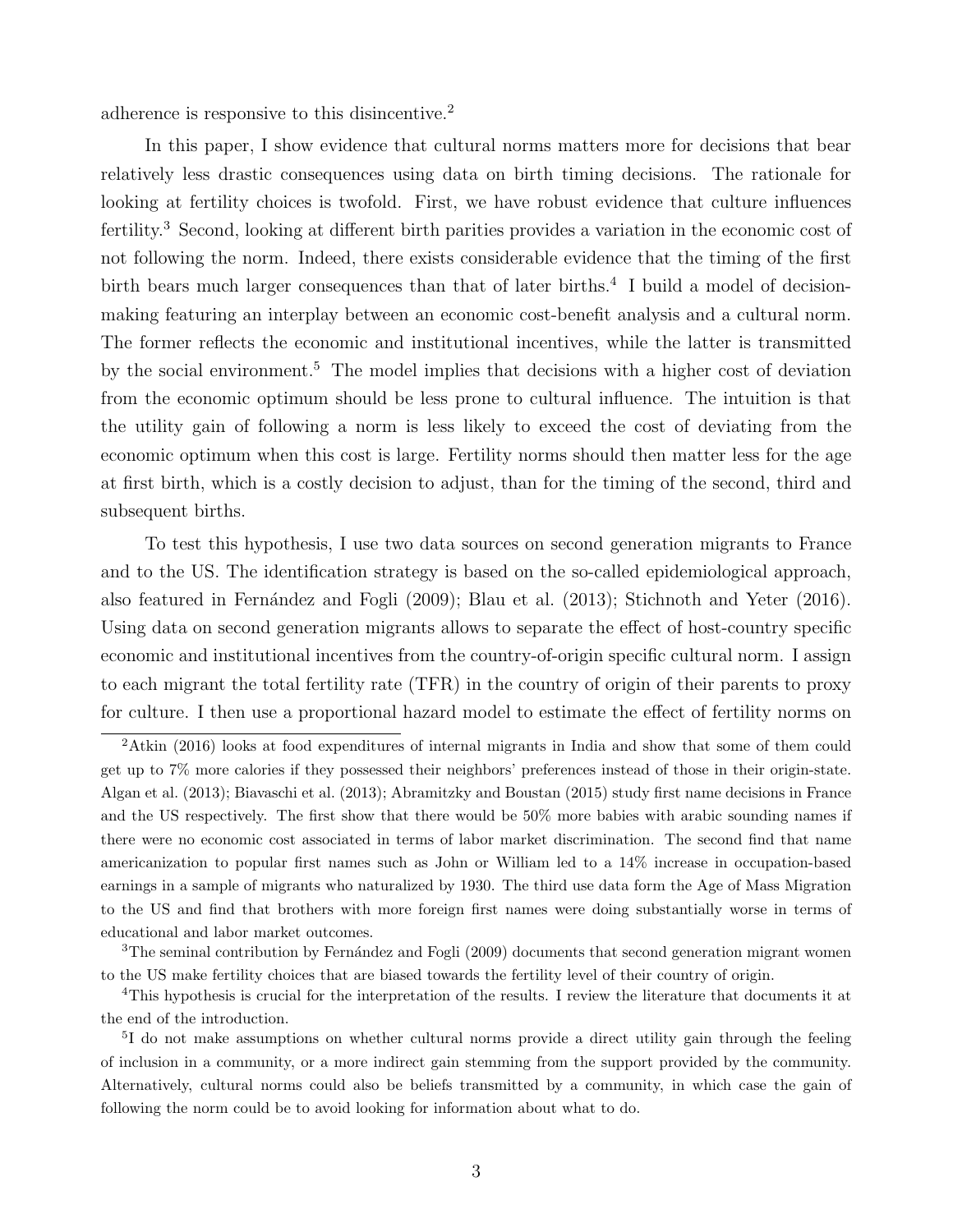adherence is responsive to this disincentive.<sup>2</sup>

In this paper, I show evidence that cultural norms matters more for decisions that bear relatively less drastic consequences using data on birth timing decisions. The rationale for looking at fertility choices is twofold. First, we have robust evidence that culture influences fertility.<sup>3</sup> Second, looking at different birth parities provides a variation in the economic cost of not following the norm. Indeed, there exists considerable evidence that the timing of the first birth bears much larger consequences than that of later births.<sup>4</sup> I build a model of decisionmaking featuring an interplay between an economic cost-benefit analysis and a cultural norm. The former reflects the economic and institutional incentives, while the latter is transmitted by the social environment.<sup>5</sup> The model implies that decisions with a higher cost of deviation from the economic optimum should be less prone to cultural influence. The intuition is that the utility gain of following a norm is less likely to exceed the cost of deviating from the economic optimum when this cost is large. Fertility norms should then matter less for the age at first birth, which is a costly decision to adjust, than for the timing of the second, third and subsequent births.

To test this hypothesis, I use two data sources on second generation migrants to France and to the US. The identification strategy is based on the so-called epidemiological approach, also featured in Fernández and Fogli (2009); Blau et al. (2013); Stichnoth and Yeter (2016). Using data on second generation migrants allows to separate the effect of host-country specific economic and institutional incentives from the country-of-origin specific cultural norm. I assign to each migrant the total fertility rate (TFR) in the country of origin of their parents to proxy for culture. I then use a proportional hazard model to estimate the effect of fertility norms on

<sup>2</sup>Atkin (2016) looks at food expenditures of internal migrants in India and show that some of them could get up to 7% more calories if they possessed their neighbors' preferences instead of those in their origin-state. Algan et al. (2013); Biavaschi et al. (2013); Abramitzky and Boustan (2015) study first name decisions in France and the US respectively. The first show that there would be 50% more babies with arabic sounding names if there were no economic cost associated in terms of labor market discrimination. The second find that name americanization to popular first names such as John or William led to a 14% increase in occupation-based earnings in a sample of migrants who naturalized by 1930. The third use data form the Age of Mass Migration to the US and find that brothers with more foreign first names were doing substantially worse in terms of educational and labor market outcomes.

 $3$ The seminal contribution by Fernández and Fogli (2009) documents that second generation migrant women to the US make fertility choices that are biased towards the fertility level of their country of origin.

<sup>4</sup>This hypothesis is crucial for the interpretation of the results. I review the literature that documents it at the end of the introduction.

<sup>&</sup>lt;sup>5</sup>I do not make assumptions on whether cultural norms provide a direct utility gain through the feeling of inclusion in a community, or a more indirect gain stemming from the support provided by the community. Alternatively, cultural norms could also be beliefs transmitted by a community, in which case the gain of following the norm could be to avoid looking for information about what to do.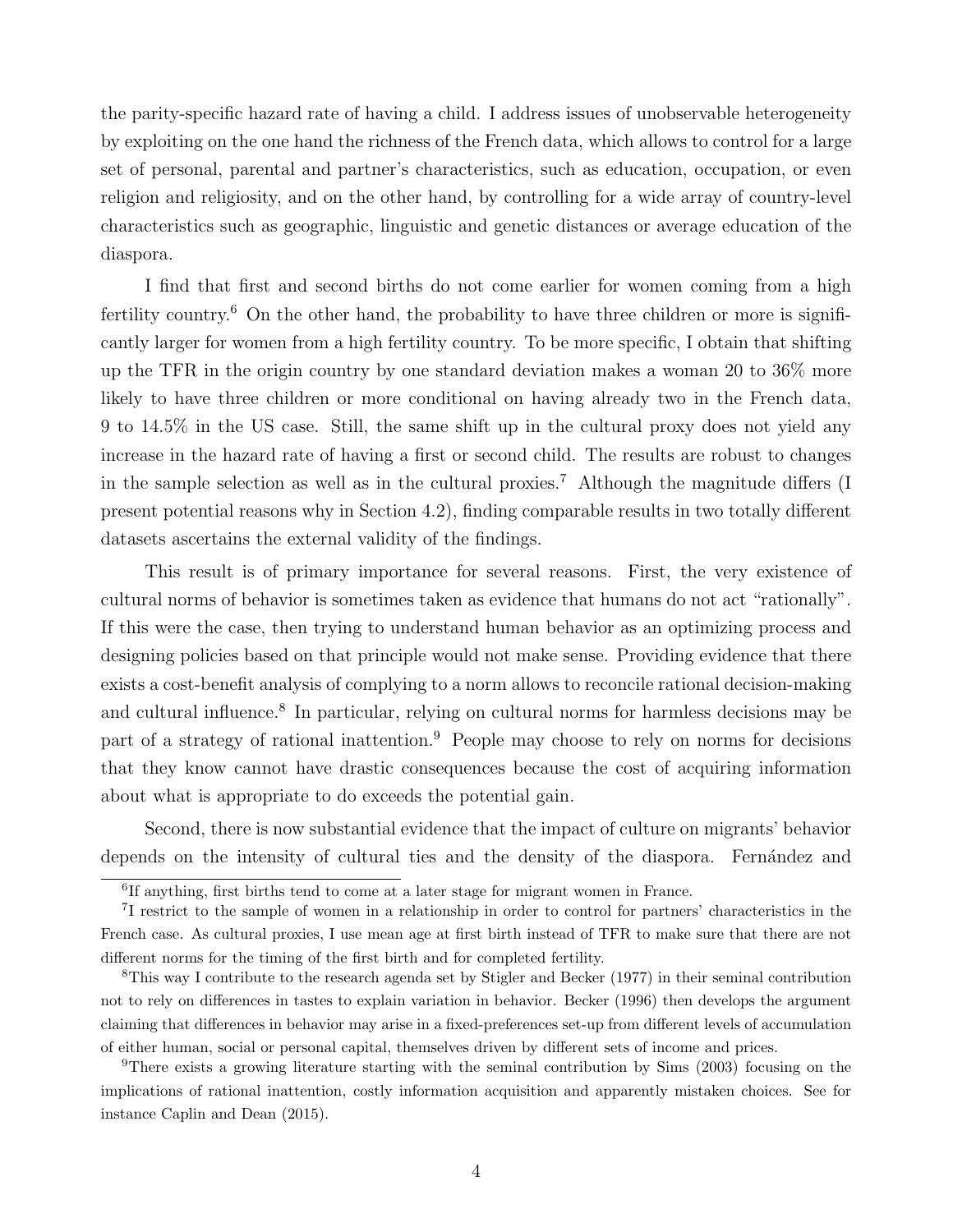the parity-specific hazard rate of having a child. I address issues of unobservable heterogeneity by exploiting on the one hand the richness of the French data, which allows to control for a large set of personal, parental and partner's characteristics, such as education, occupation, or even religion and religiosity, and on the other hand, by controlling for a wide array of country-level characteristics such as geographic, linguistic and genetic distances or average education of the diaspora.

I find that first and second births do not come earlier for women coming from a high fertility country.<sup>6</sup> On the other hand, the probability to have three children or more is significantly larger for women from a high fertility country. To be more specific, I obtain that shifting up the TFR in the origin country by one standard deviation makes a woman 20 to 36% more likely to have three children or more conditional on having already two in the French data, 9 to 14.5% in the US case. Still, the same shift up in the cultural proxy does not yield any increase in the hazard rate of having a first or second child. The results are robust to changes in the sample selection as well as in the cultural proxies.<sup>7</sup> Although the magnitude differs (I present potential reasons why in Section 4.2), finding comparable results in two totally different datasets ascertains the external validity of the findings.

This result is of primary importance for several reasons. First, the very existence of cultural norms of behavior is sometimes taken as evidence that humans do not act "rationally". If this were the case, then trying to understand human behavior as an optimizing process and designing policies based on that principle would not make sense. Providing evidence that there exists a cost-benefit analysis of complying to a norm allows to reconcile rational decision-making and cultural influence.<sup>8</sup> In particular, relying on cultural norms for harmless decisions may be part of a strategy of rational inattention.<sup>9</sup> People may choose to rely on norms for decisions that they know cannot have drastic consequences because the cost of acquiring information about what is appropriate to do exceeds the potential gain.

Second, there is now substantial evidence that the impact of culture on migrants' behavior depends on the intensity of cultural ties and the density of the diaspora. Fernández and

<sup>9</sup>There exists a growing literature starting with the seminal contribution by Sims (2003) focusing on the implications of rational inattention, costly information acquisition and apparently mistaken choices. See for instance Caplin and Dean (2015).

<sup>&</sup>lt;sup>6</sup>If anything, first births tend to come at a later stage for migrant women in France.

<sup>7</sup> I restrict to the sample of women in a relationship in order to control for partners' characteristics in the French case. As cultural proxies, I use mean age at first birth instead of TFR to make sure that there are not different norms for the timing of the first birth and for completed fertility.

<sup>8</sup>This way I contribute to the research agenda set by Stigler and Becker (1977) in their seminal contribution not to rely on differences in tastes to explain variation in behavior. Becker (1996) then develops the argument claiming that differences in behavior may arise in a fixed-preferences set-up from different levels of accumulation of either human, social or personal capital, themselves driven by different sets of income and prices.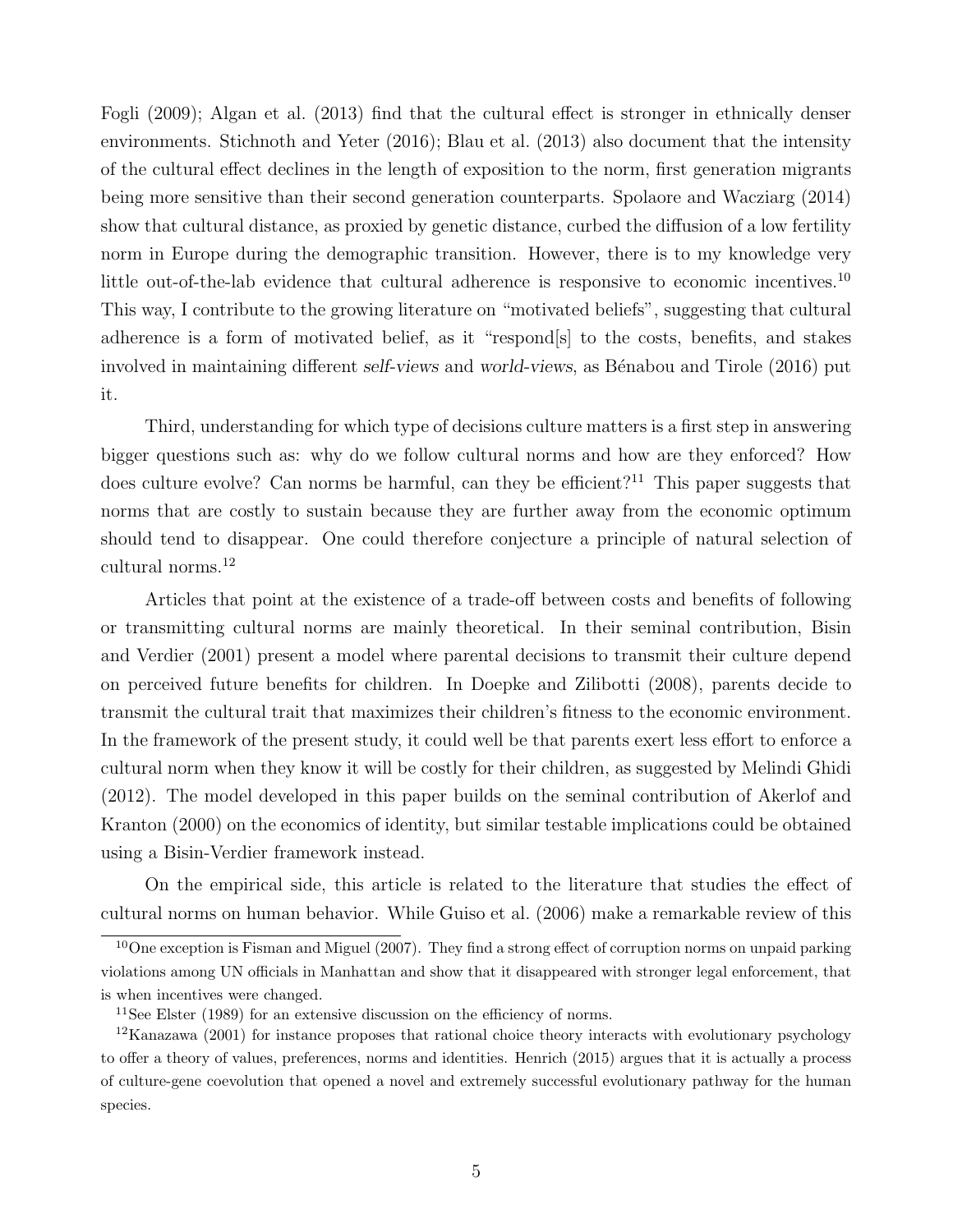Fogli (2009); Algan et al. (2013) find that the cultural effect is stronger in ethnically denser environments. Stichnoth and Yeter (2016); Blau et al. (2013) also document that the intensity of the cultural effect declines in the length of exposition to the norm, first generation migrants being more sensitive than their second generation counterparts. Spolaore and Wacziarg (2014) show that cultural distance, as proxied by genetic distance, curbed the diffusion of a low fertility norm in Europe during the demographic transition. However, there is to my knowledge very little out-of-the-lab evidence that cultural adherence is responsive to economic incentives.<sup>10</sup> This way, I contribute to the growing literature on "motivated beliefs", suggesting that cultural adherence is a form of motivated belief, as it "respond[s] to the costs, benefits, and stakes involved in maintaining different self-views and world-views, as Bénabou and Tirole (2016) put it.

Third, understanding for which type of decisions culture matters is a first step in answering bigger questions such as: why do we follow cultural norms and how are they enforced? How does culture evolve? Can norms be harmful, can they be efficient?<sup>11</sup> This paper suggests that norms that are costly to sustain because they are further away from the economic optimum should tend to disappear. One could therefore conjecture a principle of natural selection of cultural norms.<sup>12</sup>

Articles that point at the existence of a trade-off between costs and benefits of following or transmitting cultural norms are mainly theoretical. In their seminal contribution, Bisin and Verdier (2001) present a model where parental decisions to transmit their culture depend on perceived future benefits for children. In Doepke and Zilibotti (2008), parents decide to transmit the cultural trait that maximizes their children's fitness to the economic environment. In the framework of the present study, it could well be that parents exert less effort to enforce a cultural norm when they know it will be costly for their children, as suggested by Melindi Ghidi (2012). The model developed in this paper builds on the seminal contribution of Akerlof and Kranton (2000) on the economics of identity, but similar testable implications could be obtained using a Bisin-Verdier framework instead.

On the empirical side, this article is related to the literature that studies the effect of cultural norms on human behavior. While Guiso et al. (2006) make a remarkable review of this

<sup>10</sup>One exception is Fisman and Miguel (2007). They find a strong effect of corruption norms on unpaid parking violations among UN officials in Manhattan and show that it disappeared with stronger legal enforcement, that is when incentives were changed.

 $11$ See Elster (1989) for an extensive discussion on the efficiency of norms.

 $12$ Kanazawa (2001) for instance proposes that rational choice theory interacts with evolutionary psychology to offer a theory of values, preferences, norms and identities. Henrich (2015) argues that it is actually a process of culture-gene coevolution that opened a novel and extremely successful evolutionary pathway for the human species.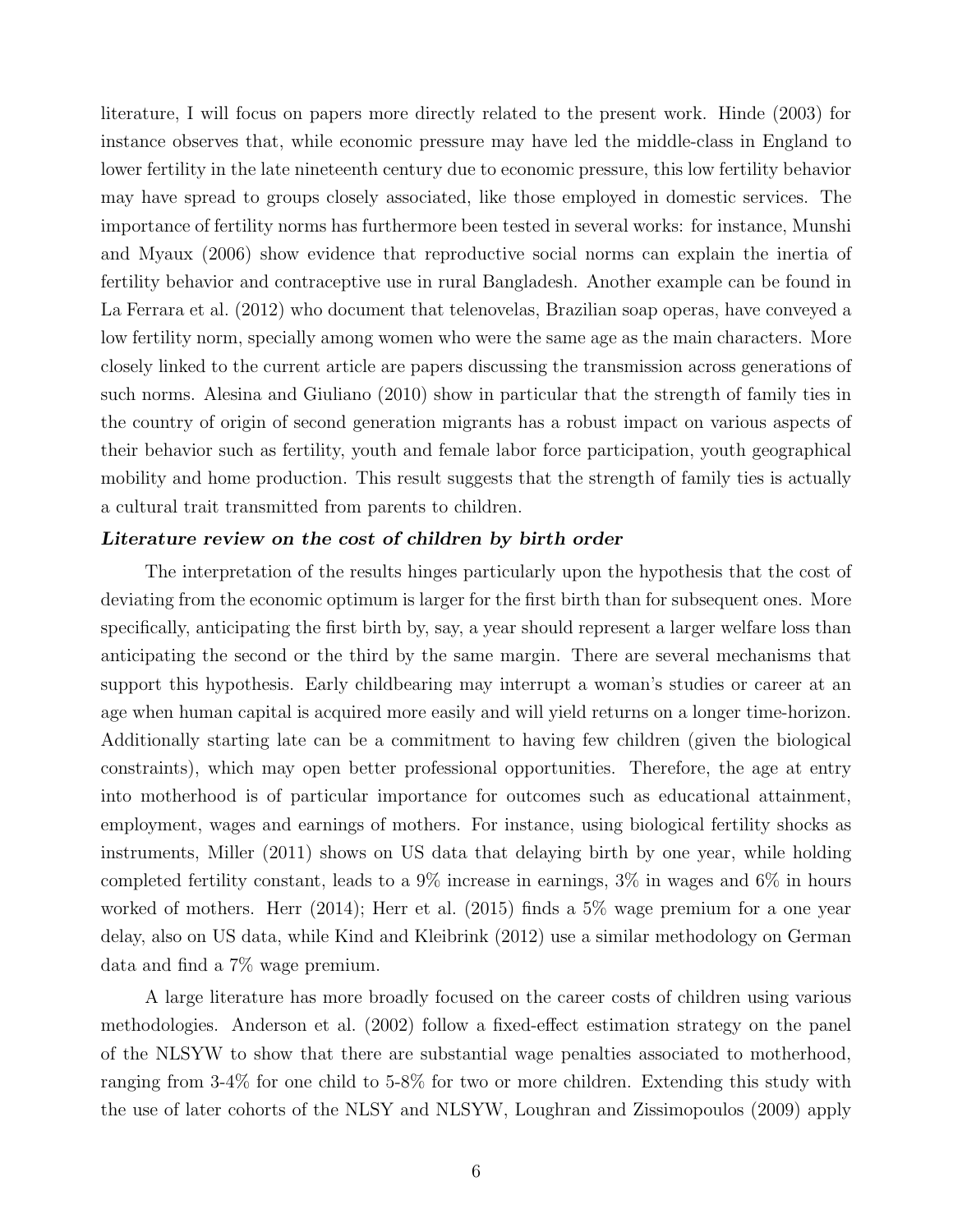literature, I will focus on papers more directly related to the present work. Hinde (2003) for instance observes that, while economic pressure may have led the middle-class in England to lower fertility in the late nineteenth century due to economic pressure, this low fertility behavior may have spread to groups closely associated, like those employed in domestic services. The importance of fertility norms has furthermore been tested in several works: for instance, Munshi and Myaux (2006) show evidence that reproductive social norms can explain the inertia of fertility behavior and contraceptive use in rural Bangladesh. Another example can be found in La Ferrara et al. (2012) who document that telenovelas, Brazilian soap operas, have conveyed a low fertility norm, specially among women who were the same age as the main characters. More closely linked to the current article are papers discussing the transmission across generations of such norms. Alesina and Giuliano (2010) show in particular that the strength of family ties in the country of origin of second generation migrants has a robust impact on various aspects of their behavior such as fertility, youth and female labor force participation, youth geographical mobility and home production. This result suggests that the strength of family ties is actually a cultural trait transmitted from parents to children.

#### Literature review on the cost of children by birth order

The interpretation of the results hinges particularly upon the hypothesis that the cost of deviating from the economic optimum is larger for the first birth than for subsequent ones. More specifically, anticipating the first birth by, say, a year should represent a larger welfare loss than anticipating the second or the third by the same margin. There are several mechanisms that support this hypothesis. Early childbearing may interrupt a woman's studies or career at an age when human capital is acquired more easily and will yield returns on a longer time-horizon. Additionally starting late can be a commitment to having few children (given the biological constraints), which may open better professional opportunities. Therefore, the age at entry into motherhood is of particular importance for outcomes such as educational attainment, employment, wages and earnings of mothers. For instance, using biological fertility shocks as instruments, Miller (2011) shows on US data that delaying birth by one year, while holding completed fertility constant, leads to a 9% increase in earnings, 3% in wages and 6% in hours worked of mothers. Herr (2014); Herr et al. (2015) finds a 5% wage premium for a one year delay, also on US data, while Kind and Kleibrink (2012) use a similar methodology on German data and find a 7% wage premium.

A large literature has more broadly focused on the career costs of children using various methodologies. Anderson et al. (2002) follow a fixed-effect estimation strategy on the panel of the NLSYW to show that there are substantial wage penalties associated to motherhood, ranging from 3-4% for one child to 5-8% for two or more children. Extending this study with the use of later cohorts of the NLSY and NLSYW, Loughran and Zissimopoulos (2009) apply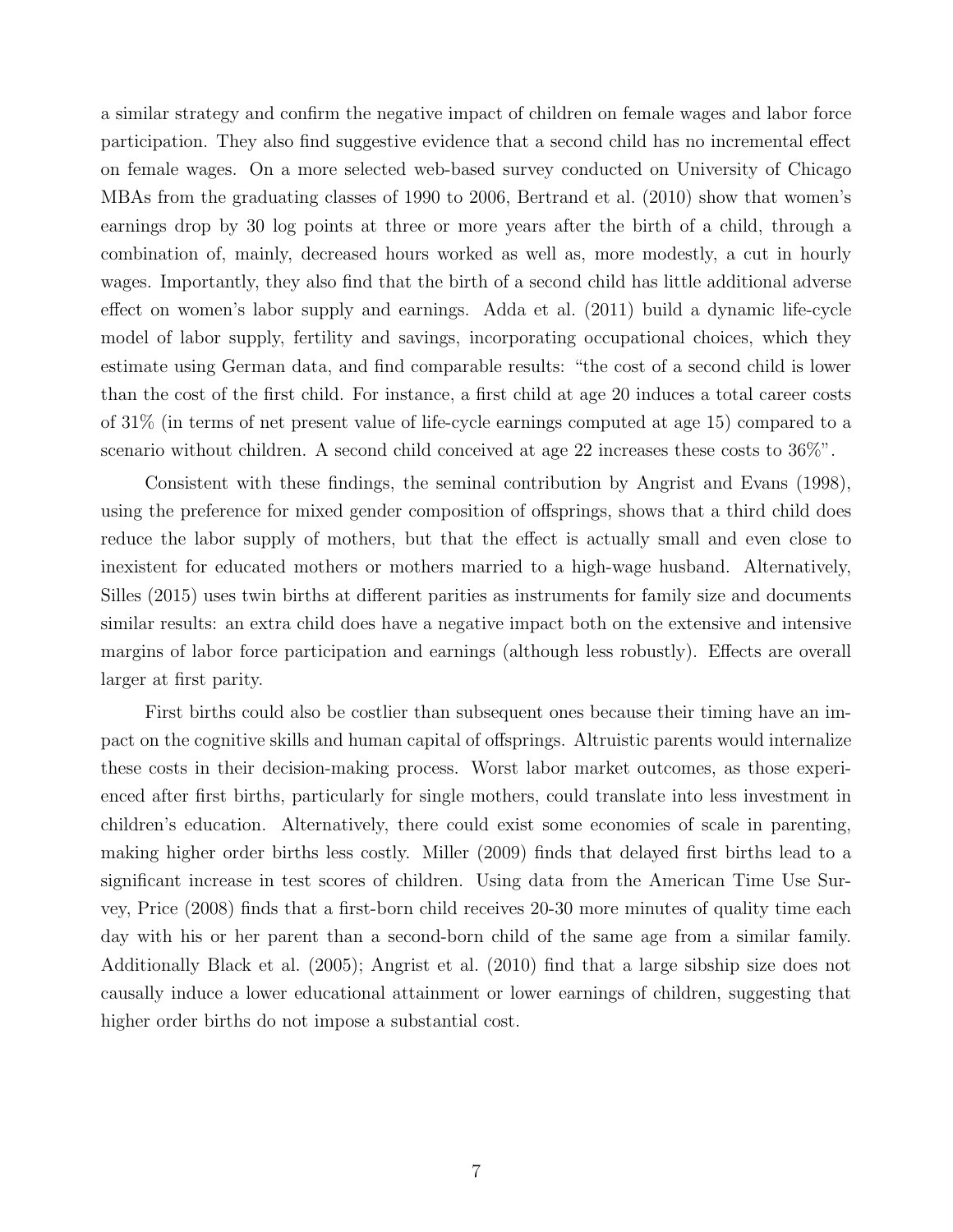a similar strategy and confirm the negative impact of children on female wages and labor force participation. They also find suggestive evidence that a second child has no incremental effect on female wages. On a more selected web-based survey conducted on University of Chicago MBAs from the graduating classes of 1990 to 2006, Bertrand et al. (2010) show that women's earnings drop by 30 log points at three or more years after the birth of a child, through a combination of, mainly, decreased hours worked as well as, more modestly, a cut in hourly wages. Importantly, they also find that the birth of a second child has little additional adverse effect on women's labor supply and earnings. Adda et al. (2011) build a dynamic life-cycle model of labor supply, fertility and savings, incorporating occupational choices, which they estimate using German data, and find comparable results: "the cost of a second child is lower than the cost of the first child. For instance, a first child at age 20 induces a total career costs of 31% (in terms of net present value of life-cycle earnings computed at age 15) compared to a scenario without children. A second child conceived at age 22 increases these costs to 36%".

Consistent with these findings, the seminal contribution by Angrist and Evans (1998), using the preference for mixed gender composition of offsprings, shows that a third child does reduce the labor supply of mothers, but that the effect is actually small and even close to inexistent for educated mothers or mothers married to a high-wage husband. Alternatively, Silles (2015) uses twin births at different parities as instruments for family size and documents similar results: an extra child does have a negative impact both on the extensive and intensive margins of labor force participation and earnings (although less robustly). Effects are overall larger at first parity.

First births could also be costlier than subsequent ones because their timing have an impact on the cognitive skills and human capital of offsprings. Altruistic parents would internalize these costs in their decision-making process. Worst labor market outcomes, as those experienced after first births, particularly for single mothers, could translate into less investment in children's education. Alternatively, there could exist some economies of scale in parenting, making higher order births less costly. Miller (2009) finds that delayed first births lead to a significant increase in test scores of children. Using data from the American Time Use Survey, Price (2008) finds that a first-born child receives 20-30 more minutes of quality time each day with his or her parent than a second-born child of the same age from a similar family. Additionally Black et al. (2005); Angrist et al. (2010) find that a large sibship size does not causally induce a lower educational attainment or lower earnings of children, suggesting that higher order births do not impose a substantial cost.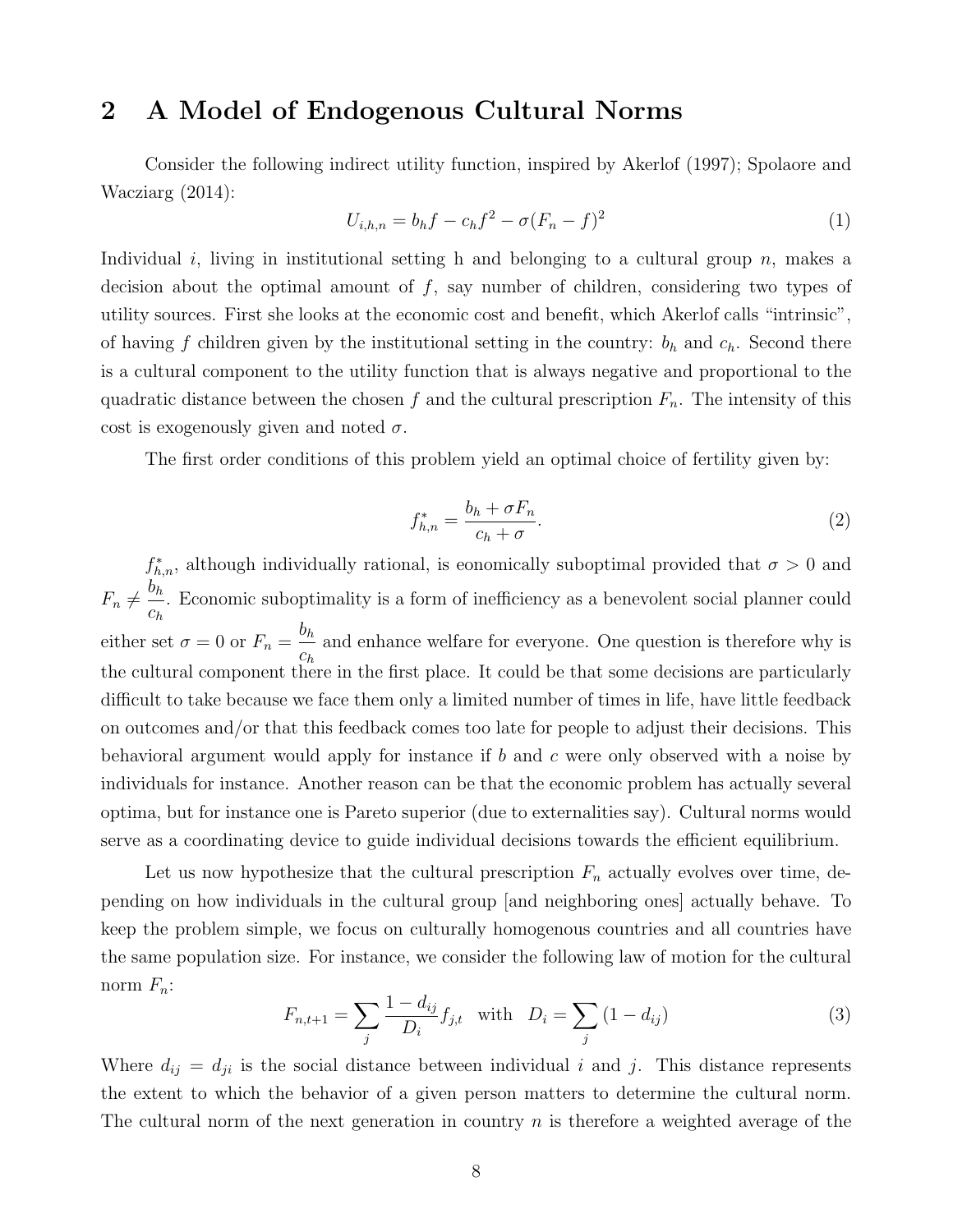## 2 A Model of Endogenous Cultural Norms

Consider the following indirect utility function, inspired by Akerlof (1997); Spolaore and Wacziarg (2014):

$$
U_{i,h,n} = b_h f - c_h f^2 - \sigma (F_n - f)^2
$$
\n(1)

Individual i, living in institutional setting h and belonging to a cultural group  $n$ , makes a decision about the optimal amount of f, say number of children, considering two types of utility sources. First she looks at the economic cost and benefit, which Akerlof calls "intrinsic", of having f children given by the institutional setting in the country:  $b_h$  and  $c_h$ . Second there is a cultural component to the utility function that is always negative and proportional to the quadratic distance between the chosen f and the cultural prescription  $F_n$ . The intensity of this cost is exogenously given and noted  $\sigma$ .

The first order conditions of this problem yield an optimal choice of fertility given by:

$$
f_{h,n}^* = \frac{b_h + \sigma F_n}{c_h + \sigma}.\tag{2}
$$

 $f_{h,n}^*$ , although individually rational, is eonomically suboptimal provided that  $\sigma > 0$  and  $F_n \neq \frac{b_h}{\cdot}$  $c_h$ . Economic suboptimality is a form of inefficiency as a benevolent social planner could either set  $\sigma = 0$  or  $F_n =$  $b_h$  $c_h$ and enhance welfare for everyone. One question is therefore why is the cultural component there in the first place. It could be that some decisions are particularly difficult to take because we face them only a limited number of times in life, have little feedback on outcomes and/or that this feedback comes too late for people to adjust their decisions. This behavioral argument would apply for instance if b and c were only observed with a noise by individuals for instance. Another reason can be that the economic problem has actually several optima, but for instance one is Pareto superior (due to externalities say). Cultural norms would serve as a coordinating device to guide individual decisions towards the efficient equilibrium.

Let us now hypothesize that the cultural prescription  $F_n$  actually evolves over time, depending on how individuals in the cultural group [and neighboring ones] actually behave. To keep the problem simple, we focus on culturally homogenous countries and all countries have the same population size. For instance, we consider the following law of motion for the cultural norm  $F_n$ :

$$
F_{n,t+1} = \sum_{j} \frac{1 - d_{ij}}{D_i} f_{j,t} \quad \text{with} \quad D_i = \sum_{j} (1 - d_{ij}) \tag{3}
$$

Where  $d_{ij} = d_{ji}$  is the social distance between individual i and j. This distance represents the extent to which the behavior of a given person matters to determine the cultural norm. The cultural norm of the next generation in country  $n$  is therefore a weighted average of the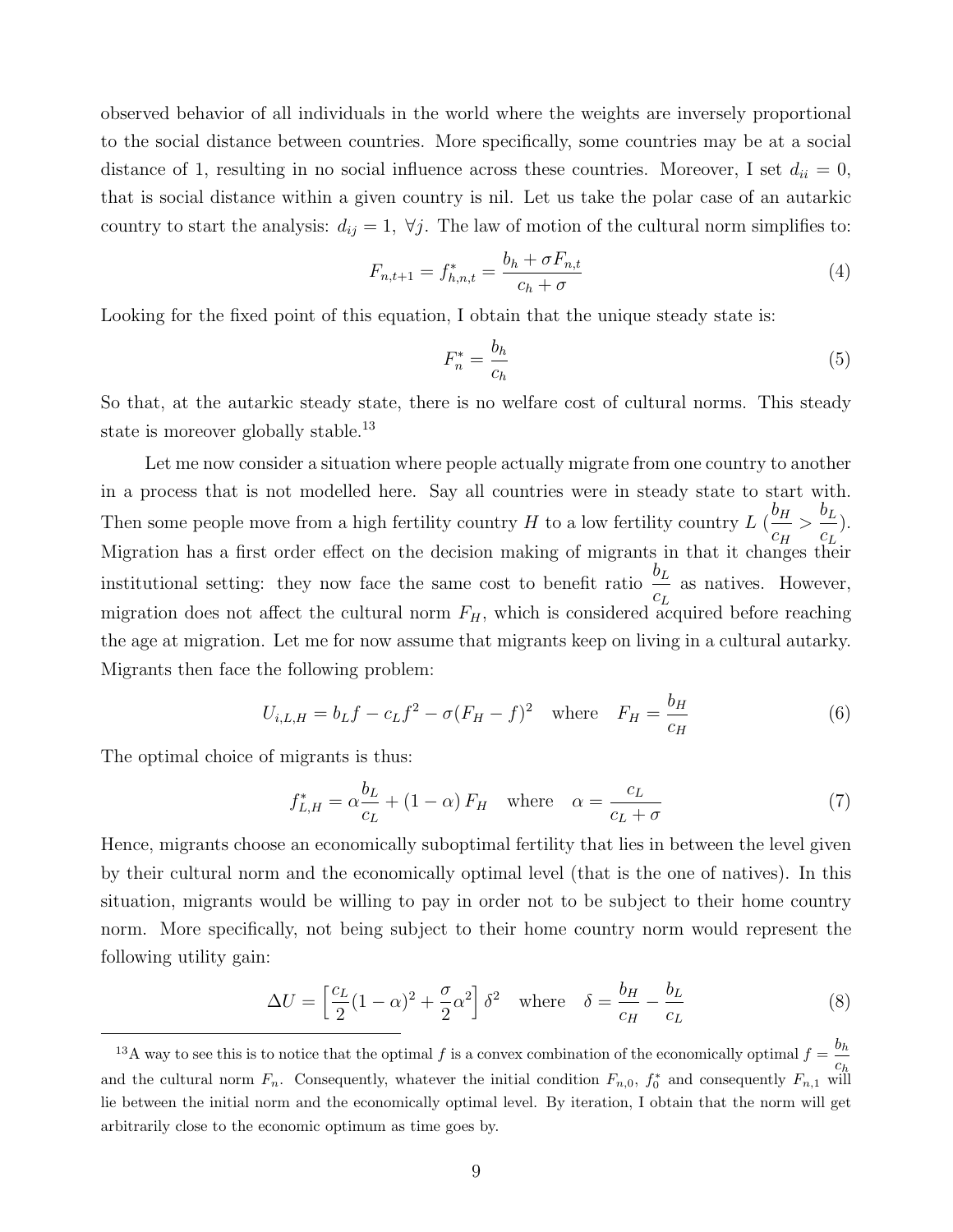observed behavior of all individuals in the world where the weights are inversely proportional to the social distance between countries. More specifically, some countries may be at a social distance of 1, resulting in no social influence across these countries. Moreover, I set  $d_{ii} = 0$ , that is social distance within a given country is nil. Let us take the polar case of an autarkic country to start the analysis:  $d_{ij} = 1$ ,  $\forall j$ . The law of motion of the cultural norm simplifies to:

$$
F_{n,t+1} = f_{h,n,t}^{*} = \frac{b_h + \sigma F_{n,t}}{c_h + \sigma} \tag{4}
$$

Looking for the fixed point of this equation, I obtain that the unique steady state is:

$$
F_n^* = \frac{b_h}{c_h} \tag{5}
$$

So that, at the autarkic steady state, there is no welfare cost of cultural norms. This steady state is moreover globally stable.<sup>13</sup>

Let me now consider a situation where people actually migrate from one country to another in a process that is not modelled here. Say all countries were in steady state to start with. Then some people move from a high fertility country H to a low fertility country L  $\left(\frac{b_H}{b_H}\right)$  $c_H$  $\frac{b_L}{a_L}$  $c_L$ ). Migration has a first order effect on the decision making of migrants in that it changes their institutional setting: they now face the same cost to benefit ratio  $b_L$  $c_L$ as natives. However, migration does not affect the cultural norm  $F_H$ , which is considered acquired before reaching the age at migration. Let me for now assume that migrants keep on living in a cultural autarky. Migrants then face the following problem:

$$
U_{i,L,H} = b_L f - c_L f^2 - \sigma (F_H - f)^2 \quad \text{where} \quad F_H = \frac{b_H}{c_H} \tag{6}
$$

The optimal choice of migrants is thus:

$$
f_{L,H}^* = \alpha \frac{b_L}{c_L} + (1 - \alpha) F_H \quad \text{where} \quad \alpha = \frac{c_L}{c_L + \sigma} \tag{7}
$$

Hence, migrants choose an economically suboptimal fertility that lies in between the level given by their cultural norm and the economically optimal level (that is the one of natives). In this situation, migrants would be willing to pay in order not to be subject to their home country norm. More specifically, not being subject to their home country norm would represent the following utility gain:

$$
\Delta U = \left[\frac{c_L}{2}(1-\alpha)^2 + \frac{\sigma}{2}\alpha^2\right]\delta^2 \quad \text{where} \quad \delta = \frac{b_H}{c_H} - \frac{b_L}{c_L} \tag{8}
$$

<sup>&</sup>lt;sup>13</sup>A way to see this is to notice that the optimal f is a convex combination of the economically optimal  $f = \frac{b_h}{h}$  $c_h$ and the cultural norm  $F_n$ . Consequently, whatever the initial condition  $F_{n,0}$ ,  $f_0^*$  and consequently  $F_{n,1}$  will lie between the initial norm and the economically optimal level. By iteration, I obtain that the norm will get arbitrarily close to the economic optimum as time goes by.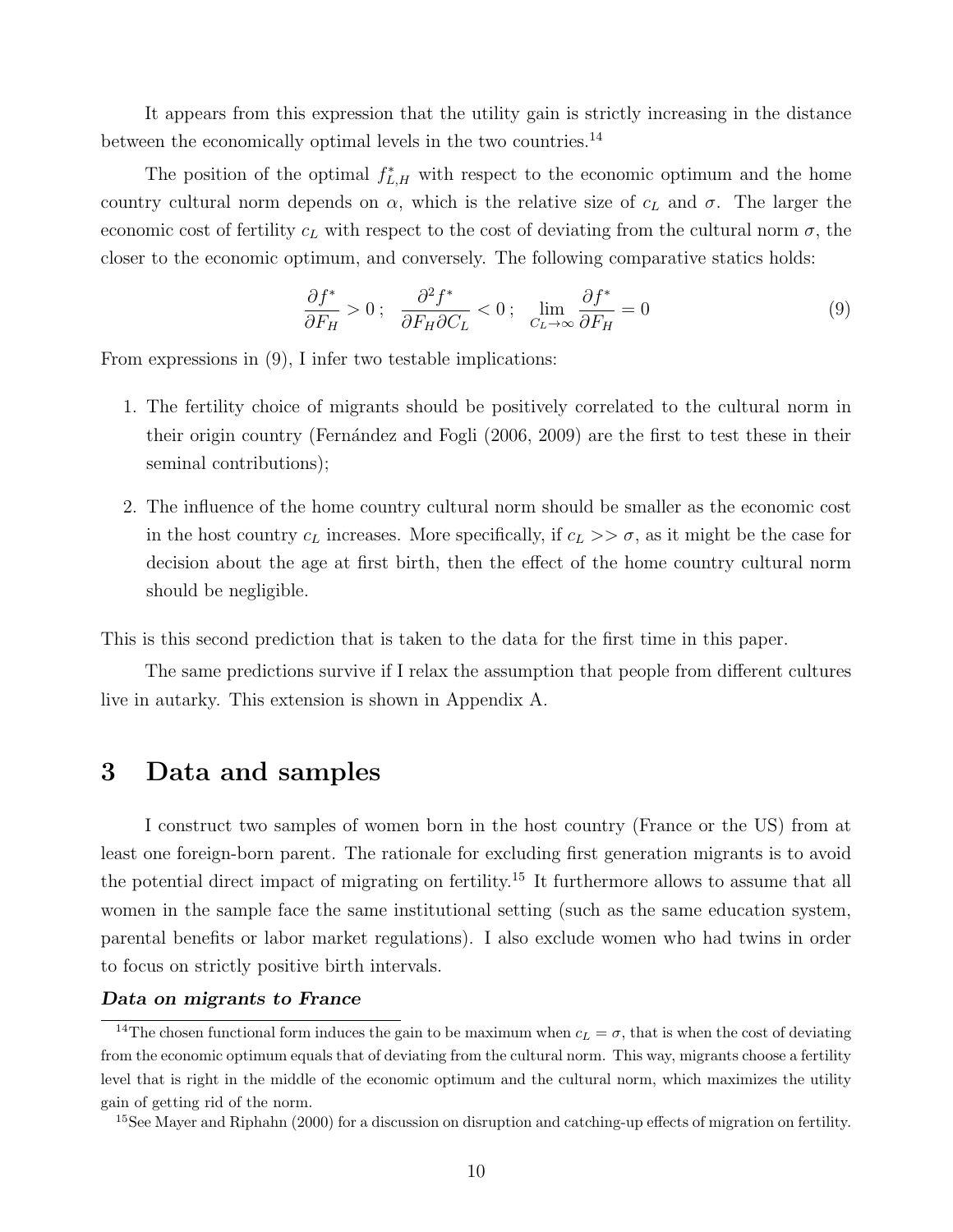It appears from this expression that the utility gain is strictly increasing in the distance between the economically optimal levels in the two countries.<sup>14</sup>

The position of the optimal  $f_{L,H}^*$  with respect to the economic optimum and the home country cultural norm depends on  $\alpha$ , which is the relative size of  $c<sub>L</sub>$  and  $\sigma$ . The larger the economic cost of fertility  $c<sub>L</sub>$  with respect to the cost of deviating from the cultural norm  $\sigma$ , the closer to the economic optimum, and conversely. The following comparative statics holds:

$$
\frac{\partial f^*}{\partial F_H} > 0 \; ; \quad \frac{\partial^2 f^*}{\partial F_H \partial C_L} < 0 \; ; \quad \lim_{C_L \to \infty} \frac{\partial f^*}{\partial F_H} = 0 \tag{9}
$$

From expressions in (9), I infer two testable implications:

- 1. The fertility choice of migrants should be positively correlated to the cultural norm in their origin country (Fernández and Fogli (2006, 2009) are the first to test these in their seminal contributions);
- 2. The influence of the home country cultural norm should be smaller as the economic cost in the host country  $c_L$  increases. More specifically, if  $c_L >> \sigma$ , as it might be the case for decision about the age at first birth, then the effect of the home country cultural norm should be negligible.

This is this second prediction that is taken to the data for the first time in this paper.

The same predictions survive if I relax the assumption that people from different cultures live in autarky. This extension is shown in Appendix A.

## 3 Data and samples

I construct two samples of women born in the host country (France or the US) from at least one foreign-born parent. The rationale for excluding first generation migrants is to avoid the potential direct impact of migrating on fertility.<sup>15</sup> It furthermore allows to assume that all women in the sample face the same institutional setting (such as the same education system, parental benefits or labor market regulations). I also exclude women who had twins in order to focus on strictly positive birth intervals.

#### Data on migrants to France

<sup>&</sup>lt;sup>14</sup>The chosen functional form induces the gain to be maximum when  $c_L = \sigma$ , that is when the cost of deviating from the economic optimum equals that of deviating from the cultural norm. This way, migrants choose a fertility level that is right in the middle of the economic optimum and the cultural norm, which maximizes the utility gain of getting rid of the norm.

<sup>15</sup>See Mayer and Riphahn (2000) for a discussion on disruption and catching-up effects of migration on fertility.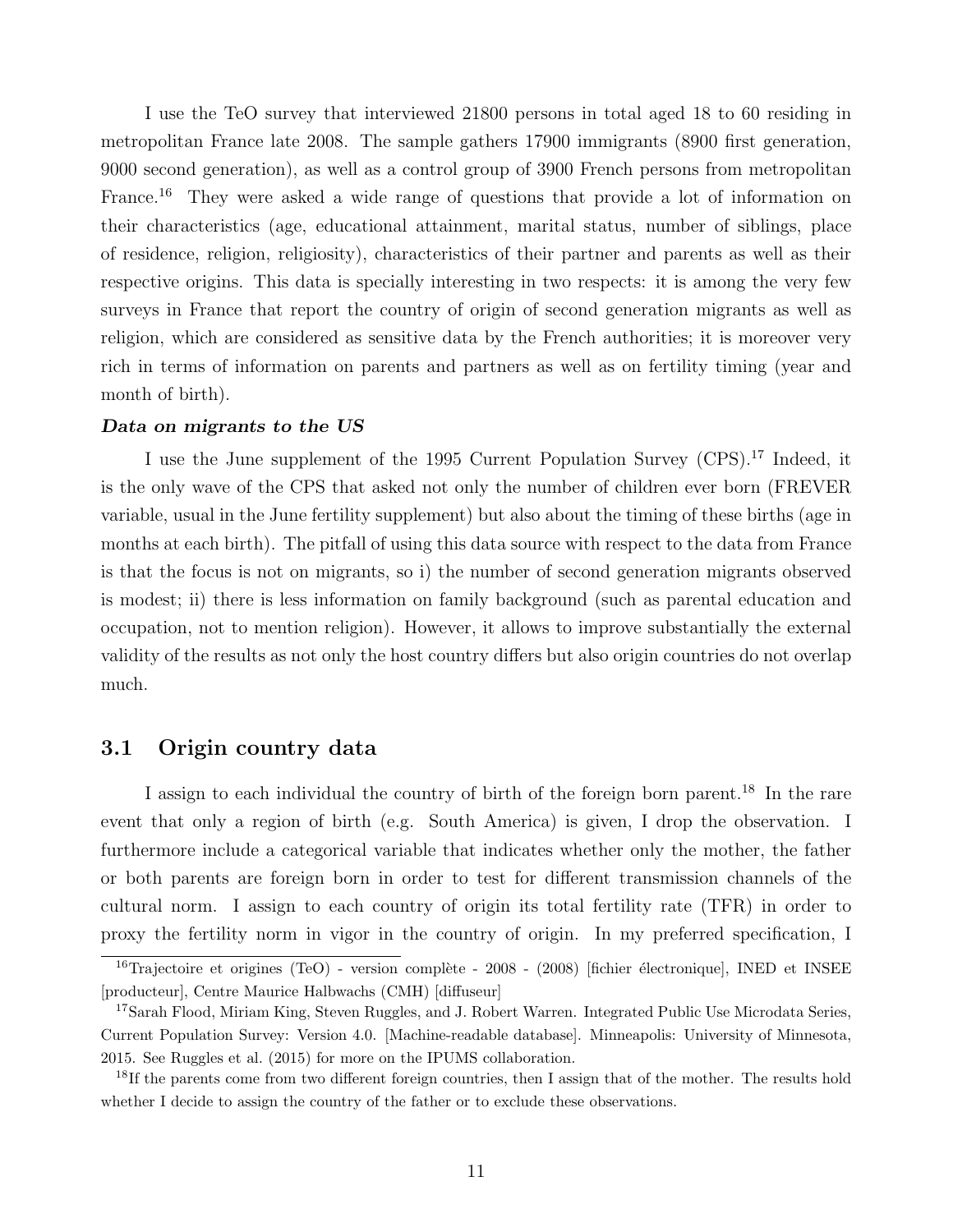I use the TeO survey that interviewed 21800 persons in total aged 18 to 60 residing in metropolitan France late 2008. The sample gathers 17900 immigrants (8900 first generation, 9000 second generation), as well as a control group of 3900 French persons from metropolitan France.<sup>16</sup> They were asked a wide range of questions that provide a lot of information on their characteristics (age, educational attainment, marital status, number of siblings, place of residence, religion, religiosity), characteristics of their partner and parents as well as their respective origins. This data is specially interesting in two respects: it is among the very few surveys in France that report the country of origin of second generation migrants as well as religion, which are considered as sensitive data by the French authorities; it is moreover very rich in terms of information on parents and partners as well as on fertility timing (year and month of birth).

#### Data on migrants to the US

I use the June supplement of the 1995 Current Population Survey (CPS).<sup>17</sup> Indeed, it is the only wave of the CPS that asked not only the number of children ever born (FREVER variable, usual in the June fertility supplement) but also about the timing of these births (age in months at each birth). The pitfall of using this data source with respect to the data from France is that the focus is not on migrants, so i) the number of second generation migrants observed is modest; ii) there is less information on family background (such as parental education and occupation, not to mention religion). However, it allows to improve substantially the external validity of the results as not only the host country differs but also origin countries do not overlap much.

#### 3.1 Origin country data

I assign to each individual the country of birth of the foreign born parent.<sup>18</sup> In the rare event that only a region of birth (e.g. South America) is given, I drop the observation. I furthermore include a categorical variable that indicates whether only the mother, the father or both parents are foreign born in order to test for different transmission channels of the cultural norm. I assign to each country of origin its total fertility rate (TFR) in order to proxy the fertility norm in vigor in the country of origin. In my preferred specification, I

<sup>&</sup>lt;sup>16</sup>Trajectoire et origines (TeO) - version complète - 2008 - (2008) [fichier électronique], INED et INSEE [producteur], Centre Maurice Halbwachs (CMH) [diffuseur]

<sup>&</sup>lt;sup>17</sup>Sarah Flood, Miriam King, Steven Ruggles, and J. Robert Warren. Integrated Public Use Microdata Series, Current Population Survey: Version 4.0. [Machine-readable database]. Minneapolis: University of Minnesota, 2015. See Ruggles et al. (2015) for more on the IPUMS collaboration.

<sup>&</sup>lt;sup>18</sup>If the parents come from two different foreign countries, then I assign that of the mother. The results hold whether I decide to assign the country of the father or to exclude these observations.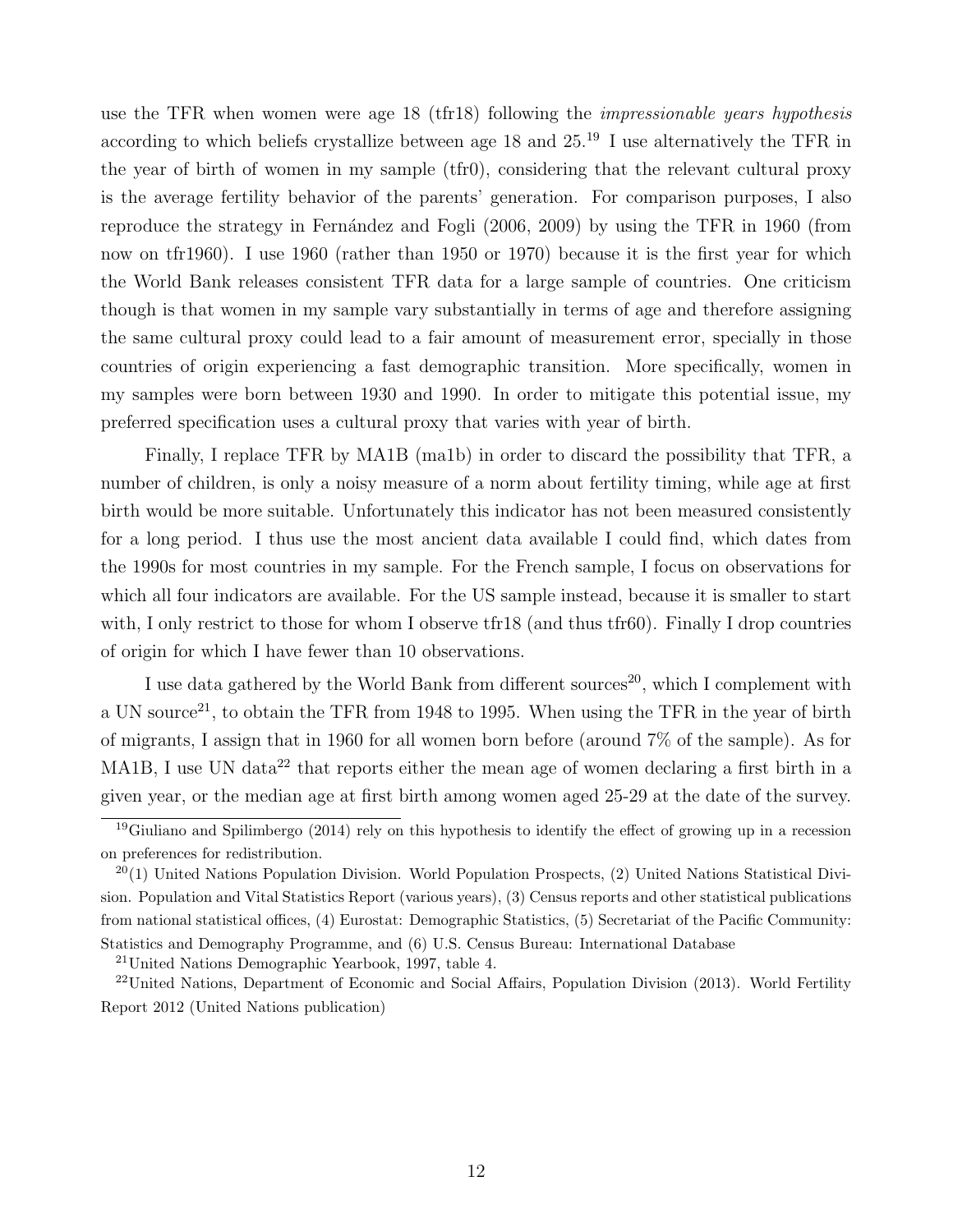use the TFR when women were age 18 (tfr18) following the *impressionable years hypothesis* according to which beliefs crystallize between age 18 and  $25.^{19}$  I use alternatively the TFR in the year of birth of women in my sample (tfr0), considering that the relevant cultural proxy is the average fertility behavior of the parents' generation. For comparison purposes, I also reproduce the strategy in Fernández and Fogli (2006, 2009) by using the TFR in 1960 (from now on tfr1960). I use 1960 (rather than 1950 or 1970) because it is the first year for which the World Bank releases consistent TFR data for a large sample of countries. One criticism though is that women in my sample vary substantially in terms of age and therefore assigning the same cultural proxy could lead to a fair amount of measurement error, specially in those countries of origin experiencing a fast demographic transition. More specifically, women in my samples were born between 1930 and 1990. In order to mitigate this potential issue, my preferred specification uses a cultural proxy that varies with year of birth.

Finally, I replace TFR by MA1B (ma1b) in order to discard the possibility that TFR, a number of children, is only a noisy measure of a norm about fertility timing, while age at first birth would be more suitable. Unfortunately this indicator has not been measured consistently for a long period. I thus use the most ancient data available I could find, which dates from the 1990s for most countries in my sample. For the French sample, I focus on observations for which all four indicators are available. For the US sample instead, because it is smaller to start with, I only restrict to those for whom I observe tfr18 (and thus tfr60). Finally I drop countries of origin for which I have fewer than 10 observations.

I use data gathered by the World Bank from different sources<sup>20</sup>, which I complement with a UN source<sup>21</sup>, to obtain the TFR from 1948 to 1995. When using the TFR in the year of birth of migrants, I assign that in 1960 for all women born before (around 7% of the sample). As for MA1B, I use UN data<sup>22</sup> that reports either the mean age of women declaring a first birth in a given year, or the median age at first birth among women aged 25-29 at the date of the survey.

<sup>21</sup>United Nations Demographic Yearbook, 1997, table 4.

<sup>&</sup>lt;sup>19</sup>Giuliano and Spilimbergo (2014) rely on this hypothesis to identify the effect of growing up in a recession on preferences for redistribution.

 $^{20}(1)$  United Nations Population Division. World Population Prospects, (2) United Nations Statistical Division. Population and Vital Statistics Report (various years), (3) Census reports and other statistical publications from national statistical offices, (4) Eurostat: Demographic Statistics, (5) Secretariat of the Pacific Community: Statistics and Demography Programme, and (6) U.S. Census Bureau: International Database

<sup>22</sup>United Nations, Department of Economic and Social Affairs, Population Division (2013). World Fertility Report 2012 (United Nations publication)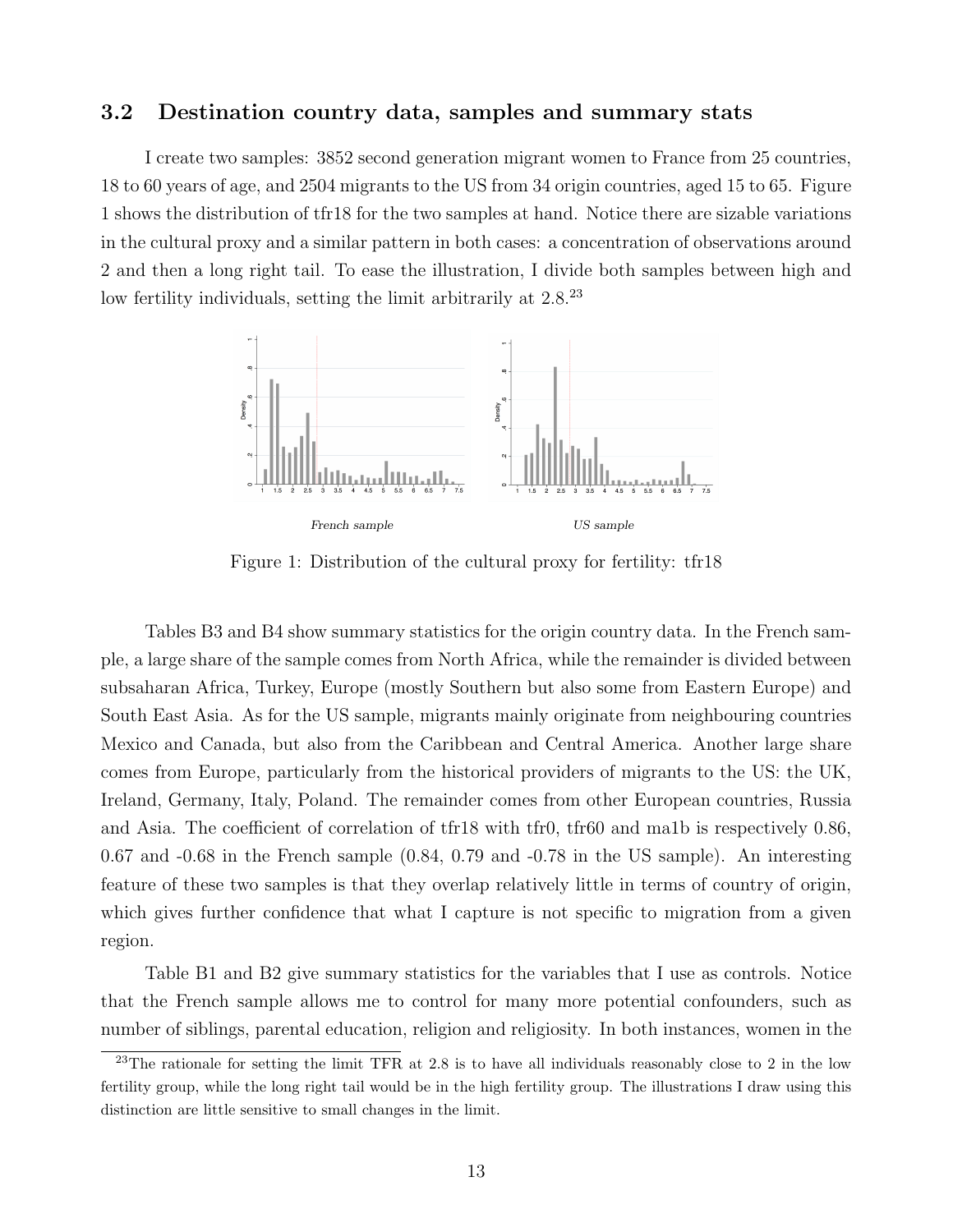#### 3.2 Destination country data, samples and summary stats

I create two samples: 3852 second generation migrant women to France from 25 countries, 18 to 60 years of age, and 2504 migrants to the US from 34 origin countries, aged 15 to 65. Figure 1 shows the distribution of tfr18 for the two samples at hand. Notice there are sizable variations in the cultural proxy and a similar pattern in both cases: a concentration of observations around 2 and then a long right tail. To ease the illustration, I divide both samples between high and low fertility individuals, setting the limit arbitrarily at  $2.8^{23}$ 



Figure 1: Distribution of the cultural proxy for fertility: tfr18

Tables B3 and B4 show summary statistics for the origin country data. In the French sample, a large share of the sample comes from North Africa, while the remainder is divided between subsaharan Africa, Turkey, Europe (mostly Southern but also some from Eastern Europe) and South East Asia. As for the US sample, migrants mainly originate from neighbouring countries Mexico and Canada, but also from the Caribbean and Central America. Another large share comes from Europe, particularly from the historical providers of migrants to the US: the UK, Ireland, Germany, Italy, Poland. The remainder comes from other European countries, Russia and Asia. The coefficient of correlation of tfr18 with tfr0, tfr60 and ma1b is respectively 0.86, 0.67 and -0.68 in the French sample (0.84, 0.79 and -0.78 in the US sample). An interesting feature of these two samples is that they overlap relatively little in terms of country of origin, which gives further confidence that what I capture is not specific to migration from a given region.

Table B1 and B2 give summary statistics for the variables that I use as controls. Notice that the French sample allows me to control for many more potential confounders, such as number of siblings, parental education, religion and religiosity. In both instances, women in the

<sup>&</sup>lt;sup>23</sup>The rationale for setting the limit TFR at 2.8 is to have all individuals reasonably close to 2 in the low fertility group, while the long right tail would be in the high fertility group. The illustrations I draw using this distinction are little sensitive to small changes in the limit.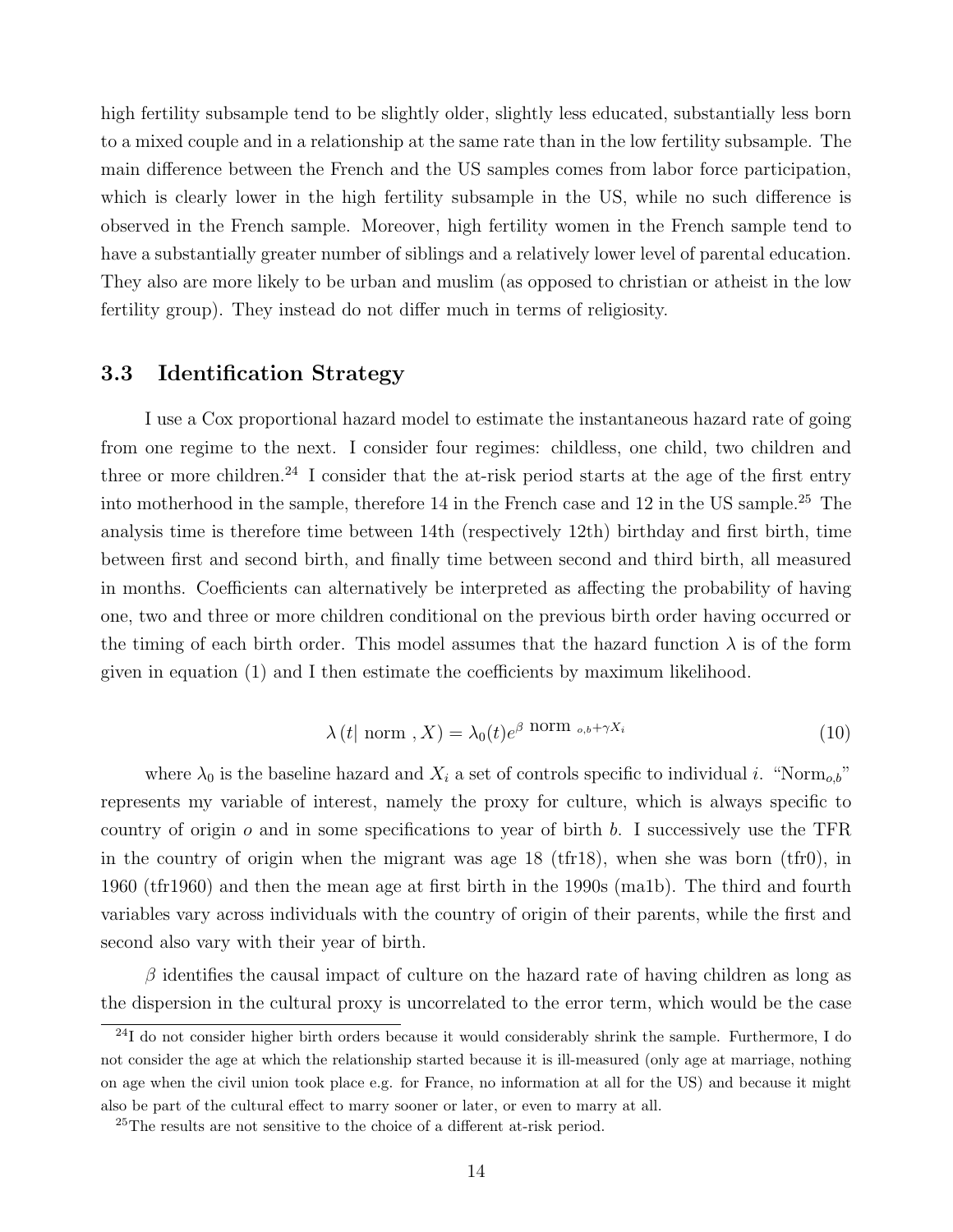high fertility subsample tend to be slightly older, slightly less educated, substantially less born to a mixed couple and in a relationship at the same rate than in the low fertility subsample. The main difference between the French and the US samples comes from labor force participation, which is clearly lower in the high fertility subsample in the US, while no such difference is observed in the French sample. Moreover, high fertility women in the French sample tend to have a substantially greater number of siblings and a relatively lower level of parental education. They also are more likely to be urban and muslim (as opposed to christian or atheist in the low fertility group). They instead do not differ much in terms of religiosity.

### 3.3 Identification Strategy

I use a Cox proportional hazard model to estimate the instantaneous hazard rate of going from one regime to the next. I consider four regimes: childless, one child, two children and three or more children.<sup>24</sup> I consider that the at-risk period starts at the age of the first entry into motherhood in the sample, therefore  $14$  in the French case and  $12$  in the US sample.<sup>25</sup> The analysis time is therefore time between 14th (respectively 12th) birthday and first birth, time between first and second birth, and finally time between second and third birth, all measured in months. Coefficients can alternatively be interpreted as affecting the probability of having one, two and three or more children conditional on the previous birth order having occurred or the timing of each birth order. This model assumes that the hazard function  $\lambda$  is of the form given in equation (1) and I then estimate the coefficients by maximum likelihood.

$$
\lambda(t \mid \text{norm }, X) = \lambda_0(t)e^{\beta \text{ norm }}_{\circ, b} + \gamma X_i
$$
\n(10)

where  $\lambda_0$  is the baseline hazard and  $X_i$  a set of controls specific to individual i. "Norm<sub>ob</sub>" represents my variable of interest, namely the proxy for culture, which is always specific to country of origin  $o$  and in some specifications to year of birth  $b$ . I successively use the TFR in the country of origin when the migrant was age 18 (tfr18), when she was born (tfr0), in 1960 (tfr1960) and then the mean age at first birth in the 1990s (ma1b). The third and fourth variables vary across individuals with the country of origin of their parents, while the first and second also vary with their year of birth.

 $\beta$  identifies the causal impact of culture on the hazard rate of having children as long as the dispersion in the cultural proxy is uncorrelated to the error term, which would be the case

 $^{24}$ I do not consider higher birth orders because it would considerably shrink the sample. Furthermore, I do not consider the age at which the relationship started because it is ill-measured (only age at marriage, nothing on age when the civil union took place e.g. for France, no information at all for the US) and because it might also be part of the cultural effect to marry sooner or later, or even to marry at all.

<sup>25</sup>The results are not sensitive to the choice of a different at-risk period.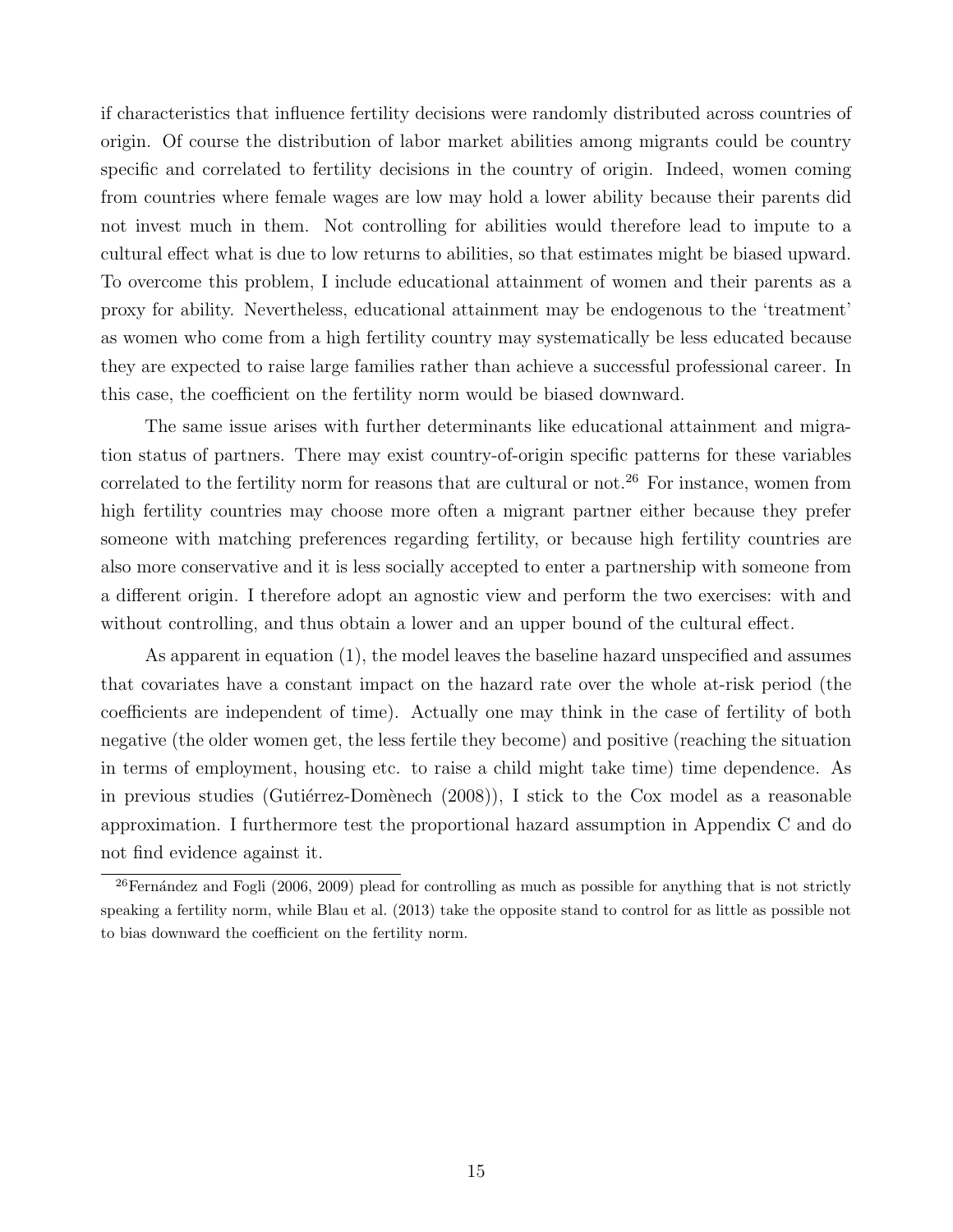if characteristics that influence fertility decisions were randomly distributed across countries of origin. Of course the distribution of labor market abilities among migrants could be country specific and correlated to fertility decisions in the country of origin. Indeed, women coming from countries where female wages are low may hold a lower ability because their parents did not invest much in them. Not controlling for abilities would therefore lead to impute to a cultural effect what is due to low returns to abilities, so that estimates might be biased upward. To overcome this problem, I include educational attainment of women and their parents as a proxy for ability. Nevertheless, educational attainment may be endogenous to the 'treatment' as women who come from a high fertility country may systematically be less educated because they are expected to raise large families rather than achieve a successful professional career. In this case, the coefficient on the fertility norm would be biased downward.

The same issue arises with further determinants like educational attainment and migration status of partners. There may exist country-of-origin specific patterns for these variables correlated to the fertility norm for reasons that are cultural or not.<sup>26</sup> For instance, women from high fertility countries may choose more often a migrant partner either because they prefer someone with matching preferences regarding fertility, or because high fertility countries are also more conservative and it is less socially accepted to enter a partnership with someone from a different origin. I therefore adopt an agnostic view and perform the two exercises: with and without controlling, and thus obtain a lower and an upper bound of the cultural effect.

As apparent in equation (1), the model leaves the baseline hazard unspecified and assumes that covariates have a constant impact on the hazard rate over the whole at-risk period (the coefficients are independent of time). Actually one may think in the case of fertility of both negative (the older women get, the less fertile they become) and positive (reaching the situation in terms of employment, housing etc. to raise a child might take time) time dependence. As in previous studies (Gutiérrez-Domènech (2008)), I stick to the Cox model as a reasonable approximation. I furthermore test the proportional hazard assumption in Appendix C and do not find evidence against it.

<sup>&</sup>lt;sup>26</sup>Fernández and Fogli (2006, 2009) plead for controlling as much as possible for anything that is not strictly speaking a fertility norm, while Blau et al. (2013) take the opposite stand to control for as little as possible not to bias downward the coefficient on the fertility norm.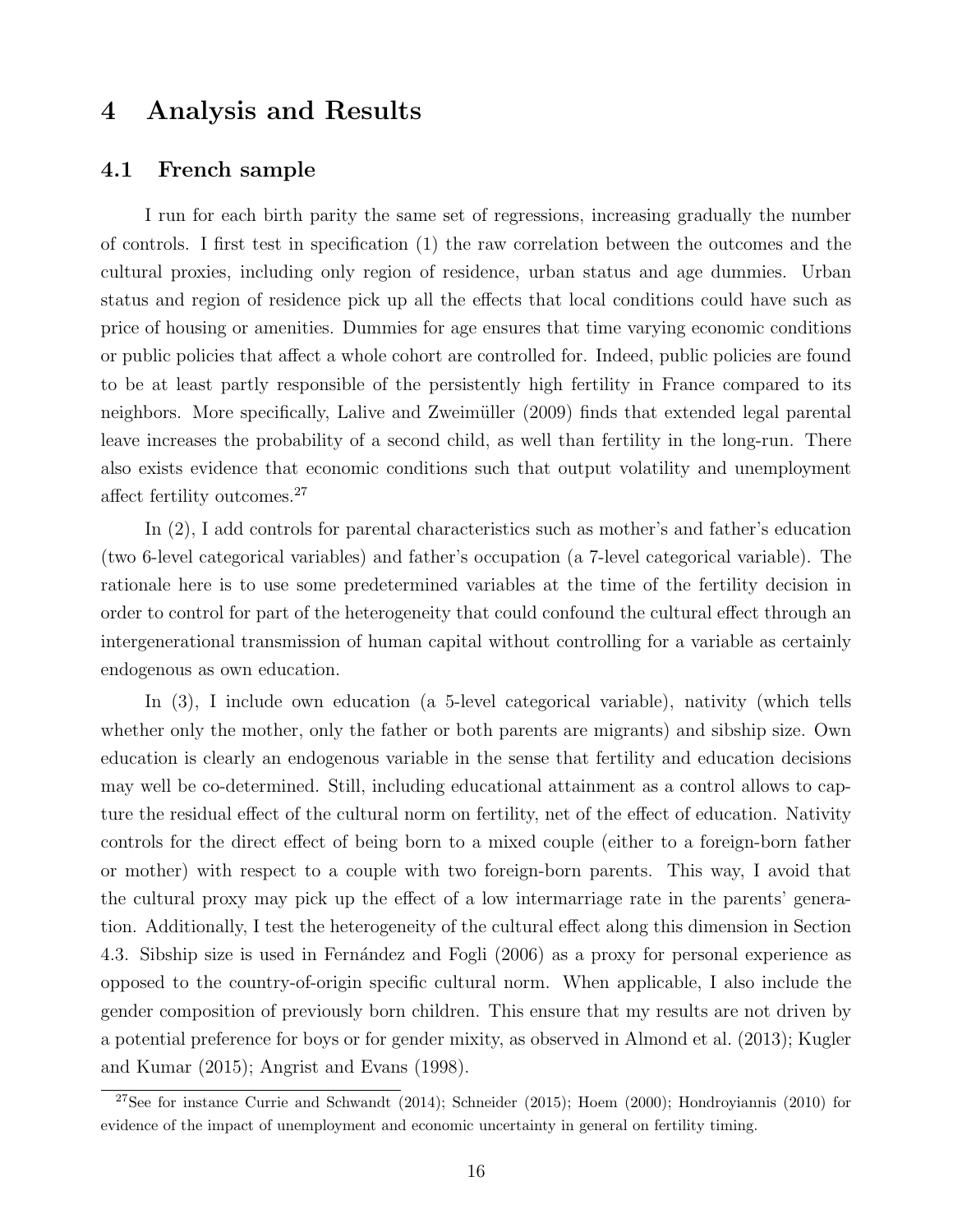## 4 Analysis and Results

#### 4.1 French sample

I run for each birth parity the same set of regressions, increasing gradually the number of controls. I first test in specification (1) the raw correlation between the outcomes and the cultural proxies, including only region of residence, urban status and age dummies. Urban status and region of residence pick up all the effects that local conditions could have such as price of housing or amenities. Dummies for age ensures that time varying economic conditions or public policies that affect a whole cohort are controlled for. Indeed, public policies are found to be at least partly responsible of the persistently high fertility in France compared to its neighbors. More specifically, Lalive and Zweimüller (2009) finds that extended legal parental leave increases the probability of a second child, as well than fertility in the long-run. There also exists evidence that economic conditions such that output volatility and unemployment affect fertility outcomes.<sup>27</sup>

In (2), I add controls for parental characteristics such as mother's and father's education (two 6-level categorical variables) and father's occupation (a 7-level categorical variable). The rationale here is to use some predetermined variables at the time of the fertility decision in order to control for part of the heterogeneity that could confound the cultural effect through an intergenerational transmission of human capital without controlling for a variable as certainly endogenous as own education.

In (3), I include own education (a 5-level categorical variable), nativity (which tells whether only the mother, only the father or both parents are migrants) and sibship size. Own education is clearly an endogenous variable in the sense that fertility and education decisions may well be co-determined. Still, including educational attainment as a control allows to capture the residual effect of the cultural norm on fertility, net of the effect of education. Nativity controls for the direct effect of being born to a mixed couple (either to a foreign-born father or mother) with respect to a couple with two foreign-born parents. This way, I avoid that the cultural proxy may pick up the effect of a low intermarriage rate in the parents' generation. Additionally, I test the heterogeneity of the cultural effect along this dimension in Section 4.3. Sibship size is used in Fernández and Fogli (2006) as a proxy for personal experience as opposed to the country-of-origin specific cultural norm. When applicable, I also include the gender composition of previously born children. This ensure that my results are not driven by a potential preference for boys or for gender mixity, as observed in Almond et al. (2013); Kugler and Kumar (2015); Angrist and Evans (1998).

 $27$ See for instance Currie and Schwandt (2014); Schneider (2015); Hoem (2000); Hondroyiannis (2010) for evidence of the impact of unemployment and economic uncertainty in general on fertility timing.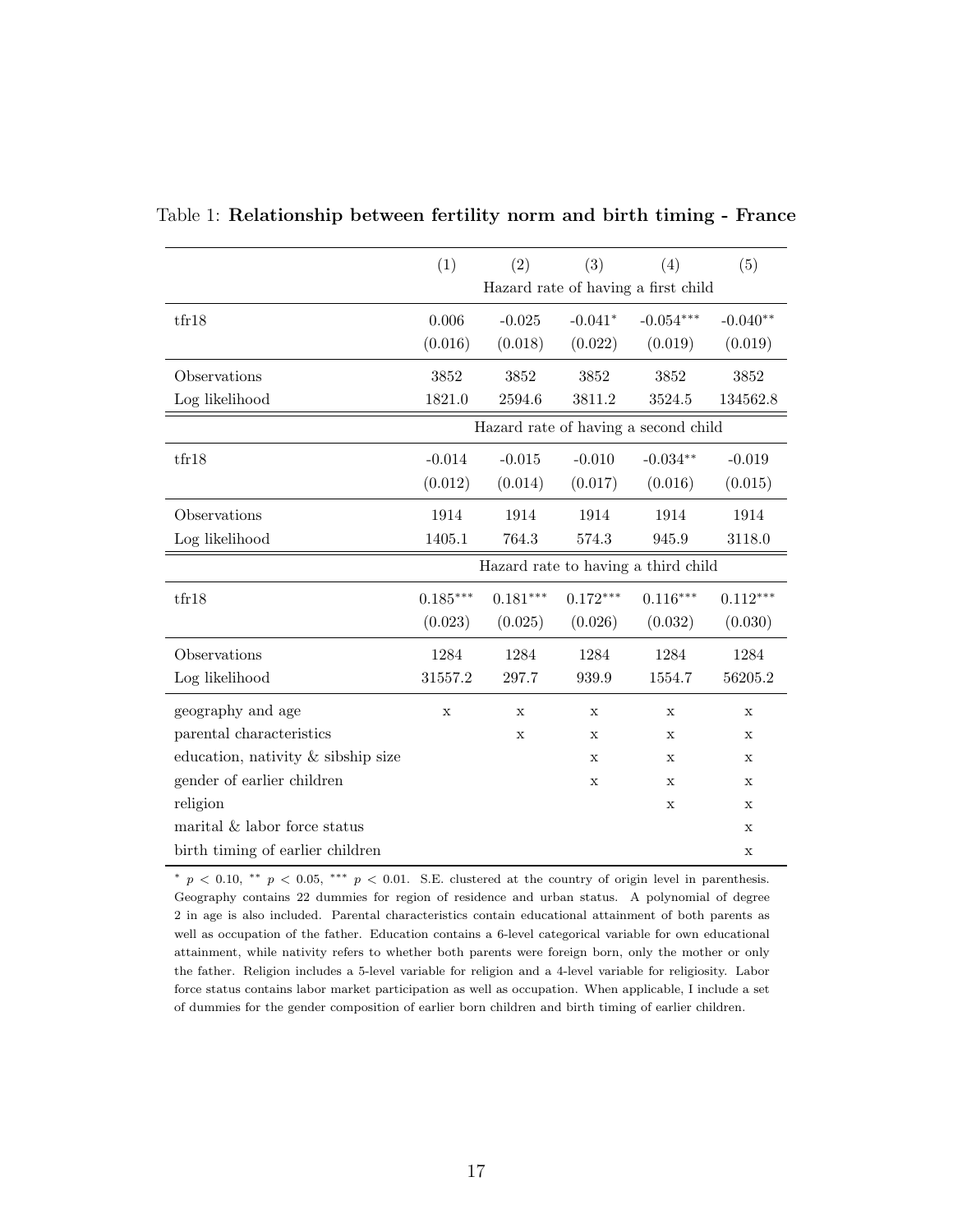|                                    | (1)          | (2)         | (3)         | (4)                                  | (5)         |
|------------------------------------|--------------|-------------|-------------|--------------------------------------|-------------|
|                                    |              |             |             | Hazard rate of having a first child  |             |
| tr18                               | 0.006        | $-0.025$    | $-0.041*$   | $-0.054***$                          | $-0.040**$  |
|                                    | (0.016)      | (0.018)     | (0.022)     | (0.019)                              | (0.019)     |
| Observations                       | 3852         | 3852        | 3852        | 3852                                 | 3852        |
| Log likelihood                     | 1821.0       | 2594.6      | 3811.2      | 3524.5                               | 134562.8    |
|                                    |              |             |             | Hazard rate of having a second child |             |
| tfr18                              | $-0.014$     | $-0.015$    | $-0.010$    | $-0.034**$                           | $-0.019$    |
|                                    | (0.012)      | (0.014)     | (0.017)     | (0.016)                              | (0.015)     |
| Observations                       | 1914         | 1914        | 1914        | 1914                                 | 1914        |
| Log likelihood                     | 1405.1       | 764.3       | 574.3       | 945.9                                | 3118.0      |
|                                    |              |             |             | Hazard rate to having a third child  |             |
| tfr18                              | $0.185***$   | $0.181***$  | $0.172***$  | $0.116***$                           | $0.112***$  |
|                                    | (0.023)      | (0.025)     | (0.026)     | (0.032)                              | (0.030)     |
| Observations                       | 1284         | 1284        | 1284        | 1284                                 | 1284        |
| Log likelihood                     | 31557.2      | 297.7       | 939.9       | 1554.7                               | 56205.2     |
| geography and age                  | $\mathbf{x}$ | $\mathbf x$ | $\mathbf x$ | $\mathbf{x}$                         | $\mathbf x$ |
| parental characteristics           |              | $\mathbf X$ | X           | Х                                    | X           |
| education, nativity & sibship size |              |             | $\mathbf x$ | $\mathbf x$                          | $\mathbf x$ |
| gender of earlier children         |              |             | X           | X                                    | X           |
| religion                           |              |             |             | $\mathbf X$                          | X           |
| marital & labor force status       |              |             |             |                                      | X           |
| birth timing of earlier children   |              |             |             |                                      | $\mathbf X$ |

Table 1: Relationship between fertility norm and birth timing - France

<sup>∗</sup> p < 0.10, ∗∗ p < 0.05, ∗∗∗ p < 0.01. S.E. clustered at the country of origin level in parenthesis. Geography contains 22 dummies for region of residence and urban status. A polynomial of degree 2 in age is also included. Parental characteristics contain educational attainment of both parents as well as occupation of the father. Education contains a 6-level categorical variable for own educational attainment, while nativity refers to whether both parents were foreign born, only the mother or only the father. Religion includes a 5-level variable for religion and a 4-level variable for religiosity. Labor force status contains labor market participation as well as occupation. When applicable, I include a set of dummies for the gender composition of earlier born children and birth timing of earlier children.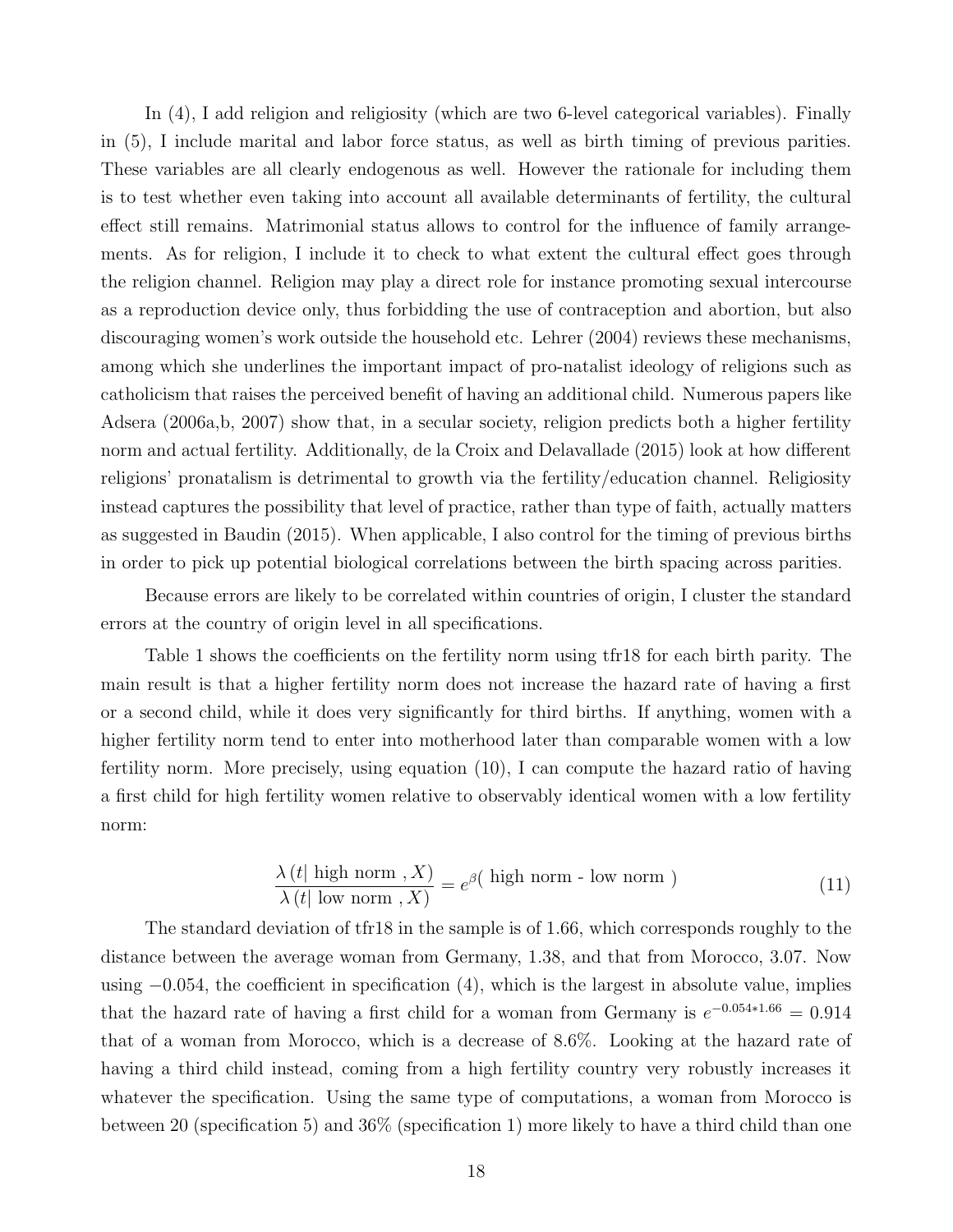In (4), I add religion and religiosity (which are two 6-level categorical variables). Finally in (5), I include marital and labor force status, as well as birth timing of previous parities. These variables are all clearly endogenous as well. However the rationale for including them is to test whether even taking into account all available determinants of fertility, the cultural effect still remains. Matrimonial status allows to control for the influence of family arrangements. As for religion, I include it to check to what extent the cultural effect goes through the religion channel. Religion may play a direct role for instance promoting sexual intercourse as a reproduction device only, thus forbidding the use of contraception and abortion, but also discouraging women's work outside the household etc. Lehrer (2004) reviews these mechanisms, among which she underlines the important impact of pro-natalist ideology of religions such as catholicism that raises the perceived benefit of having an additional child. Numerous papers like Adsera (2006a,b, 2007) show that, in a secular society, religion predicts both a higher fertility norm and actual fertility. Additionally, de la Croix and Delavallade (2015) look at how different religions' pronatalism is detrimental to growth via the fertility/education channel. Religiosity instead captures the possibility that level of practice, rather than type of faith, actually matters as suggested in Baudin (2015). When applicable, I also control for the timing of previous births in order to pick up potential biological correlations between the birth spacing across parities.

Because errors are likely to be correlated within countries of origin, I cluster the standard errors at the country of origin level in all specifications.

Table 1 shows the coefficients on the fertility norm using tfr18 for each birth parity. The main result is that a higher fertility norm does not increase the hazard rate of having a first or a second child, while it does very significantly for third births. If anything, women with a higher fertility norm tend to enter into motherhood later than comparable women with a low fertility norm. More precisely, using equation (10), I can compute the hazard ratio of having a first child for high fertility women relative to observably identical women with a low fertility norm:

$$
\frac{\lambda(t|\text{ high norm }, X)}{\lambda(t|\text{ low norm }, X)} = e^{\beta(\text{ high norm - low norm })}
$$
\n(11)

The standard deviation of tfr18 in the sample is of 1.66, which corresponds roughly to the distance between the average woman from Germany, 1.38, and that from Morocco, 3.07. Now using −0.054, the coefficient in specification (4), which is the largest in absolute value, implies that the hazard rate of having a first child for a woman from Germany is  $e^{-0.054*1.66} = 0.914$ that of a woman from Morocco, which is a decrease of 8.6%. Looking at the hazard rate of having a third child instead, coming from a high fertility country very robustly increases it whatever the specification. Using the same type of computations, a woman from Morocco is between 20 (specification 5) and 36% (specification 1) more likely to have a third child than one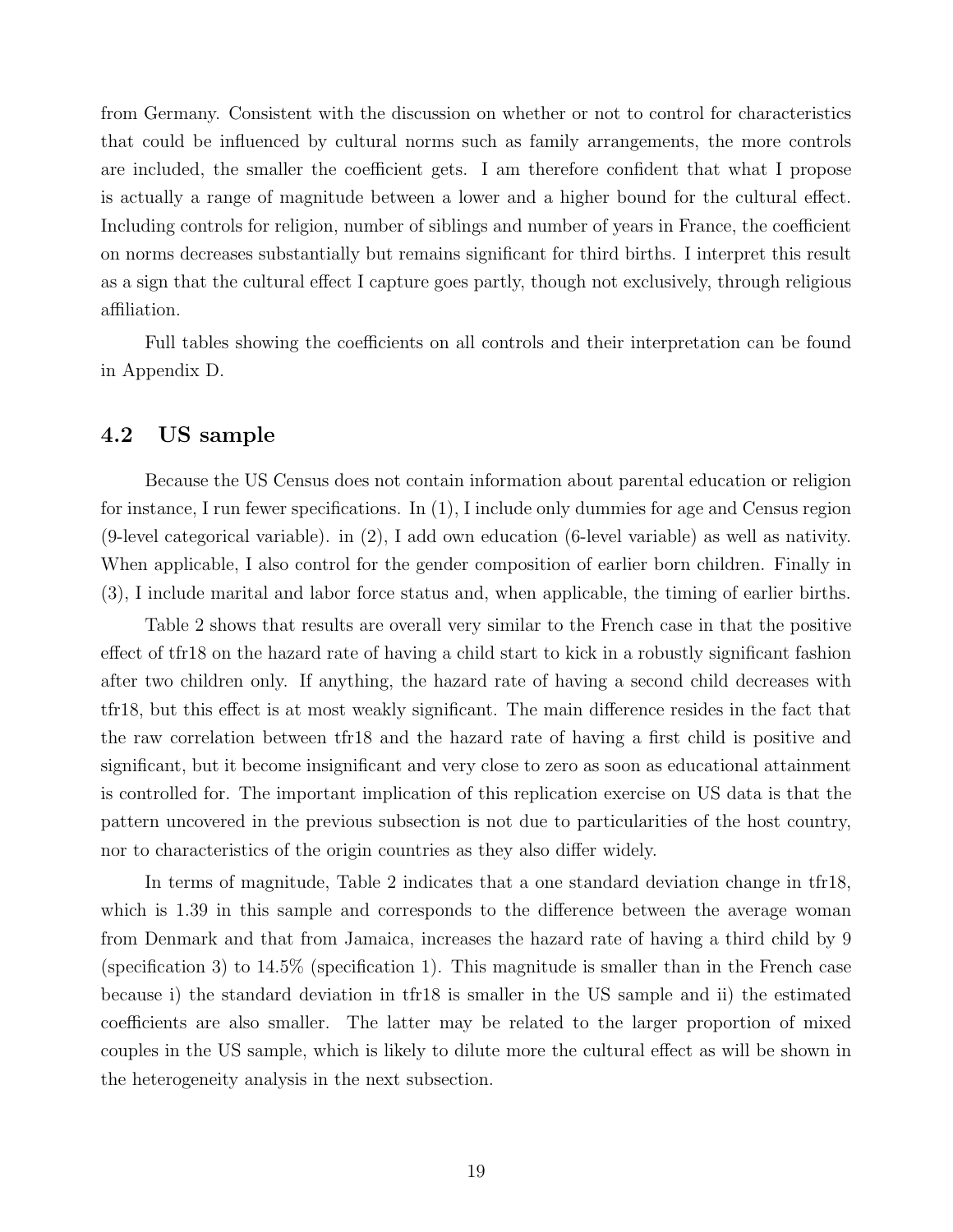from Germany. Consistent with the discussion on whether or not to control for characteristics that could be influenced by cultural norms such as family arrangements, the more controls are included, the smaller the coefficient gets. I am therefore confident that what I propose is actually a range of magnitude between a lower and a higher bound for the cultural effect. Including controls for religion, number of siblings and number of years in France, the coefficient on norms decreases substantially but remains significant for third births. I interpret this result as a sign that the cultural effect I capture goes partly, though not exclusively, through religious affiliation.

Full tables showing the coefficients on all controls and their interpretation can be found in Appendix D.

#### 4.2 US sample

Because the US Census does not contain information about parental education or religion for instance, I run fewer specifications. In (1), I include only dummies for age and Census region (9-level categorical variable). in (2), I add own education (6-level variable) as well as nativity. When applicable, I also control for the gender composition of earlier born children. Finally in (3), I include marital and labor force status and, when applicable, the timing of earlier births.

Table 2 shows that results are overall very similar to the French case in that the positive effect of tfr18 on the hazard rate of having a child start to kick in a robustly significant fashion after two children only. If anything, the hazard rate of having a second child decreases with tfr18, but this effect is at most weakly significant. The main difference resides in the fact that the raw correlation between tfr18 and the hazard rate of having a first child is positive and significant, but it become insignificant and very close to zero as soon as educational attainment is controlled for. The important implication of this replication exercise on US data is that the pattern uncovered in the previous subsection is not due to particularities of the host country, nor to characteristics of the origin countries as they also differ widely.

In terms of magnitude, Table 2 indicates that a one standard deviation change in tfr18, which is 1.39 in this sample and corresponds to the difference between the average woman from Denmark and that from Jamaica, increases the hazard rate of having a third child by 9 (specification 3) to 14.5% (specification 1). This magnitude is smaller than in the French case because i) the standard deviation in tfr18 is smaller in the US sample and ii) the estimated coefficients are also smaller. The latter may be related to the larger proportion of mixed couples in the US sample, which is likely to dilute more the cultural effect as will be shown in the heterogeneity analysis in the next subsection.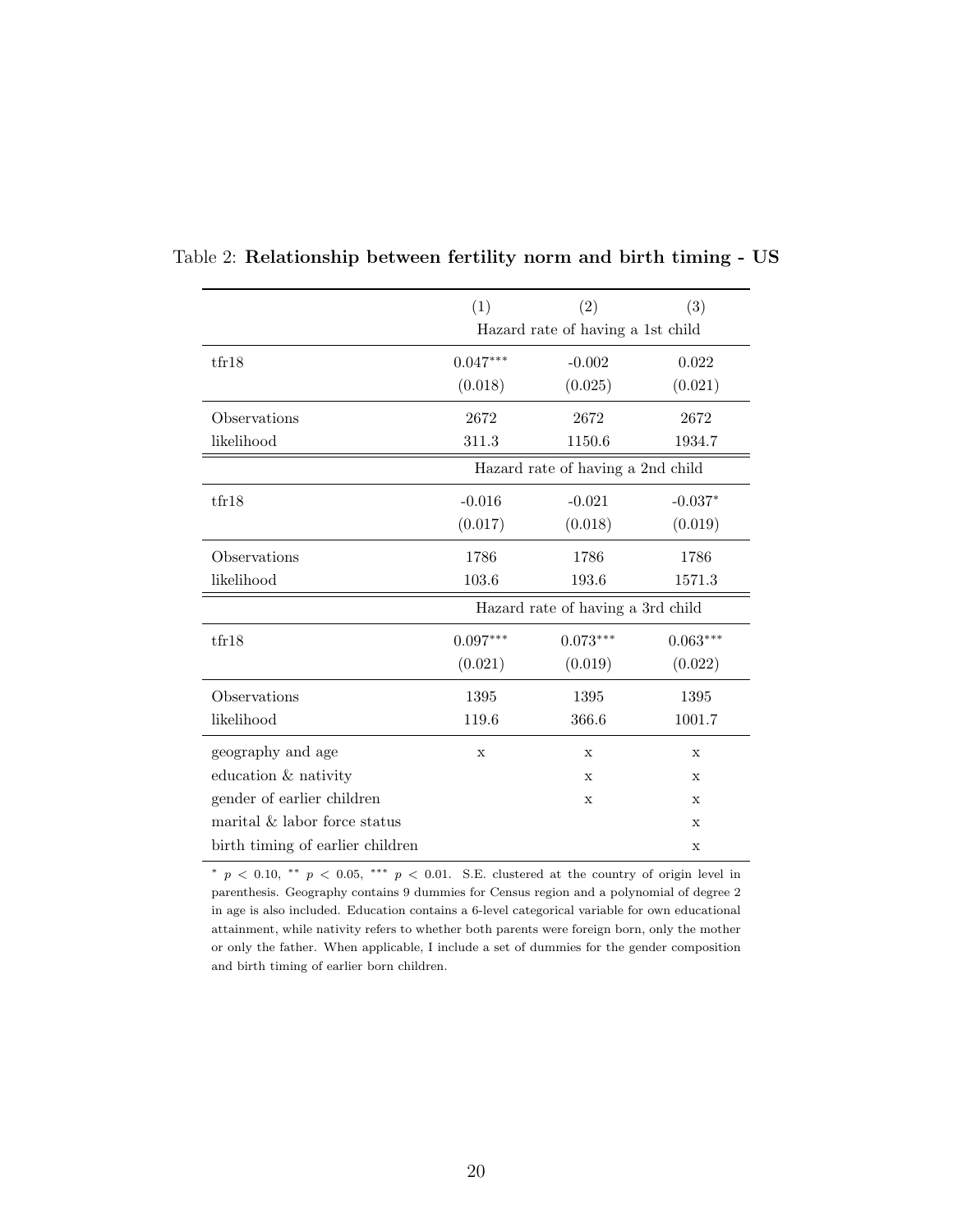|                                  | (1)                               | (2)                               | (3)         |  |  |  |
|----------------------------------|-----------------------------------|-----------------------------------|-------------|--|--|--|
|                                  | Hazard rate of having a 1st child |                                   |             |  |  |  |
| tfr18                            | $0.047***$                        | $-0.002$                          | 0.022       |  |  |  |
|                                  | (0.018)                           | (0.025)                           | (0.021)     |  |  |  |
| Observations                     | 2672                              | 2672                              | 2672        |  |  |  |
| likelihood                       | 311.3                             | 1150.6                            | 1934.7      |  |  |  |
|                                  |                                   | Hazard rate of having a 2nd child |             |  |  |  |
| tfr18                            | $-0.016$                          | $-0.021$                          | $-0.037*$   |  |  |  |
|                                  | (0.017)                           | (0.018)                           | (0.019)     |  |  |  |
| Observations                     | 1786                              | 1786                              | 1786        |  |  |  |
| likelihood                       | 103.6                             | 193.6                             | 1571.3      |  |  |  |
|                                  |                                   | Hazard rate of having a 3rd child |             |  |  |  |
| tfr18                            | $0.097***$                        | $0.073***$                        | $0.063***$  |  |  |  |
|                                  | (0.021)                           | (0.019)                           | (0.022)     |  |  |  |
| Observations                     | 1395                              | 1395                              | 1395        |  |  |  |
| likelihood                       | 119.6                             | 366.6                             | 1001.7      |  |  |  |
| geography and age                | X                                 | $\mathbf{x}$                      | X           |  |  |  |
| education & nativity             |                                   | X                                 | X           |  |  |  |
| gender of earlier children       |                                   | $\mathbf x$                       | X           |  |  |  |
| marital & labor force status     |                                   |                                   | $\mathbf X$ |  |  |  |
| birth timing of earlier children |                                   |                                   | $\mathbf x$ |  |  |  |

Table 2: Relationship between fertility norm and birth timing - US

<sup>∗</sup> p < 0.10, ∗∗ p < 0.05, ∗∗∗ p < 0.01. S.E. clustered at the country of origin level in parenthesis. Geography contains 9 dummies for Census region and a polynomial of degree 2 in age is also included. Education contains a 6-level categorical variable for own educational attainment, while nativity refers to whether both parents were foreign born, only the mother or only the father. When applicable, I include a set of dummies for the gender composition and birth timing of earlier born children.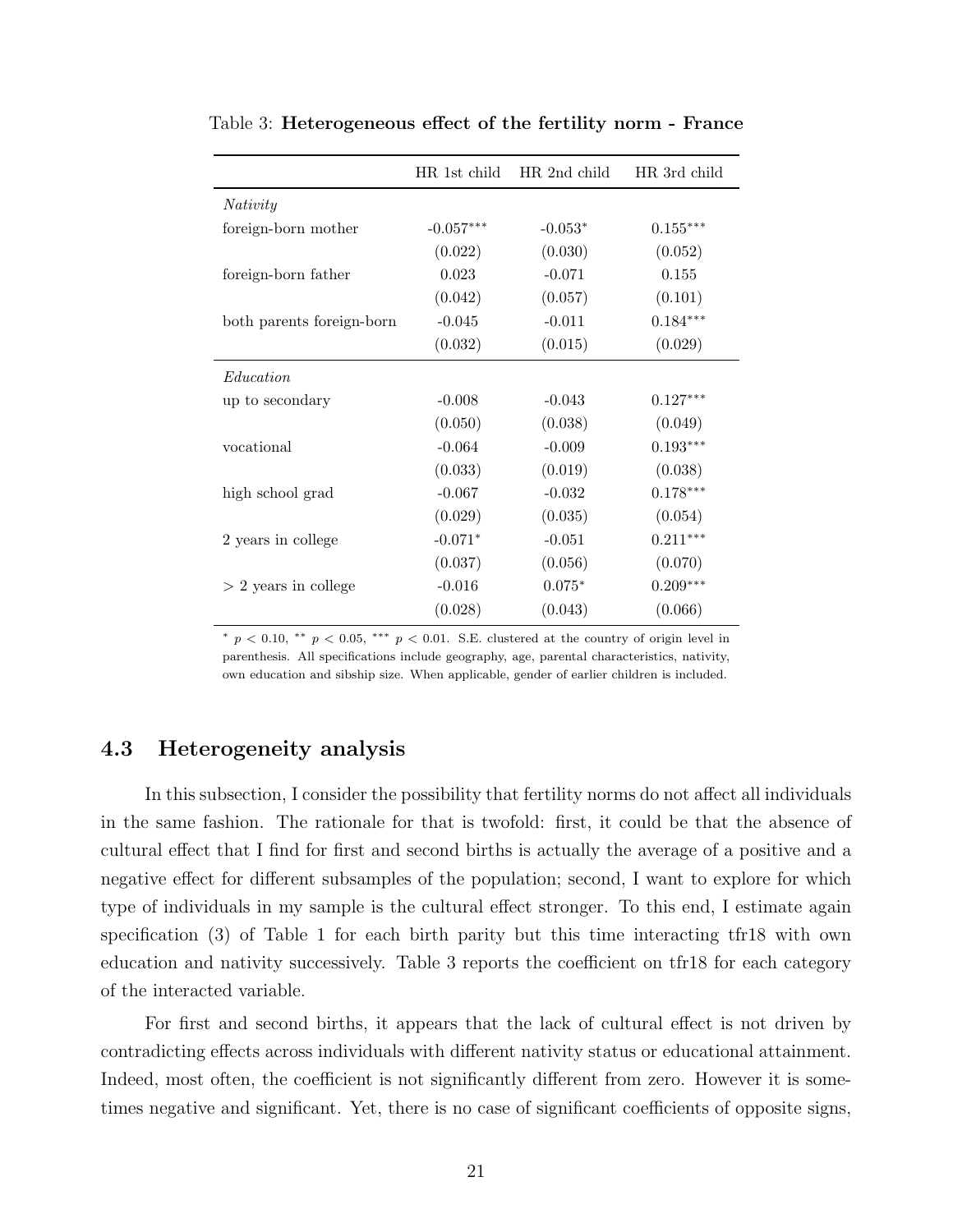|                           | HR 1st child | HR 2nd child | HR 3rd child |
|---------------------------|--------------|--------------|--------------|
| Nativity                  |              |              |              |
| foreign-born mother       | $-0.057***$  | $-0.053*$    | $0.155***$   |
|                           | (0.022)      | (0.030)      | (0.052)      |
| foreign-born father       | 0.023        | $-0.071$     | 0.155        |
|                           | (0.042)      | (0.057)      | (0.101)      |
| both parents foreign-born | $-0.045$     | $-0.011$     | $0.184***$   |
|                           | (0.032)      | (0.015)      | (0.029)      |
| Education                 |              |              |              |
| up to secondary           | $-0.008$     | $-0.043$     | $0.127***$   |
|                           | (0.050)      | (0.038)      | (0.049)      |
| vocational                | $-0.064$     | $-0.009$     | $0.193***$   |
|                           | (0.033)      | (0.019)      | (0.038)      |
| high school grad          | $-0.067$     | $-0.032$     | $0.178***$   |
|                           | (0.029)      | (0.035)      | (0.054)      |
| 2 years in college        | $-0.071*$    | $-0.051$     | $0.211***$   |
|                           | (0.037)      | (0.056)      | (0.070)      |
| $> 2$ years in college    | $-0.016$     | $0.075*$     | $0.209***$   |
|                           | (0.028)      | (0.043)      | (0.066)      |
|                           |              |              |              |

Table 3: Heterogeneous effect of the fertility norm - France

<sup>∗</sup> p < 0.10, ∗∗ p < 0.05, ∗∗∗ p < 0.01. S.E. clustered at the country of origin level in parenthesis. All specifications include geography, age, parental characteristics, nativity, own education and sibship size. When applicable, gender of earlier children is included.

#### 4.3 Heterogeneity analysis

In this subsection, I consider the possibility that fertility norms do not affect all individuals in the same fashion. The rationale for that is twofold: first, it could be that the absence of cultural effect that I find for first and second births is actually the average of a positive and a negative effect for different subsamples of the population; second, I want to explore for which type of individuals in my sample is the cultural effect stronger. To this end, I estimate again specification (3) of Table 1 for each birth parity but this time interacting tfr18 with own education and nativity successively. Table 3 reports the coefficient on tfr18 for each category of the interacted variable.

For first and second births, it appears that the lack of cultural effect is not driven by contradicting effects across individuals with different nativity status or educational attainment. Indeed, most often, the coefficient is not significantly different from zero. However it is sometimes negative and significant. Yet, there is no case of significant coefficients of opposite signs,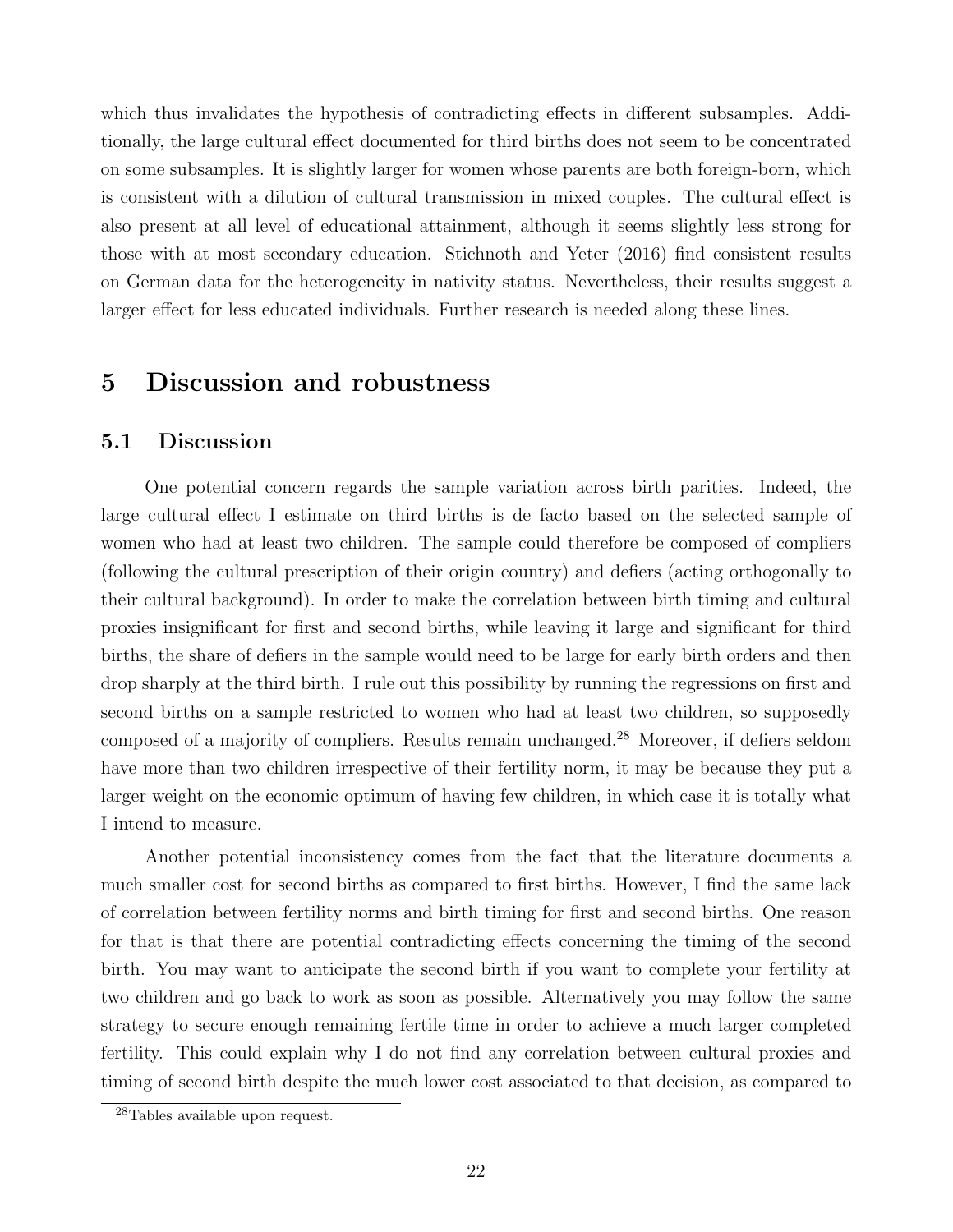which thus invalidates the hypothesis of contradicting effects in different subsamples. Additionally, the large cultural effect documented for third births does not seem to be concentrated on some subsamples. It is slightly larger for women whose parents are both foreign-born, which is consistent with a dilution of cultural transmission in mixed couples. The cultural effect is also present at all level of educational attainment, although it seems slightly less strong for those with at most secondary education. Stichnoth and Yeter (2016) find consistent results on German data for the heterogeneity in nativity status. Nevertheless, their results suggest a larger effect for less educated individuals. Further research is needed along these lines.

## 5 Discussion and robustness

#### 5.1 Discussion

One potential concern regards the sample variation across birth parities. Indeed, the large cultural effect I estimate on third births is de facto based on the selected sample of women who had at least two children. The sample could therefore be composed of compliers (following the cultural prescription of their origin country) and defiers (acting orthogonally to their cultural background). In order to make the correlation between birth timing and cultural proxies insignificant for first and second births, while leaving it large and significant for third births, the share of defiers in the sample would need to be large for early birth orders and then drop sharply at the third birth. I rule out this possibility by running the regressions on first and second births on a sample restricted to women who had at least two children, so supposedly composed of a majority of compliers. Results remain unchanged.<sup>28</sup> Moreover, if defiers seldom have more than two children irrespective of their fertility norm, it may be because they put a larger weight on the economic optimum of having few children, in which case it is totally what I intend to measure.

Another potential inconsistency comes from the fact that the literature documents a much smaller cost for second births as compared to first births. However, I find the same lack of correlation between fertility norms and birth timing for first and second births. One reason for that is that there are potential contradicting effects concerning the timing of the second birth. You may want to anticipate the second birth if you want to complete your fertility at two children and go back to work as soon as possible. Alternatively you may follow the same strategy to secure enough remaining fertile time in order to achieve a much larger completed fertility. This could explain why I do not find any correlation between cultural proxies and timing of second birth despite the much lower cost associated to that decision, as compared to

<sup>28</sup>Tables available upon request.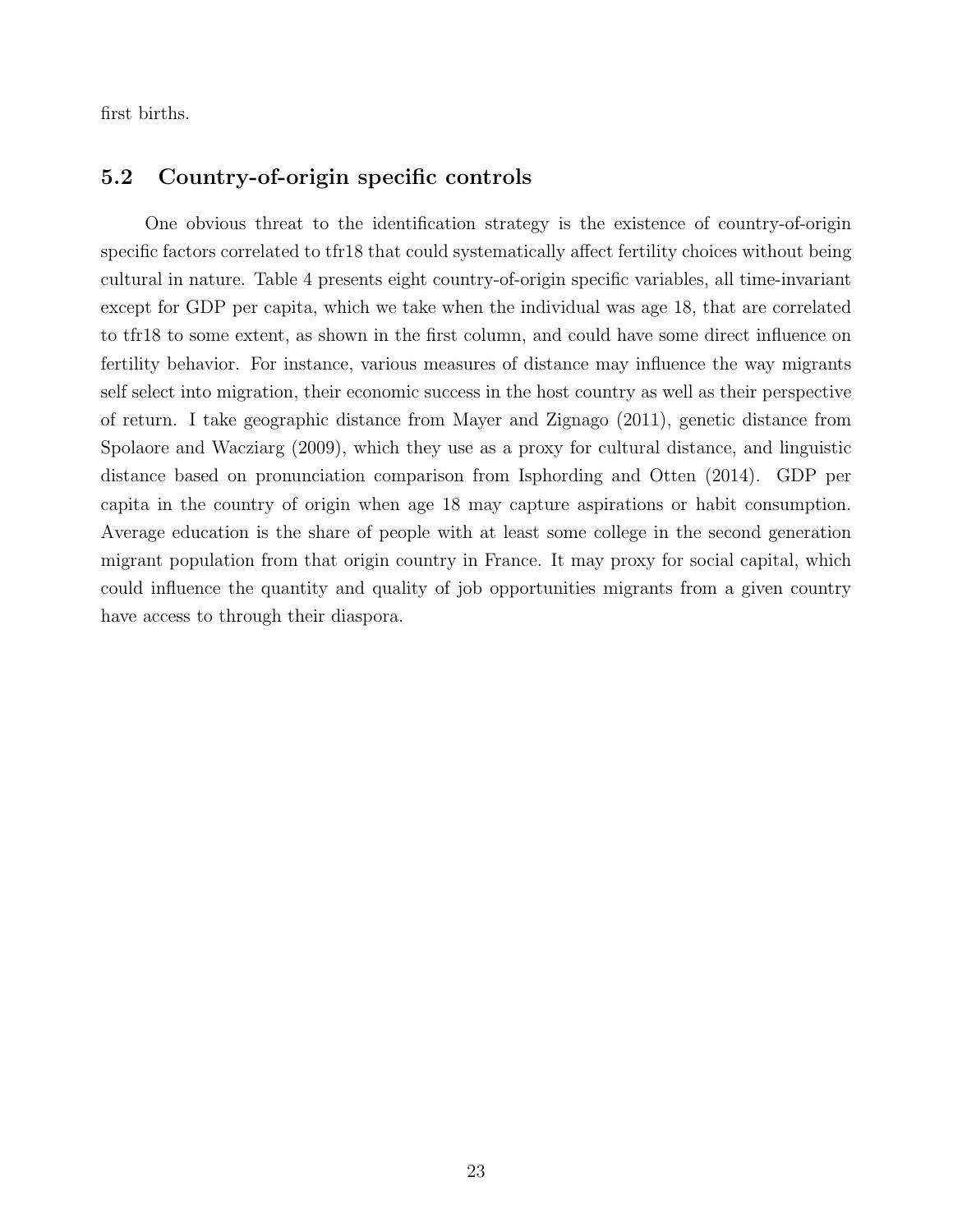first births.

#### 5.2 Country-of-origin specific controls

One obvious threat to the identification strategy is the existence of country-of-origin specific factors correlated to tfr18 that could systematically affect fertility choices without being cultural in nature. Table 4 presents eight country-of-origin specific variables, all time-invariant except for GDP per capita, which we take when the individual was age 18, that are correlated to tfr18 to some extent, as shown in the first column, and could have some direct influence on fertility behavior. For instance, various measures of distance may influence the way migrants self select into migration, their economic success in the host country as well as their perspective of return. I take geographic distance from Mayer and Zignago (2011), genetic distance from Spolaore and Wacziarg (2009), which they use as a proxy for cultural distance, and linguistic distance based on pronunciation comparison from Isphording and Otten (2014). GDP per capita in the country of origin when age 18 may capture aspirations or habit consumption. Average education is the share of people with at least some college in the second generation migrant population from that origin country in France. It may proxy for social capital, which could influence the quantity and quality of job opportunities migrants from a given country have access to through their diaspora.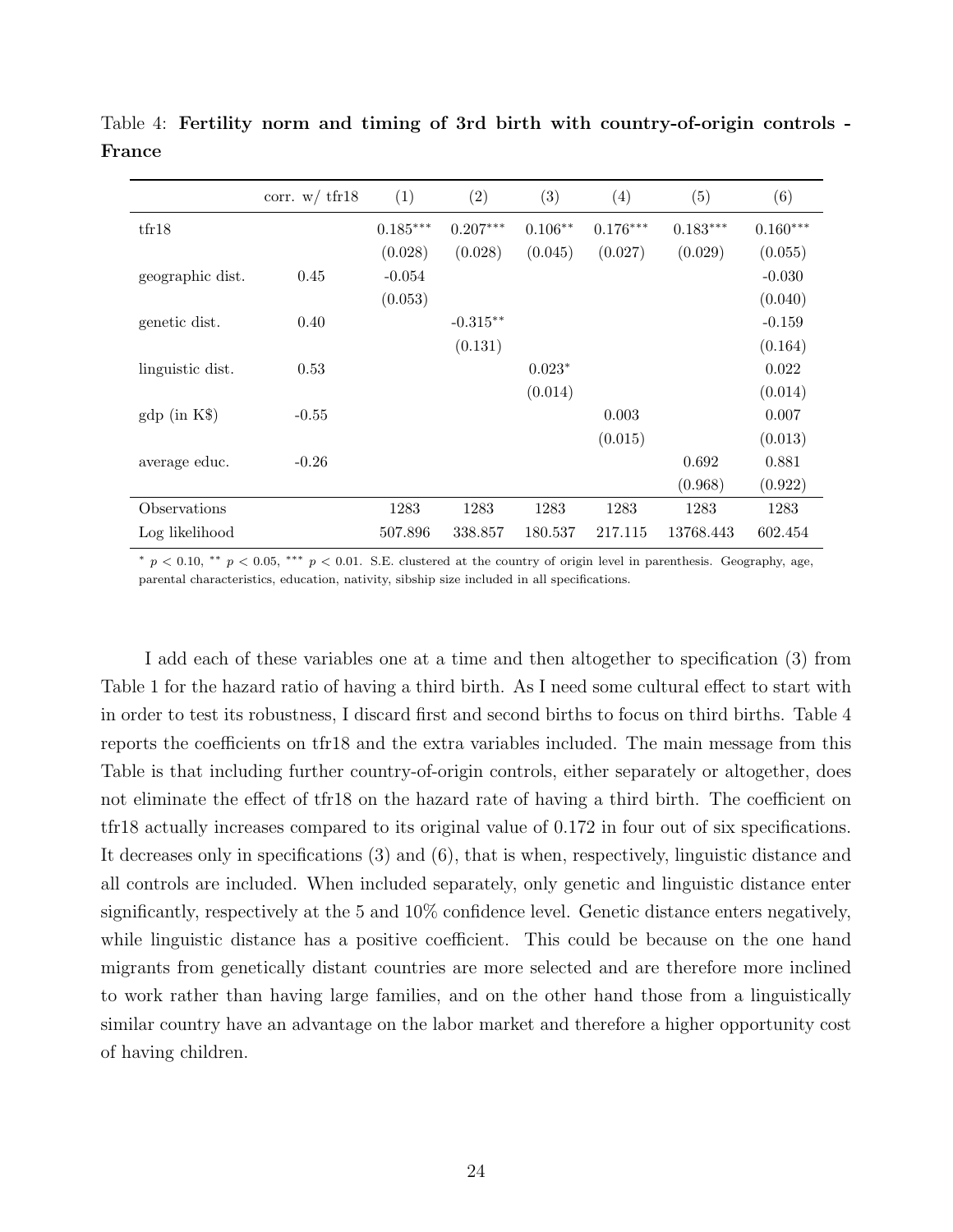|                       | corr. $w/\text{tfr18}$ | (1)        | (2)        | (3)       | (4)        | (5)        | (6)        |
|-----------------------|------------------------|------------|------------|-----------|------------|------------|------------|
| tfr18                 |                        | $0.185***$ | $0.207***$ | $0.106**$ | $0.176***$ | $0.183***$ | $0.160***$ |
|                       |                        | (0.028)    | (0.028)    | (0.045)   | (0.027)    | (0.029)    | (0.055)    |
| geographic dist.      | 0.45                   | $-0.054$   |            |           |            |            | $-0.030$   |
|                       |                        | (0.053)    |            |           |            |            | (0.040)    |
| genetic dist.         | 0.40                   |            | $-0.315**$ |           |            |            | $-0.159$   |
|                       |                        |            | (0.131)    |           |            |            | (0.164)    |
| linguistic dist.      | 0.53                   |            |            | $0.023*$  |            |            | 0.022      |
|                       |                        |            |            | (0.014)   |            |            | (0.014)    |
| $\text{gdp}$ (in K\$) | $-0.55$                |            |            |           | 0.003      |            | 0.007      |
|                       |                        |            |            |           | (0.015)    |            | (0.013)    |
| average educ.         | $-0.26$                |            |            |           |            | 0.692      | 0.881      |
|                       |                        |            |            |           |            | (0.968)    | (0.922)    |
| Observations          |                        | 1283       | 1283       | 1283      | 1283       | 1283       | 1283       |
| Log likelihood        |                        | 507.896    | 338.857    | 180.537   | 217.115    | 13768.443  | 602.454    |

Table 4: Fertility norm and timing of 3rd birth with country-of-origin controls - France

\* p < 0.10, \*\* p < 0.05, \*\*\* p < 0.01. S.E. clustered at the country of origin level in parenthesis. Geography, age, parental characteristics, education, nativity, sibship size included in all specifications.

I add each of these variables one at a time and then altogether to specification (3) from Table 1 for the hazard ratio of having a third birth. As I need some cultural effect to start with in order to test its robustness, I discard first and second births to focus on third births. Table 4 reports the coefficients on tfr18 and the extra variables included. The main message from this Table is that including further country-of-origin controls, either separately or altogether, does not eliminate the effect of tfr18 on the hazard rate of having a third birth. The coefficient on tfr18 actually increases compared to its original value of 0.172 in four out of six specifications. It decreases only in specifications (3) and (6), that is when, respectively, linguistic distance and all controls are included. When included separately, only genetic and linguistic distance enter significantly, respectively at the 5 and 10% confidence level. Genetic distance enters negatively, while linguistic distance has a positive coefficient. This could be because on the one hand migrants from genetically distant countries are more selected and are therefore more inclined to work rather than having large families, and on the other hand those from a linguistically similar country have an advantage on the labor market and therefore a higher opportunity cost of having children.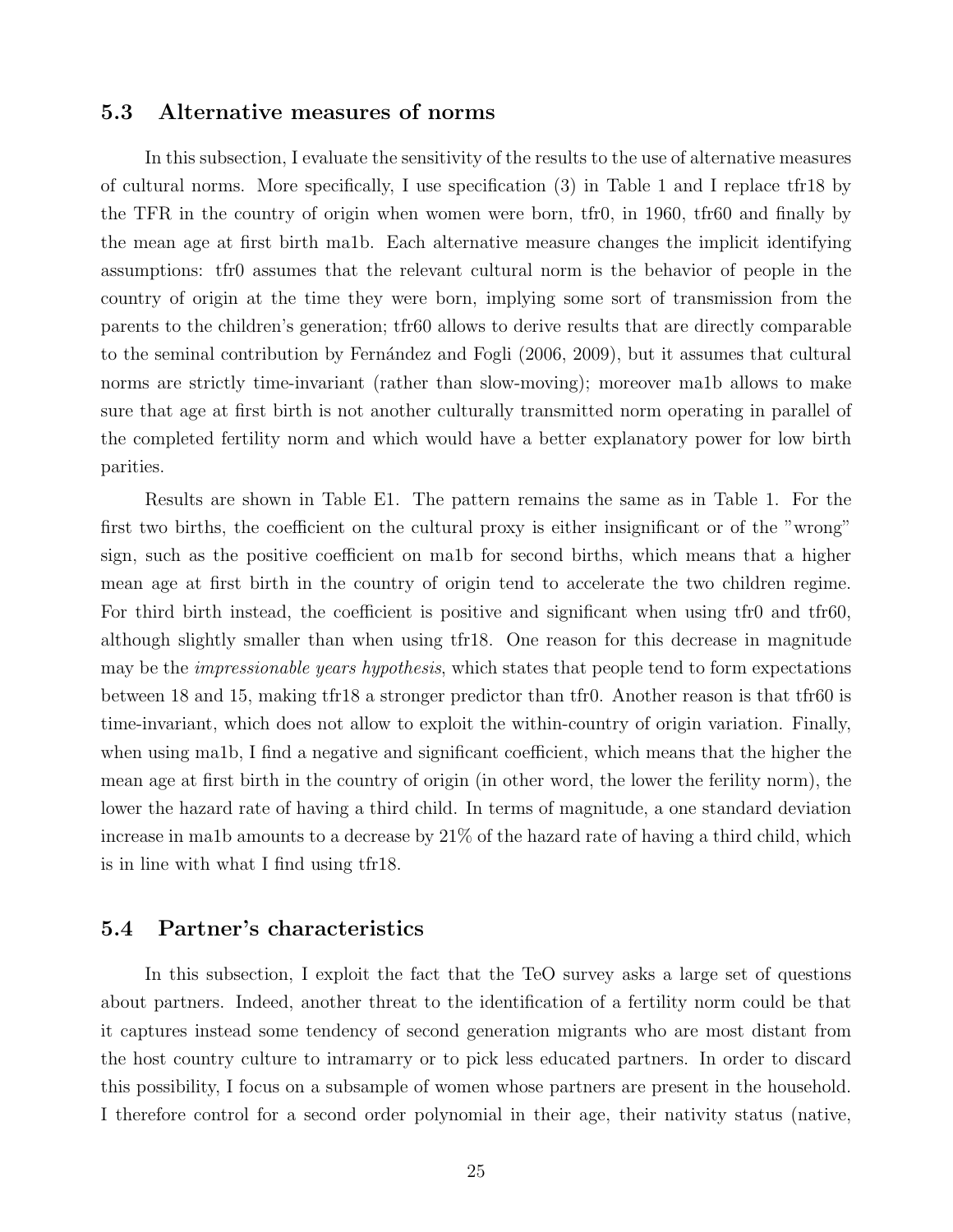#### 5.3 Alternative measures of norms

In this subsection, I evaluate the sensitivity of the results to the use of alternative measures of cultural norms. More specifically, I use specification (3) in Table 1 and I replace tfr18 by the TFR in the country of origin when women were born, tfr0, in 1960, tfr60 and finally by the mean age at first birth ma1b. Each alternative measure changes the implicit identifying assumptions: tfr0 assumes that the relevant cultural norm is the behavior of people in the country of origin at the time they were born, implying some sort of transmission from the parents to the children's generation; tfr60 allows to derive results that are directly comparable to the seminal contribution by Fernández and Fogli (2006, 2009), but it assumes that cultural norms are strictly time-invariant (rather than slow-moving); moreover ma1b allows to make sure that age at first birth is not another culturally transmitted norm operating in parallel of the completed fertility norm and which would have a better explanatory power for low birth parities.

Results are shown in Table E1. The pattern remains the same as in Table 1. For the first two births, the coefficient on the cultural proxy is either insignificant or of the "wrong" sign, such as the positive coefficient on ma1b for second births, which means that a higher mean age at first birth in the country of origin tend to accelerate the two children regime. For third birth instead, the coefficient is positive and significant when using tfr0 and tfr60, although slightly smaller than when using tfr18. One reason for this decrease in magnitude may be the *impressionable years hypothesis*, which states that people tend to form expectations between 18 and 15, making tfr18 a stronger predictor than tfr0. Another reason is that tfr60 is time-invariant, which does not allow to exploit the within-country of origin variation. Finally, when using ma1b, I find a negative and significant coefficient, which means that the higher the mean age at first birth in the country of origin (in other word, the lower the ferility norm), the lower the hazard rate of having a third child. In terms of magnitude, a one standard deviation increase in ma1b amounts to a decrease by 21% of the hazard rate of having a third child, which is in line with what I find using tfr18.

#### 5.4 Partner's characteristics

In this subsection, I exploit the fact that the TeO survey asks a large set of questions about partners. Indeed, another threat to the identification of a fertility norm could be that it captures instead some tendency of second generation migrants who are most distant from the host country culture to intramarry or to pick less educated partners. In order to discard this possibility, I focus on a subsample of women whose partners are present in the household. I therefore control for a second order polynomial in their age, their nativity status (native,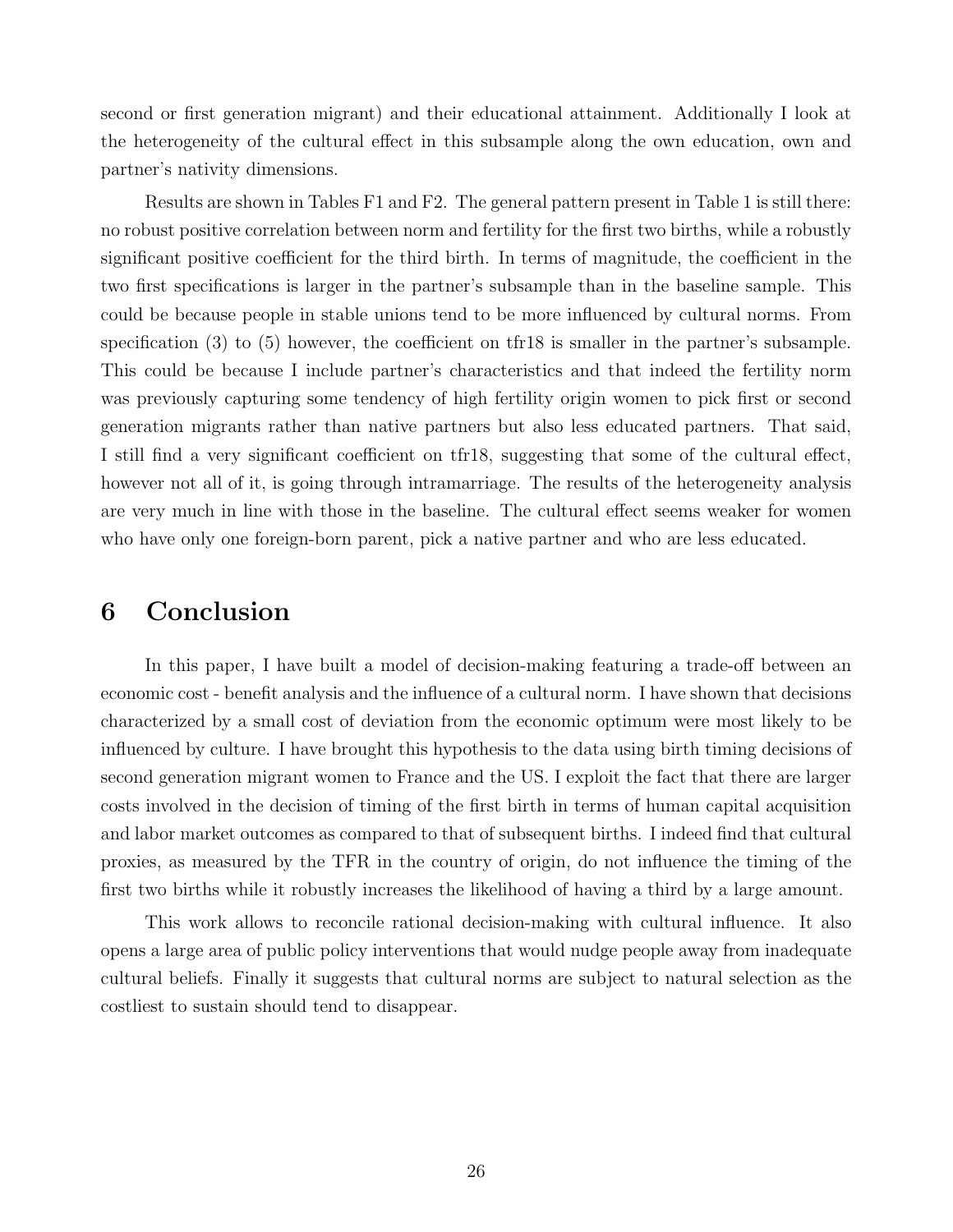second or first generation migrant) and their educational attainment. Additionally I look at the heterogeneity of the cultural effect in this subsample along the own education, own and partner's nativity dimensions.

Results are shown in Tables F1 and F2. The general pattern present in Table 1 is still there: no robust positive correlation between norm and fertility for the first two births, while a robustly significant positive coefficient for the third birth. In terms of magnitude, the coefficient in the two first specifications is larger in the partner's subsample than in the baseline sample. This could be because people in stable unions tend to be more influenced by cultural norms. From specification (3) to (5) however, the coefficient on tfr18 is smaller in the partner's subsample. This could be because I include partner's characteristics and that indeed the fertility norm was previously capturing some tendency of high fertility origin women to pick first or second generation migrants rather than native partners but also less educated partners. That said, I still find a very significant coefficient on tfr18, suggesting that some of the cultural effect, however not all of it, is going through intramarriage. The results of the heterogeneity analysis are very much in line with those in the baseline. The cultural effect seems weaker for women who have only one foreign-born parent, pick a native partner and who are less educated.

## 6 Conclusion

In this paper, I have built a model of decision-making featuring a trade-off between an economic cost - benefit analysis and the influence of a cultural norm. I have shown that decisions characterized by a small cost of deviation from the economic optimum were most likely to be influenced by culture. I have brought this hypothesis to the data using birth timing decisions of second generation migrant women to France and the US. I exploit the fact that there are larger costs involved in the decision of timing of the first birth in terms of human capital acquisition and labor market outcomes as compared to that of subsequent births. I indeed find that cultural proxies, as measured by the TFR in the country of origin, do not influence the timing of the first two births while it robustly increases the likelihood of having a third by a large amount.

This work allows to reconcile rational decision-making with cultural influence. It also opens a large area of public policy interventions that would nudge people away from inadequate cultural beliefs. Finally it suggests that cultural norms are subject to natural selection as the costliest to sustain should tend to disappear.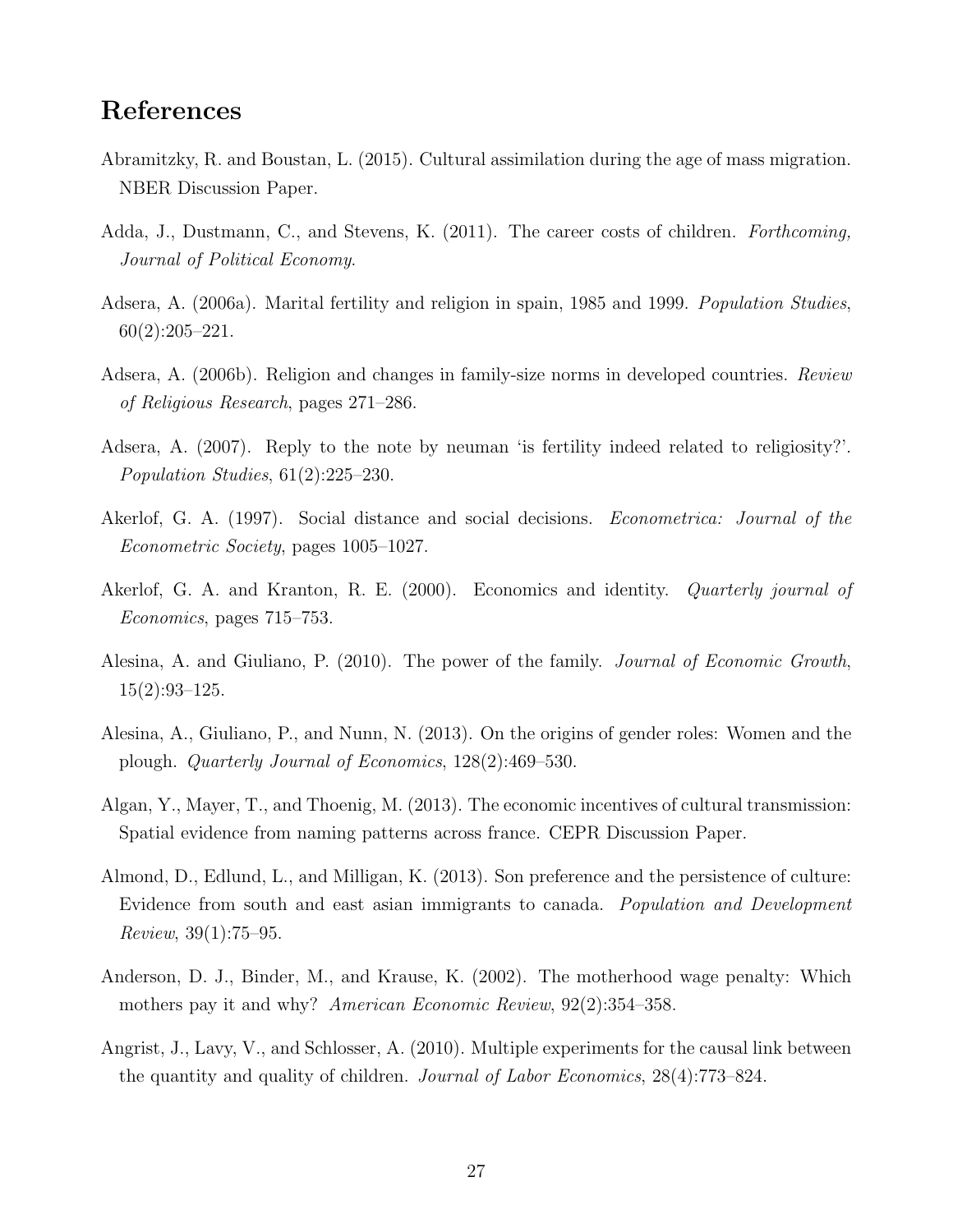## References

- Abramitzky, R. and Boustan, L. (2015). Cultural assimilation during the age of mass migration. NBER Discussion Paper.
- Adda, J., Dustmann, C., and Stevens, K. (2011). The career costs of children. *Forthcoming*, Journal of Political Economy.
- Adsera, A. (2006a). Marital fertility and religion in spain, 1985 and 1999. Population Studies,  $60(2):205-221.$
- Adsera, A. (2006b). Religion and changes in family-size norms in developed countries. Review of Religious Research, pages 271–286.
- Adsera, A. (2007). Reply to the note by neuman 'is fertility indeed related to religiosity?'. Population Studies, 61(2):225–230.
- Akerlof, G. A. (1997). Social distance and social decisions. *Econometrica: Journal of the* Econometric Society, pages 1005–1027.
- Akerlof, G. A. and Kranton, R. E. (2000). Economics and identity. Quarterly journal of Economics, pages 715–753.
- Alesina, A. and Giuliano, P. (2010). The power of the family. *Journal of Economic Growth*, 15(2):93–125.
- Alesina, A., Giuliano, P., and Nunn, N. (2013). On the origins of gender roles: Women and the plough. Quarterly Journal of Economics, 128(2):469–530.
- Algan, Y., Mayer, T., and Thoenig, M. (2013). The economic incentives of cultural transmission: Spatial evidence from naming patterns across france. CEPR Discussion Paper.
- Almond, D., Edlund, L., and Milligan, K. (2013). Son preference and the persistence of culture: Evidence from south and east asian immigrants to canada. Population and Development Review, 39(1):75–95.
- Anderson, D. J., Binder, M., and Krause, K. (2002). The motherhood wage penalty: Which mothers pay it and why? American Economic Review, 92(2):354–358.
- Angrist, J., Lavy, V., and Schlosser, A. (2010). Multiple experiments for the causal link between the quantity and quality of children. Journal of Labor Economics, 28(4):773–824.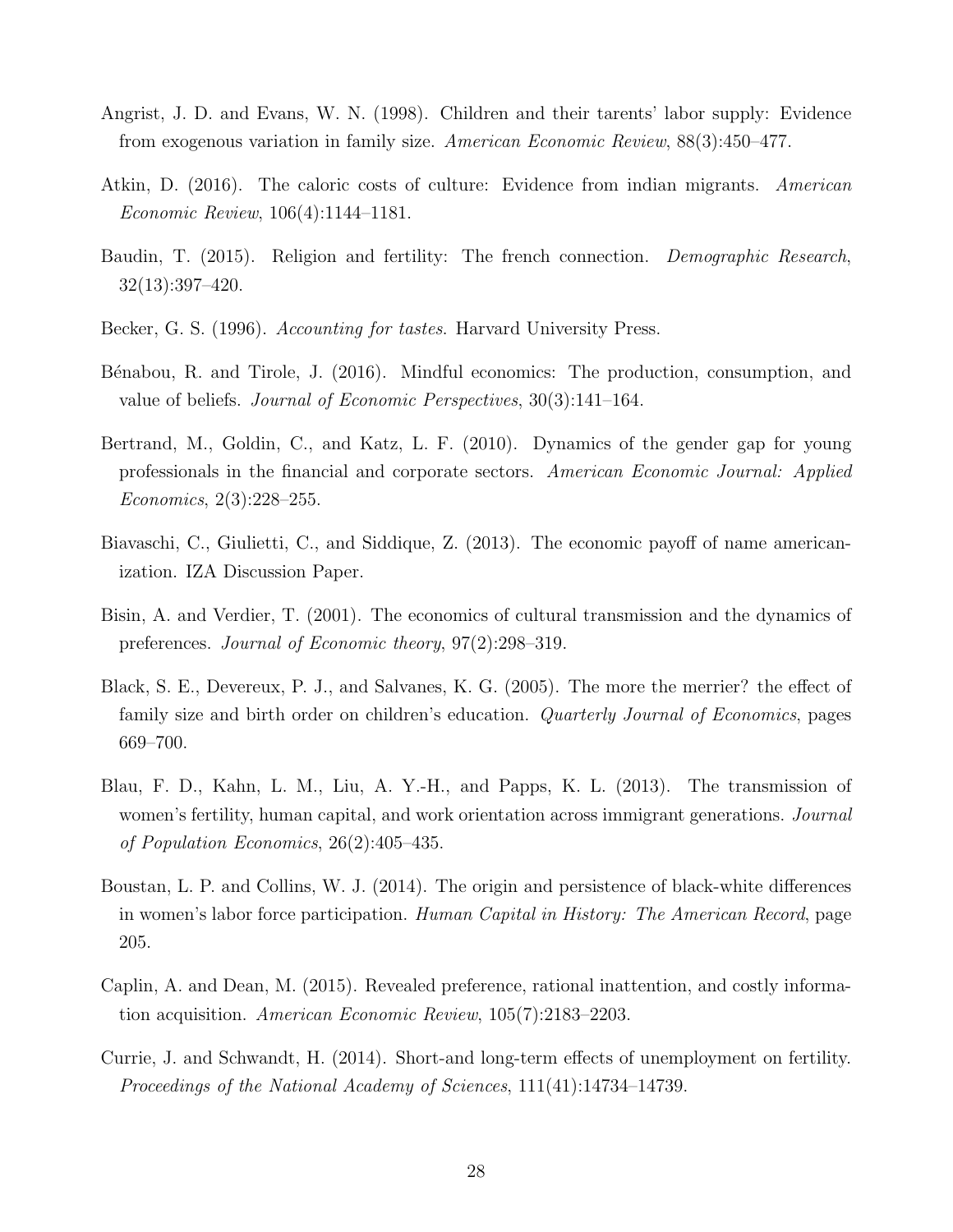- Angrist, J. D. and Evans, W. N. (1998). Children and their tarents' labor supply: Evidence from exogenous variation in family size. American Economic Review, 88(3):450–477.
- Atkin, D. (2016). The caloric costs of culture: Evidence from indian migrants. American Economic Review, 106(4):1144–1181.
- Baudin, T. (2015). Religion and fertility: The french connection. *Demographic Research*, 32(13):397–420.
- Becker, G. S. (1996). Accounting for tastes. Harvard University Press.
- Bénabou, R. and Tirole, J. (2016). Mindful economics: The production, consumption, and value of beliefs. Journal of Economic Perspectives, 30(3):141–164.
- Bertrand, M., Goldin, C., and Katz, L. F. (2010). Dynamics of the gender gap for young professionals in the financial and corporate sectors. American Economic Journal: Applied Economics, 2(3):228–255.
- Biavaschi, C., Giulietti, C., and Siddique, Z. (2013). The economic payoff of name americanization. IZA Discussion Paper.
- Bisin, A. and Verdier, T. (2001). The economics of cultural transmission and the dynamics of preferences. Journal of Economic theory, 97(2):298–319.
- Black, S. E., Devereux, P. J., and Salvanes, K. G. (2005). The more the merrier? the effect of family size and birth order on children's education. Quarterly Journal of Economics, pages 669–700.
- Blau, F. D., Kahn, L. M., Liu, A. Y.-H., and Papps, K. L. (2013). The transmission of women's fertility, human capital, and work orientation across immigrant generations. *Journal* of Population Economics, 26(2):405–435.
- Boustan, L. P. and Collins, W. J. (2014). The origin and persistence of black-white differences in women's labor force participation. Human Capital in History: The American Record, page 205.
- Caplin, A. and Dean, M. (2015). Revealed preference, rational inattention, and costly information acquisition. American Economic Review, 105(7):2183–2203.
- Currie, J. and Schwandt, H. (2014). Short-and long-term effects of unemployment on fertility. Proceedings of the National Academy of Sciences, 111(41):14734–14739.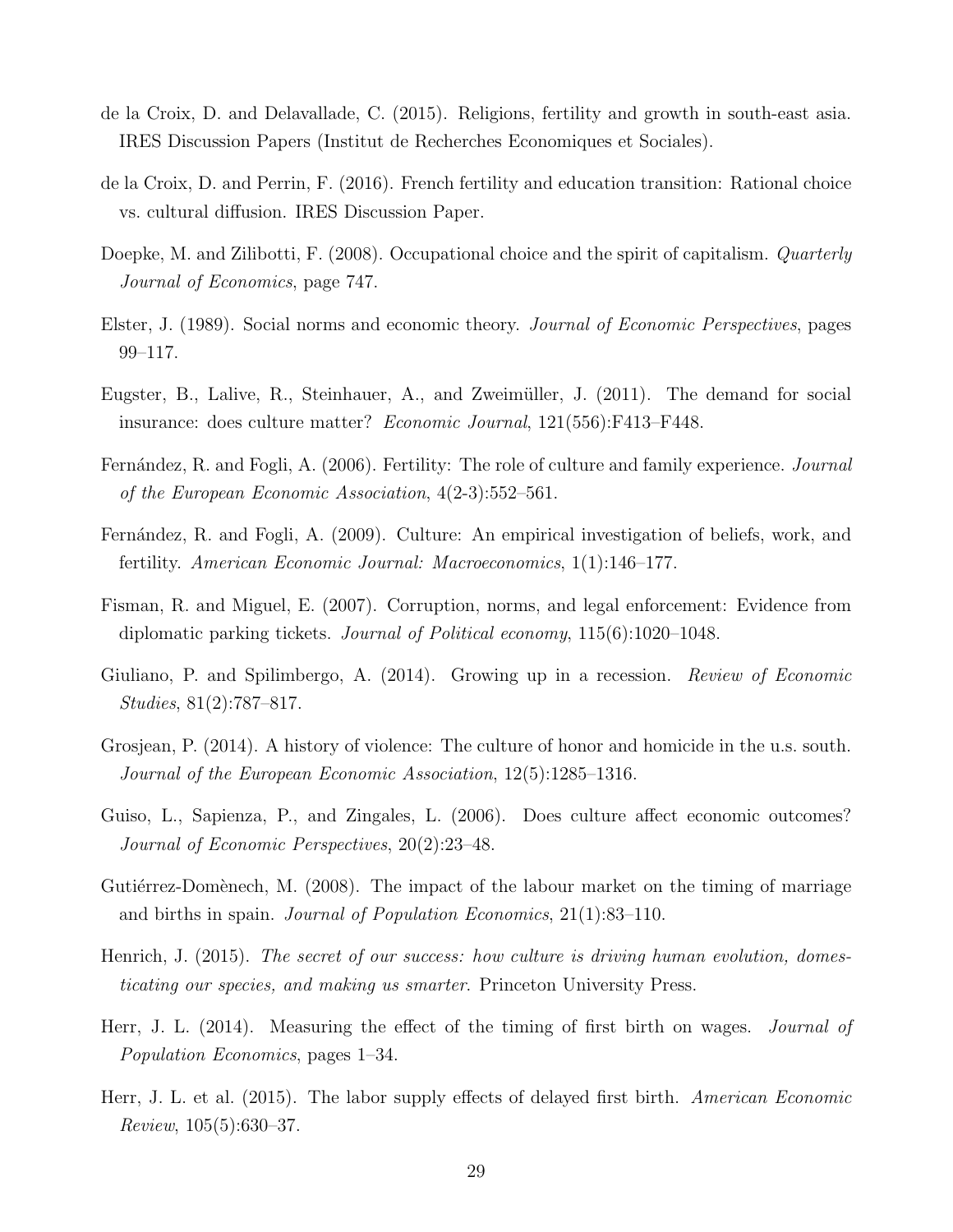- de la Croix, D. and Delavallade, C. (2015). Religions, fertility and growth in south-east asia. IRES Discussion Papers (Institut de Recherches Economiques et Sociales).
- de la Croix, D. and Perrin, F. (2016). French fertility and education transition: Rational choice vs. cultural diffusion. IRES Discussion Paper.
- Doepke, M. and Zilibotti, F. (2008). Occupational choice and the spirit of capitalism. *Quarterly* Journal of Economics, page 747.
- Elster, J. (1989). Social norms and economic theory. Journal of Economic Perspectives, pages 99–117.
- Eugster, B., Lalive, R., Steinhauer, A., and Zweimüller, J. (2011). The demand for social insurance: does culture matter? Economic Journal, 121(556):F413–F448.
- Fernández, R. and Fogli, A. (2006). Fertility: The role of culture and family experience. *Journal* of the European Economic Association, 4(2-3):552–561.
- Fernández, R. and Fogli, A. (2009). Culture: An empirical investigation of beliefs, work, and fertility. American Economic Journal: Macroeconomics, 1(1):146–177.
- Fisman, R. and Miguel, E. (2007). Corruption, norms, and legal enforcement: Evidence from diplomatic parking tickets. Journal of Political economy, 115(6):1020–1048.
- Giuliano, P. and Spilimbergo, A. (2014). Growing up in a recession. *Review of Economic* Studies, 81(2):787–817.
- Grosjean, P. (2014). A history of violence: The culture of honor and homicide in the u.s. south. Journal of the European Economic Association, 12(5):1285–1316.
- Guiso, L., Sapienza, P., and Zingales, L. (2006). Does culture affect economic outcomes? Journal of Economic Perspectives, 20(2):23–48.
- Gutiérrez-Domènech, M. (2008). The impact of the labour market on the timing of marriage and births in spain. Journal of Population Economics, 21(1):83–110.
- Henrich, J. (2015). The secret of our success: how culture is driving human evolution, domesticating our species, and making us smarter. Princeton University Press.
- Herr, J. L. (2014). Measuring the effect of the timing of first birth on wages. Journal of Population Economics, pages 1–34.
- Herr, J. L. et al. (2015). The labor supply effects of delayed first birth. American Economic Review, 105(5):630–37.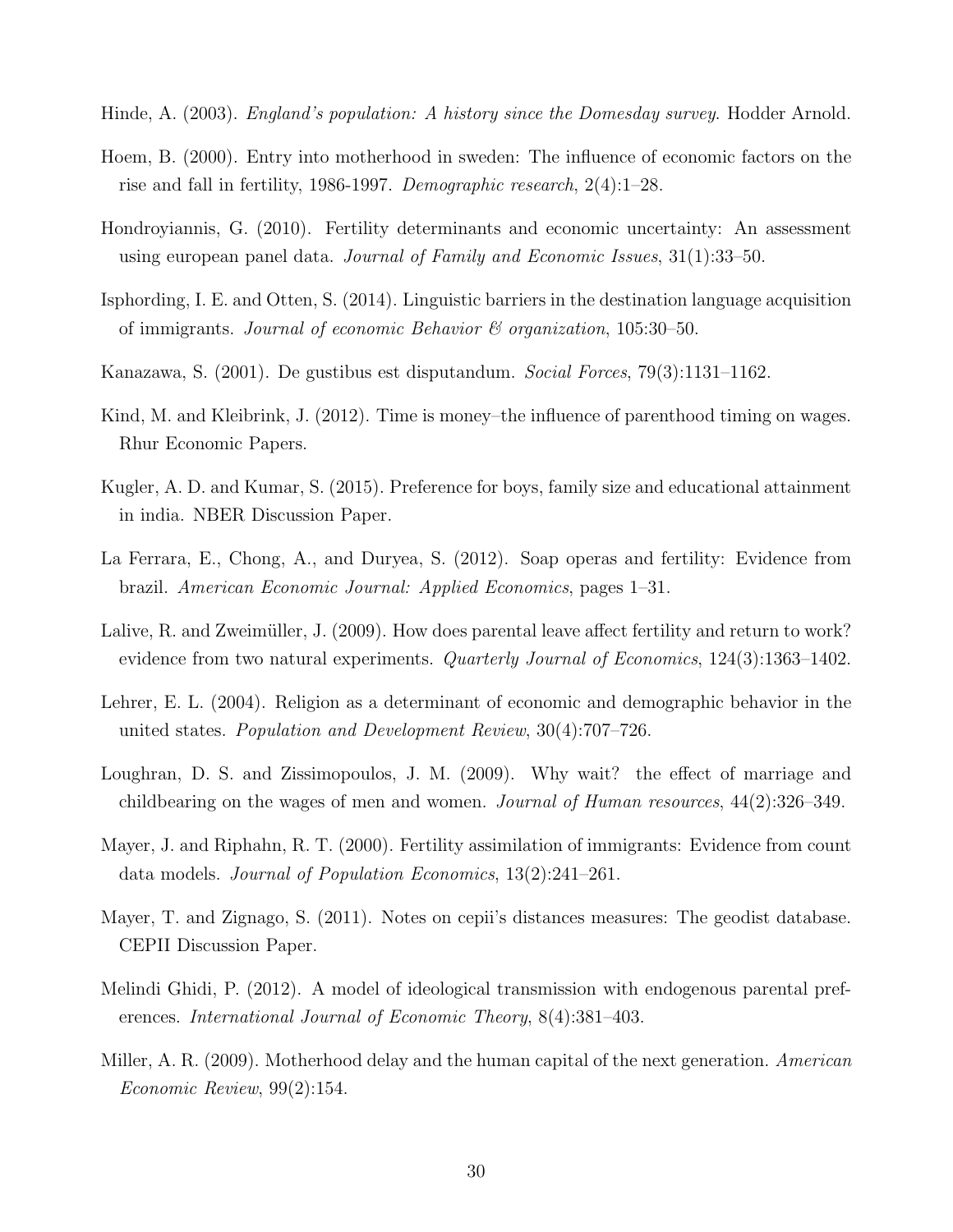- Hinde, A. (2003). England's population: A history since the Domesday survey. Hodder Arnold.
- Hoem, B. (2000). Entry into motherhood in sweden: The influence of economic factors on the rise and fall in fertility, 1986-1997. Demographic research, 2(4):1–28.
- Hondroyiannis, G. (2010). Fertility determinants and economic uncertainty: An assessment using european panel data. Journal of Family and Economic Issues, 31(1):33–50.
- Isphording, I. E. and Otten, S. (2014). Linguistic barriers in the destination language acquisition of immigrants. Journal of economic Behavior  $\mathcal C$  organization, 105:30–50.
- Kanazawa, S. (2001). De gustibus est disputandum. Social Forces, 79(3):1131–1162.
- Kind, M. and Kleibrink, J. (2012). Time is money–the influence of parenthood timing on wages. Rhur Economic Papers.
- Kugler, A. D. and Kumar, S. (2015). Preference for boys, family size and educational attainment in india. NBER Discussion Paper.
- La Ferrara, E., Chong, A., and Duryea, S. (2012). Soap operas and fertility: Evidence from brazil. American Economic Journal: Applied Economics, pages 1–31.
- Lalive, R. and Zweimüller, J. (2009). How does parental leave affect fertility and return to work? evidence from two natural experiments. Quarterly Journal of Economics, 124(3):1363–1402.
- Lehrer, E. L. (2004). Religion as a determinant of economic and demographic behavior in the united states. Population and Development Review, 30(4):707–726.
- Loughran, D. S. and Zissimopoulos, J. M. (2009). Why wait? the effect of marriage and childbearing on the wages of men and women. Journal of Human resources, 44(2):326–349.
- Mayer, J. and Riphahn, R. T. (2000). Fertility assimilation of immigrants: Evidence from count data models. Journal of Population Economics, 13(2):241–261.
- Mayer, T. and Zignago, S. (2011). Notes on cepii's distances measures: The geodist database. CEPII Discussion Paper.
- Melindi Ghidi, P. (2012). A model of ideological transmission with endogenous parental preferences. International Journal of Economic Theory, 8(4):381–403.
- Miller, A. R. (2009). Motherhood delay and the human capital of the next generation. American Economic Review, 99(2):154.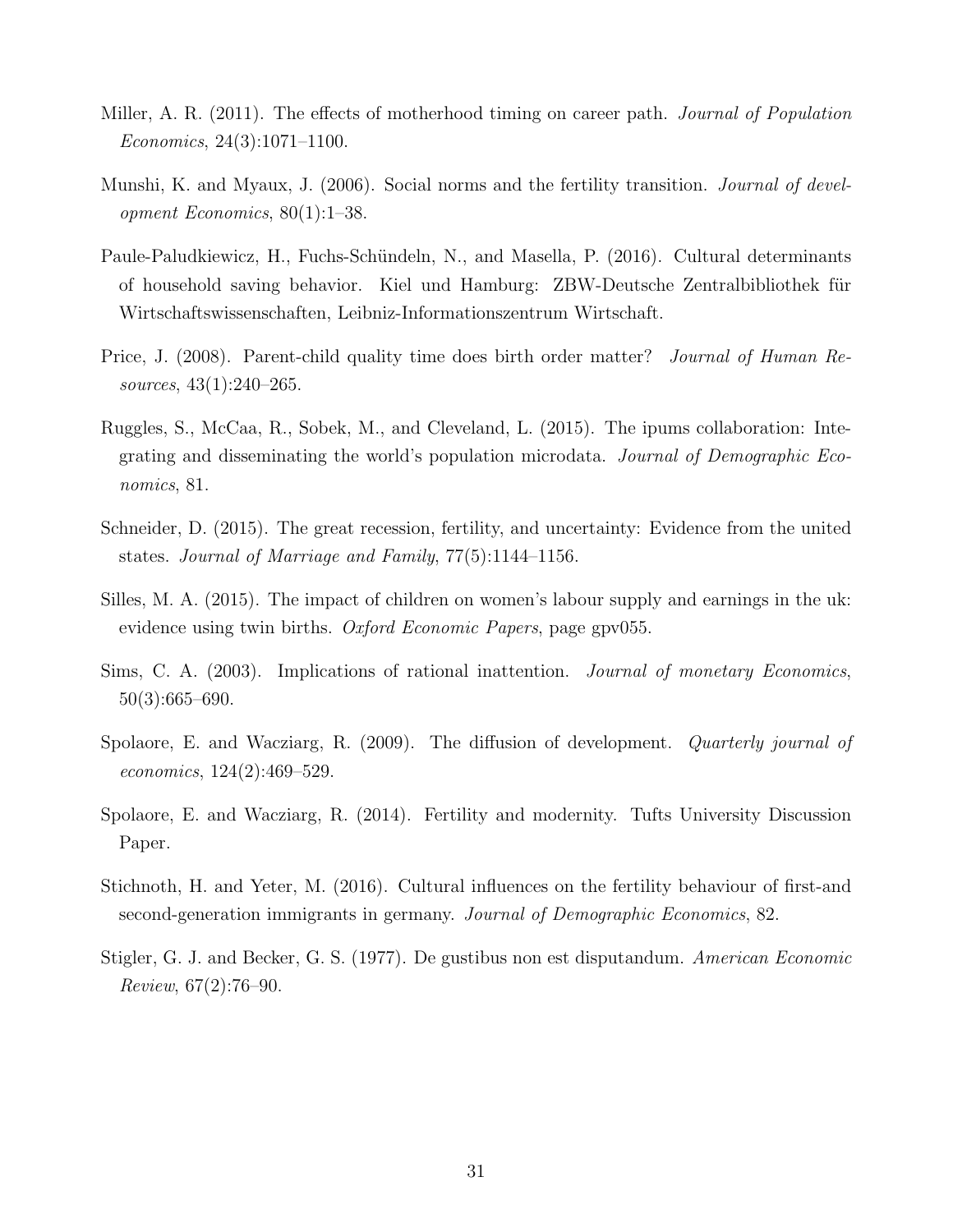- Miller, A. R. (2011). The effects of motherhood timing on career path. *Journal of Population* Economics, 24(3):1071–1100.
- Munshi, K. and Myaux, J. (2006). Social norms and the fertility transition. *Journal of devel*opment Economics, 80(1):1–38.
- Paule-Paludkiewicz, H., Fuchs-Schündeln, N., and Masella, P. (2016). Cultural determinants of household saving behavior. Kiel und Hamburg: ZBW-Deutsche Zentralbibliothek für Wirtschaftswissenschaften, Leibniz-Informationszentrum Wirtschaft.
- Price, J. (2008). Parent-child quality time does birth order matter? *Journal of Human Re*sources, 43(1):240–265.
- Ruggles, S., McCaa, R., Sobek, M., and Cleveland, L. (2015). The ipums collaboration: Integrating and disseminating the world's population microdata. Journal of Demographic Economics, 81.
- Schneider, D. (2015). The great recession, fertility, and uncertainty: Evidence from the united states. Journal of Marriage and Family, 77(5):1144–1156.
- Silles, M. A. (2015). The impact of children on women's labour supply and earnings in the uk: evidence using twin births. Oxford Economic Papers, page gpv055.
- Sims, C. A. (2003). Implications of rational inattention. *Journal of monetary Economics*, 50(3):665–690.
- Spolaore, E. and Wacziarg, R. (2009). The diffusion of development. *Quarterly journal of* economics, 124(2):469–529.
- Spolaore, E. and Wacziarg, R. (2014). Fertility and modernity. Tufts University Discussion Paper.
- Stichnoth, H. and Yeter, M. (2016). Cultural influences on the fertility behaviour of first-and second-generation immigrants in germany. Journal of Demographic Economics, 82.
- Stigler, G. J. and Becker, G. S. (1977). De gustibus non est disputandum. American Economic Review, 67(2):76–90.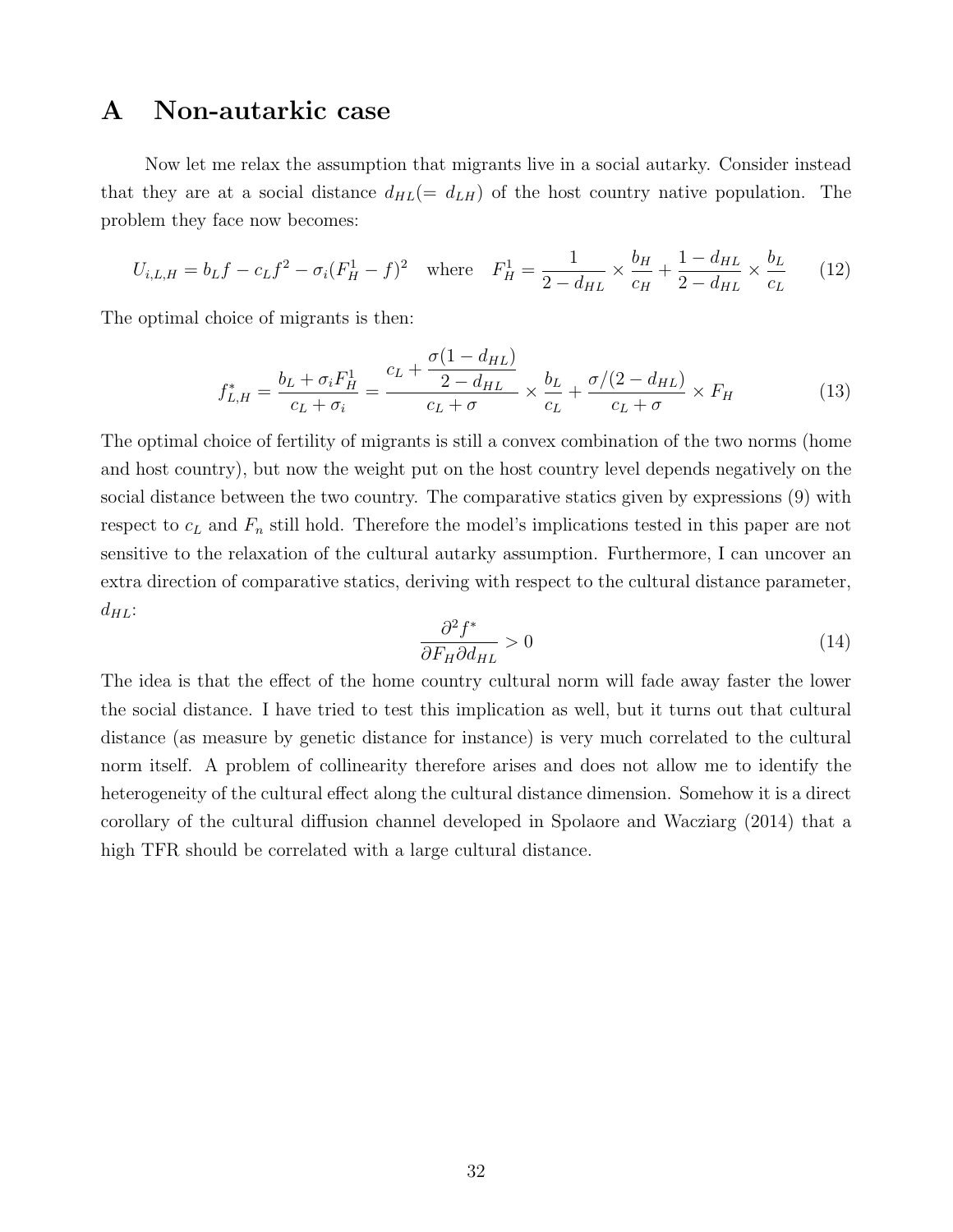## A Non-autarkic case

Now let me relax the assumption that migrants live in a social autarky. Consider instead that they are at a social distance  $d_{HL} = d_{L}$  of the host country native population. The problem they face now becomes:

$$
U_{i,L,H} = b_L f - c_L f^2 - \sigma_i (F_H^1 - f)^2 \quad \text{where} \quad F_H^1 = \frac{1}{2 - d_{HL}} \times \frac{b_H}{c_H} + \frac{1 - d_{HL}}{2 - d_{HL}} \times \frac{b_L}{c_L} \tag{12}
$$

The optimal choice of migrants is then:

$$
f_{L,H}^* = \frac{b_L + \sigma_i F_H^1}{c_L + \sigma_i} = \frac{c_L + \frac{\sigma (1 - d_{HL})}{2 - d_{HL}}}{c_L + \sigma} \times \frac{b_L}{c_L} + \frac{\sigma / (2 - d_{HL})}{c_L + \sigma} \times F_H
$$
(13)

The optimal choice of fertility of migrants is still a convex combination of the two norms (home and host country), but now the weight put on the host country level depends negatively on the social distance between the two country. The comparative statics given by expressions (9) with respect to  $c<sub>L</sub>$  and  $F<sub>n</sub>$  still hold. Therefore the model's implications tested in this paper are not sensitive to the relaxation of the cultural autarky assumption. Furthermore, I can uncover an extra direction of comparative statics, deriving with respect to the cultural distance parameter,  $d_{HL}$ :

$$
\frac{\partial^2 f^*}{\partial F_H \partial d_{HL}} > 0 \tag{14}
$$

The idea is that the effect of the home country cultural norm will fade away faster the lower the social distance. I have tried to test this implication as well, but it turns out that cultural distance (as measure by genetic distance for instance) is very much correlated to the cultural norm itself. A problem of collinearity therefore arises and does not allow me to identify the heterogeneity of the cultural effect along the cultural distance dimension. Somehow it is a direct corollary of the cultural diffusion channel developed in Spolaore and Wacziarg (2014) that a high TFR should be correlated with a large cultural distance.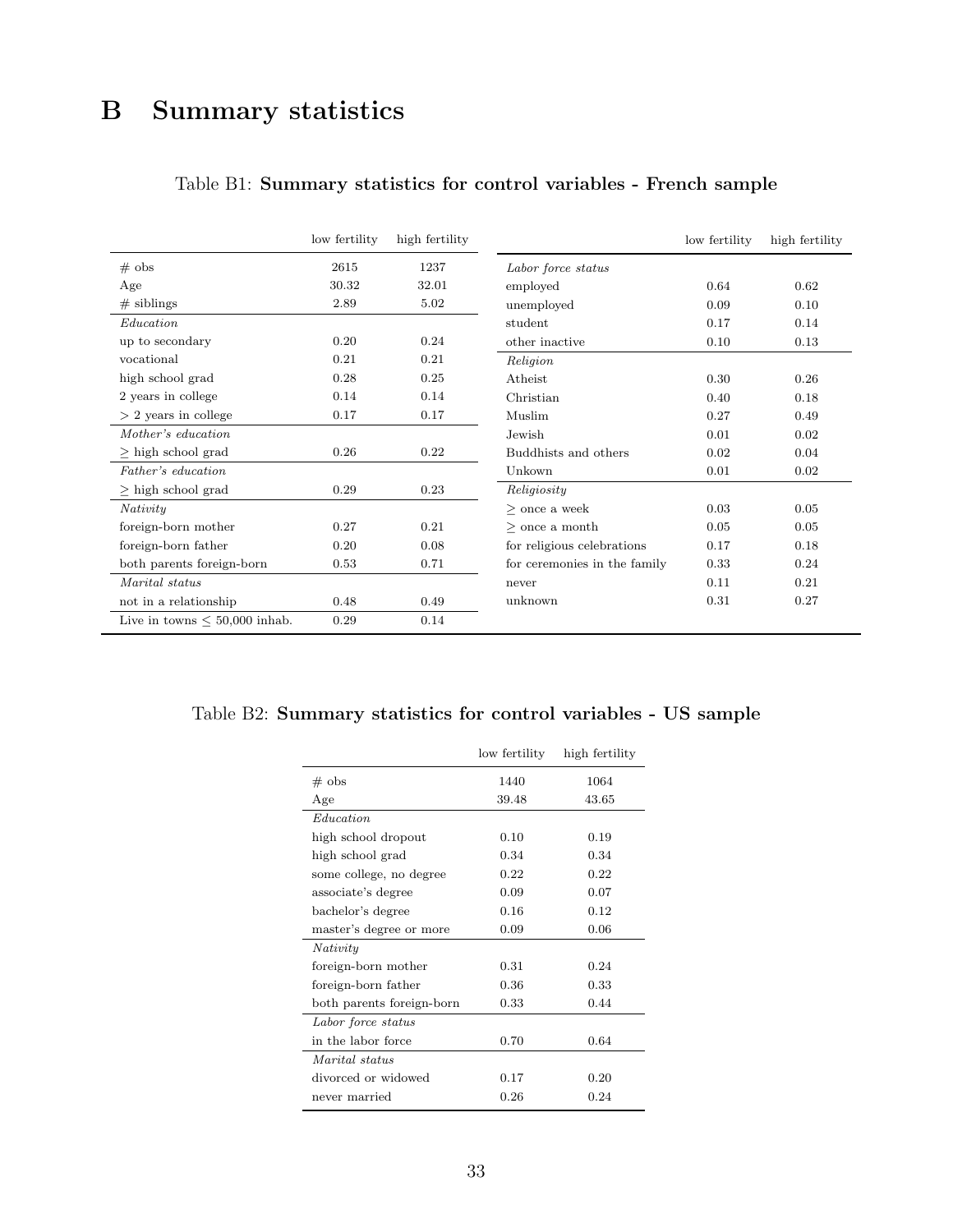## B Summary statistics

|                                    | low fertility | high fertility |                              | low fertility | high fertility |
|------------------------------------|---------------|----------------|------------------------------|---------------|----------------|
| $#$ obs                            | 2615          | 1237           | Labor force status           |               |                |
| Age                                | 30.32         | 32.01          | employed                     | 0.64          | 0.62           |
| $#$ siblings                       | 2.89          | 5.02           | unemployed                   | 0.09          | 0.10           |
| Education                          |               |                | student                      | 0.17          | 0.14           |
| up to secondary                    | 0.20          | 0.24           | other inactive               | 0.10          | 0.13           |
| vocational                         | 0.21          | 0.21           | Religion                     |               |                |
| high school grad                   | 0.28          | 0.25           | Atheist                      | 0.30          | 0.26           |
| 2 years in college                 | 0.14          | 0.14           | Christian                    | 0.40          | 0.18           |
| $> 2$ years in college             | 0.17          | 0.17           | Muslim                       | 0.27          | 0.49           |
| Mother's education.                |               |                | Jewish                       | 0.01          | 0.02           |
| $\geq$ high school grad            | 0.26          | 0.22           | Buddhists and others         | 0.02          | 0.04           |
| Father's education                 |               |                | Unkown                       | 0.01          | 0.02           |
| $>$ high school grad               | 0.29          | 0.23           | Religiosity                  |               |                |
| Nativity                           |               |                | $>$ once a week              | 0.03          | 0.05           |
| foreign-born mother                | 0.27          | 0.21           | $>$ once a month             | 0.05          | 0.05           |
| foreign-born father                | 0.20          | 0.08           | for religious celebrations   | 0.17          | 0.18           |
| both parents foreign-born          | 0.53          | 0.71           | for ceremonies in the family | 0.33          | 0.24           |
| Marital status                     |               |                | never                        | 0.11          | 0.21           |
| not in a relationship              | 0.48          | 0.49           | unknown                      | 0.31          | 0.27           |
| Live in towns $\leq 50,000$ inhab. | 0.29          | 0.14           |                              |               |                |

### Table B1: Summary statistics for control variables - French sample

### Table B2: Summary statistics for control variables - US sample

|                           | low fertility | high fertility |
|---------------------------|---------------|----------------|
| $#$ obs                   | 1440          | 1064           |
| Age                       | 39.48         | 43.65          |
| Education                 |               |                |
| high school dropout       | 0.10          | 0.19           |
| high school grad          | 0.34          | 0.34           |
| some college, no degree   | 0.22          | 0.22           |
| associate's degree        | 0.09          | 0.07           |
| bachelor's degree         | 0.16          | 0.12           |
| master's degree or more   | 0.09          | 0.06           |
| Nativity                  |               |                |
| foreign-born mother       | 0.31          | 0.24           |
| foreign-born father       | 0.36          | 0.33           |
| both parents foreign-born | 0.33          | 0.44           |
| Labor force status        |               |                |
| in the labor force        | 0.70          | 0.64           |
| Marital status            |               |                |
| divorced or widowed       | 0.17          | 0.20           |
| never married             | 0.26          | 0.24           |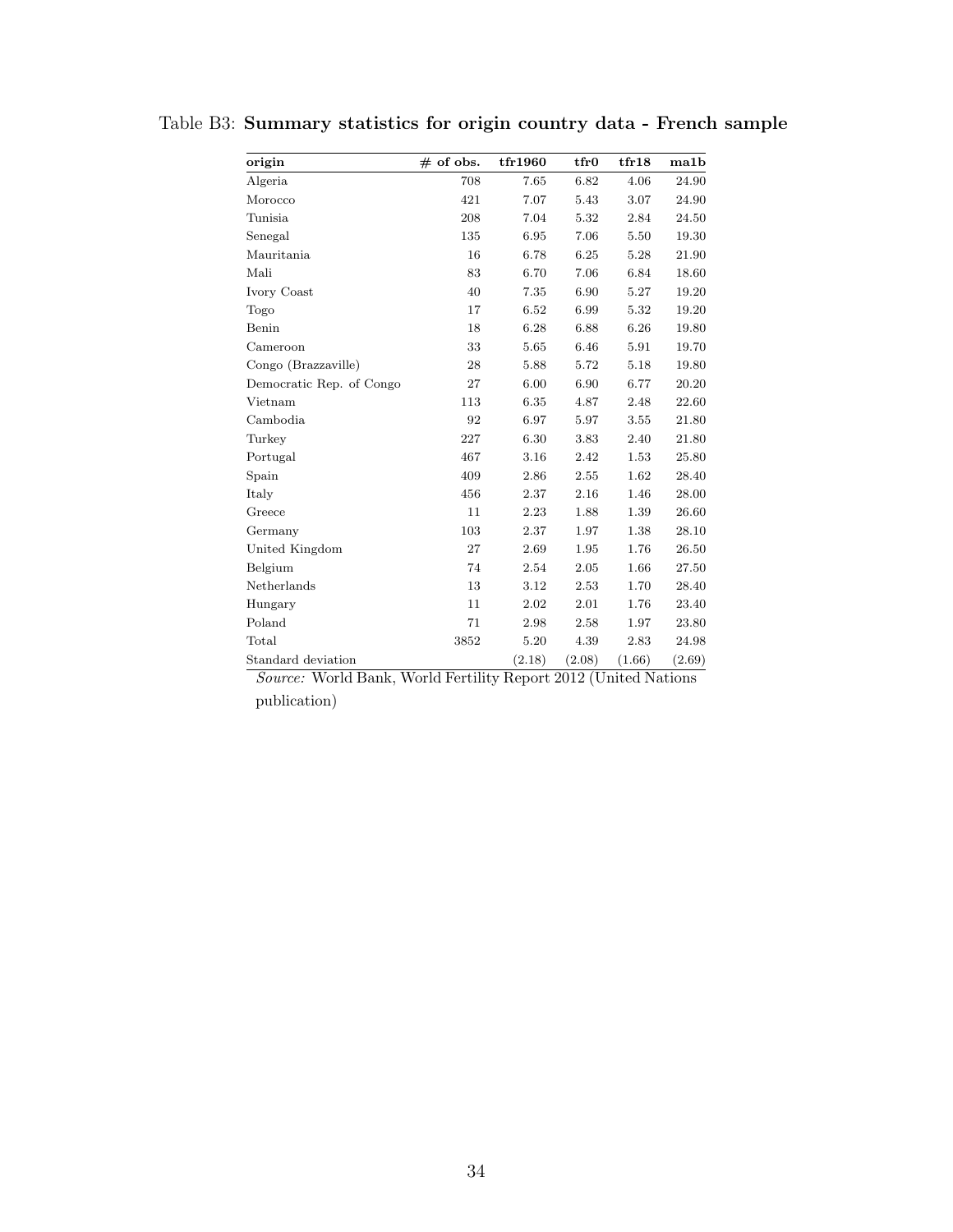| origin                   | $#$ of obs. | tfr1960 | tfr0   | tr18   | ma1b   |
|--------------------------|-------------|---------|--------|--------|--------|
| Algeria                  | 708         | 7.65    | 6.82   | 4.06   | 24.90  |
| Morocco                  | 421         | 7.07    | 5.43   | 3.07   | 24.90  |
| Tunisia                  | 208         | 7.04    | 5.32   | 2.84   | 24.50  |
| Senegal                  | 135         | 6.95    | 7.06   | 5.50   | 19.30  |
| Mauritania               | 16          | 6.78    | 6.25   | 5.28   | 21.90  |
| Mali                     | 83          | 6.70    | 7.06   | 6.84   | 18.60  |
| Ivory Coast              | 40          | 7.35    | 6.90   | 5.27   | 19.20  |
| Togo                     | 17          | 6.52    | 6.99   | 5.32   | 19.20  |
| Benin                    | 18          | 6.28    | 6.88   | 6.26   | 19.80  |
| Cameroon                 | 33          | 5.65    | 6.46   | 5.91   | 19.70  |
| Congo (Brazzaville)      | 28          | 5.88    | 5.72   | 5.18   | 19.80  |
| Democratic Rep. of Congo | 27          | 6.00    | 6.90   | 6.77   | 20.20  |
| Vietnam                  | 113         | 6.35    | 4.87   | 2.48   | 22.60  |
| Cambodia                 | 92          | 6.97    | 5.97   | 3.55   | 21.80  |
| Turkey                   | 227         | 6.30    | 3.83   | 2.40   | 21.80  |
| Portugal                 | 467         | 3.16    | 2.42   | 1.53   | 25.80  |
| Spain                    | 409         | 2.86    | 2.55   | 1.62   | 28.40  |
| Italy                    | 456         | 2.37    | 2.16   | 1.46   | 28.00  |
| Greece                   | 11          | 2.23    | 1.88   | 1.39   | 26.60  |
| Germany                  | 103         | 2.37    | 1.97   | 1.38   | 28.10  |
| United Kingdom           | 27          | 2.69    | 1.95   | 1.76   | 26.50  |
| Belgium                  | 74          | 2.54    | 2.05   | 1.66   | 27.50  |
| Netherlands              | 13          | 3.12    | 2.53   | 1.70   | 28.40  |
| Hungary                  | 11          | 2.02    | 2.01   | 1.76   | 23.40  |
| Poland                   | 71          | 2.98    | 2.58   | 1.97   | 23.80  |
| Total                    | 3852        | 5.20    | 4.39   | 2.83   | 24.98  |
| Standard deviation       |             | (2.18)  | (2.08) | (1.66) | (2.69) |

Table B3: Summary statistics for origin country data - French sample

Source: World Bank, World Fertility Report 2012 (United Nations publication)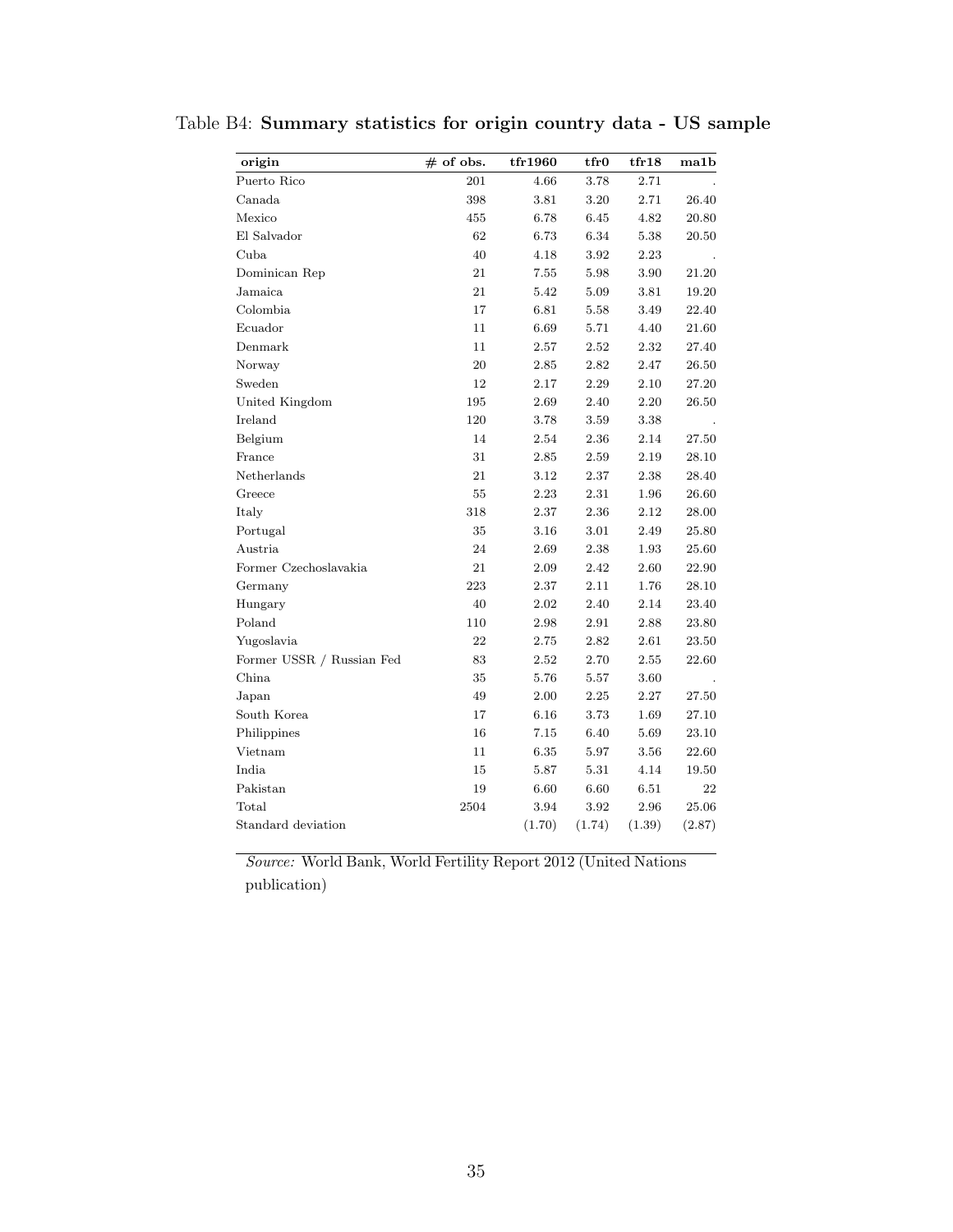| origin                    | $#$ of obs. | tfr1960 | tfr0   | tr18     | ma1b   |
|---------------------------|-------------|---------|--------|----------|--------|
| Puerto Rico               | 201         | 4.66    | 3.78   | 2.71     |        |
| Canada                    | 398         | 3.81    | 3.20   | 2.71     | 26.40  |
| Mexico                    | 455         | 6.78    | 6.45   | 4.82     | 20.80  |
| El Salvador               | 62          | 6.73    | 6.34   | 5.38     | 20.50  |
| Cuba                      | 40          | 4.18    | 3.92   | 2.23     |        |
| Dominican Rep             | 21          | 7.55    | 5.98   | 3.90     | 21.20  |
| Jamaica                   | 21          | 5.42    | 5.09   | 3.81     | 19.20  |
| Colombia                  | 17          | 6.81    | 5.58   | 3.49     | 22.40  |
| Ecuador                   | 11          | 6.69    | 5.71   | 4.40     | 21.60  |
| Denmark                   | 11          | 2.57    | 2.52   | 2.32     | 27.40  |
| Norway                    | 20          | 2.85    | 2.82   | 2.47     | 26.50  |
| Sweden                    | 12          | 2.17    | 2.29   | 2.10     | 27.20  |
| United Kingdom            | 195         | 2.69    | 2.40   | 2.20     | 26.50  |
| Ireland                   | 120         | 3.78    | 3.59   | 3.38     |        |
| Belgium                   | 14          | 2.54    | 2.36   | 2.14     | 27.50  |
| France                    | 31          | 2.85    | 2.59   | 2.19     | 28.10  |
| Netherlands               | 21          | 3.12    | 2.37   | 2.38     | 28.40  |
| Greece                    | 55          | 2.23    | 2.31   | 1.96     | 26.60  |
| Italy                     | 318         | 2.37    | 2.36   | 2.12     | 28.00  |
| Portugal                  | 35          | 3.16    | 3.01   | 2.49     | 25.80  |
| Austria                   | 24          | 2.69    | 2.38   | 1.93     | 25.60  |
| Former Czechoslavakia     | 21          | 2.09    | 2.42   | 2.60     | 22.90  |
| Germany                   | 223         | 2.37    | 2.11   | 1.76     | 28.10  |
| Hungary                   | 40          | 2.02    | 2.40   | 2.14     | 23.40  |
| Poland                    | 110         | 2.98    | 2.91   | 2.88     | 23.80  |
| Yugoslavia                | 22          | 2.75    | 2.82   | 2.61     | 23.50  |
| Former USSR / Russian Fed | 83          | 2.52    | 2.70   | 2.55     | 22.60  |
| China                     | 35          | 5.76    | 5.57   | 3.60     |        |
| Japan                     | 49          | 2.00    | 2.25   | 2.27     | 27.50  |
| South Korea               | 17          | 6.16    | 3.73   | 1.69     | 27.10  |
| Philippines               | 16          | 7.15    | 6.40   | 5.69     | 23.10  |
| Vietnam                   | 11          | 6.35    | 5.97   | 3.56     | 22.60  |
| India                     | 15          | 5.87    | 5.31   | 4.14     | 19.50  |
| Pakistan                  | 19          | 6.60    | 6.60   | $6.51\,$ | 22     |
| Total                     | 2504        | 3.94    | 3.92   | 2.96     | 25.06  |
| Standard deviation        |             | (1.70)  | (1.74) | (1.39)   | (2.87) |

Table B4: Summary statistics for origin country data - US sample

Source: World Bank, World Fertility Report 2012 (United Nations publication)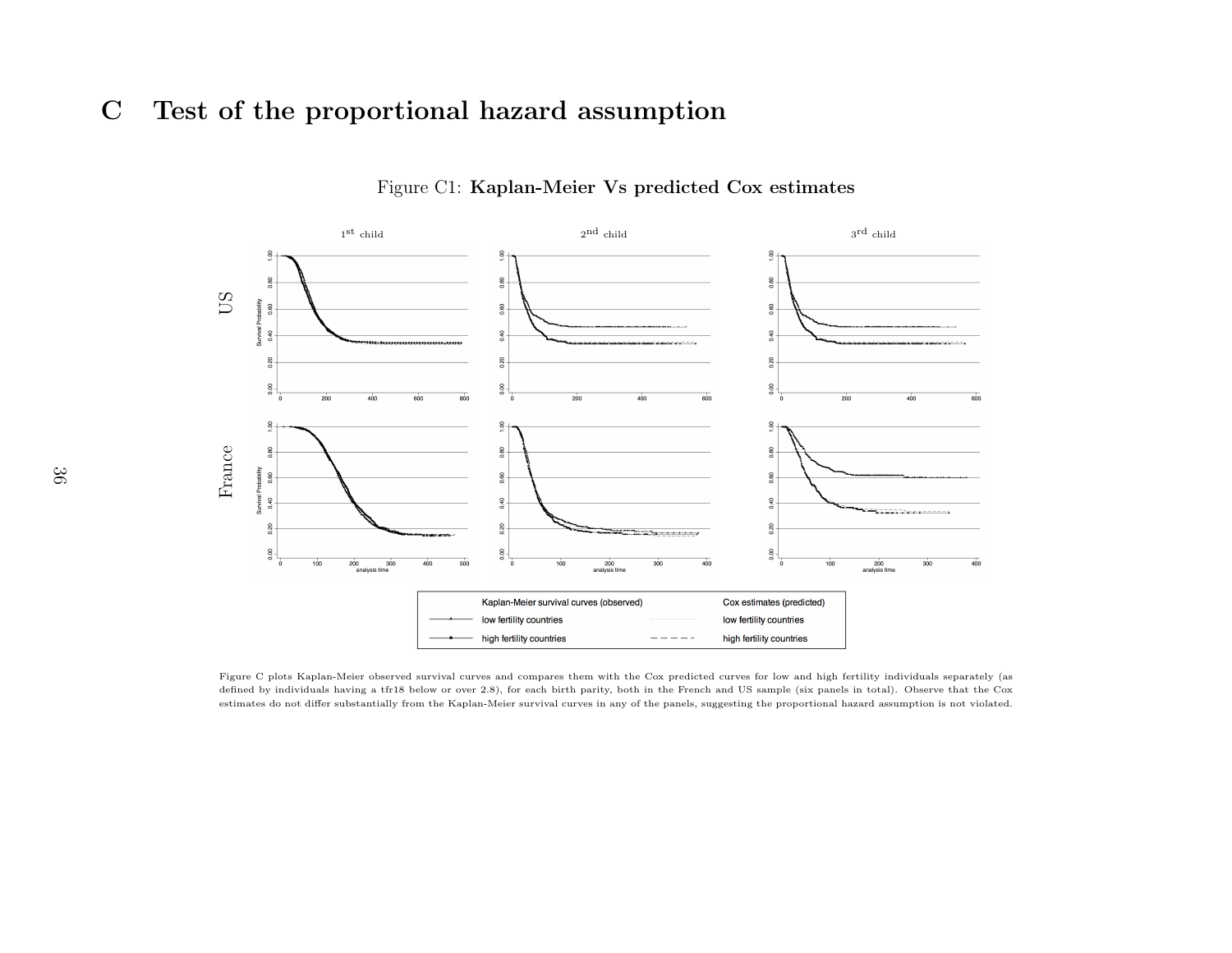## C Test of the proportional hazard assumption



#### Figure C1: Kaplan-Meier Vs predicted Cox estimates

Figure C plots Kaplan-Meier observed survival curves and compares them with the Cox predicted curves for low and high fertility individuals separately (as defined by individuals having <sup>a</sup> tfr18 below or over 2.8), for each birth parity, both in the French and US sample (six panels in total). Observe that the Coxestimates do not differ substantially from the Kaplan-Meier survival curves in any of the panels, suggesting the proportional hazard assumption is not violated.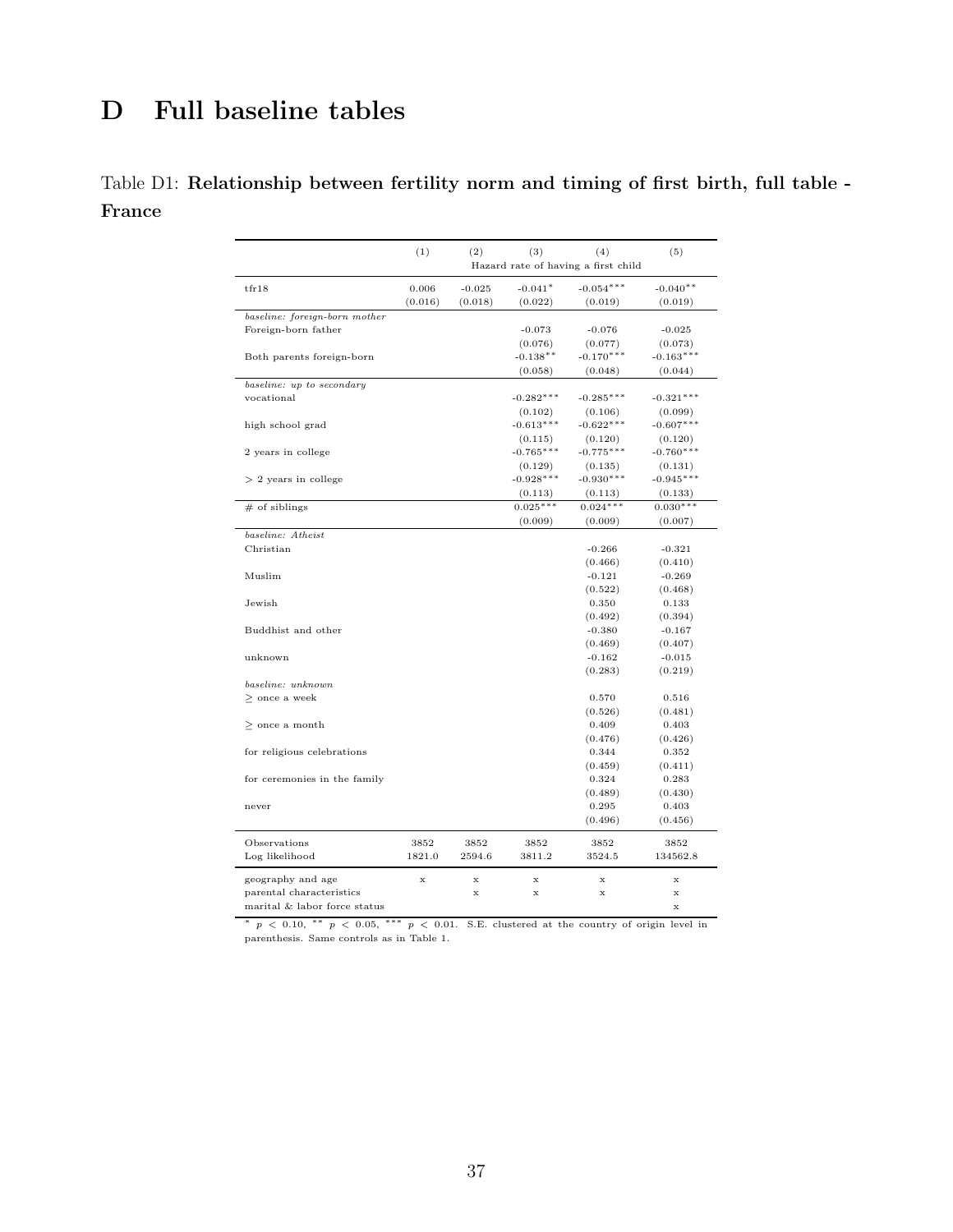## D Full baseline tables

## Table D1: Relationship between fertility norm and timing of first birth, full table - France

|                               | (1)         | (2)         | (3)         | (4)<br>Hazard rate of having a first child | (5)         |
|-------------------------------|-------------|-------------|-------------|--------------------------------------------|-------------|
| tr18                          | 0.006       | $-0.025$    | $-0.041*$   | $-0.054***$                                | $-0.040**$  |
|                               | (0.016)     | (0.018)     | (0.022)     | (0.019)                                    | (0.019)     |
| baseline: foreign-born mother |             |             |             |                                            |             |
| Foreign-born father           |             |             | $-0.073$    | $-0.076$                                   | $-0.025$    |
|                               |             |             | (0.076)     | (0.077)                                    | (0.073)     |
| Both parents foreign-born     |             |             | $-0.138**$  | $-0.170***$                                | $-0.163***$ |
|                               |             |             | (0.058)     | (0.048)                                    | (0.044)     |
| baseline: up to secondary     |             |             |             |                                            |             |
| vocational                    |             |             | $-0.282***$ | $-0.285***$                                | $-0.321***$ |
|                               |             |             | (0.102)     | (0.106)                                    | (0.099)     |
| high school grad              |             |             | $-0.613***$ | $-0.622***$                                | $-0.607***$ |
|                               |             |             | (0.115)     | (0.120)                                    | (0.120)     |
| 2 years in college            |             |             | $-0.765***$ | $-0.775***$                                | $-0.760***$ |
|                               |             |             | (0.129)     | (0.135)                                    | (0.131)     |
| $> 2$ years in college        |             |             | $-0.928***$ | $-0.930***$                                | $-0.945***$ |
|                               |             |             | (0.113)     | (0.113)                                    | (0.133)     |
| $#$ of siblings               |             |             | $0.025***$  | $0.024***$                                 | $0.030***$  |
|                               |             |             | (0.009)     | (0.009)                                    | (0.007)     |
| baseline: Atheist             |             |             |             |                                            |             |
| Christian                     |             |             |             | $-0.266$                                   | $-0.321$    |
|                               |             |             |             | (0.466)                                    | (0.410)     |
| Muslim                        |             |             |             | $-0.121$                                   | $-0.269$    |
|                               |             |             |             | (0.522)                                    | (0.468)     |
| Jewish                        |             |             |             | 0.350                                      | 0.133       |
|                               |             |             |             | (0.492)                                    | (0.394)     |
| Buddhist and other            |             |             |             | $-0.380$                                   | $-0.167$    |
|                               |             |             |             | (0.469)                                    | (0.407)     |
| unknown                       |             |             |             | $-0.162$                                   | $-0.015$    |
|                               |             |             |             | (0.283)                                    | (0.219)     |
| baseline: unknown             |             |             |             |                                            |             |
| $\geq$ once a week            |             |             |             | 0.570                                      | 0.516       |
|                               |             |             |             | (0.526)                                    | (0.481)     |
| $>$ once a month              |             |             |             | 0.409                                      | 0.403       |
|                               |             |             |             | (0.476)                                    | (0.426)     |
| for religious celebrations    |             |             |             | 0.344                                      | 0.352       |
|                               |             |             |             | (0.459)                                    | (0.411)     |
| for ceremonies in the family  |             |             |             | 0.324                                      | 0.283       |
|                               |             |             |             | (0.489)                                    | (0.430)     |
| never                         |             |             |             | 0.295                                      | 0.403       |
|                               |             |             |             | (0.496)                                    | (0.456)     |
| Observations                  | 3852        | 3852        | 3852        | 3852                                       | 3852        |
| Log likelihood                | 1821.0      | 2594.6      | 3811.2      | 3524.5                                     | 134562.8    |
|                               |             |             |             |                                            |             |
| geography and age             | $\mathbf x$ | $\mathbf x$ | x           | x                                          | x           |
| parental characteristics      |             | $\mathbf x$ | х           | х                                          | x           |
| marital & labor force status  |             |             |             |                                            | x           |

\*  $p \le 0.10$ , \*\*  $p \le 0.05$ , \*\*\*  $p \le 0.01$ . S.E. clustered at the country of origin level in parenthesis. Same controls as in Table 1.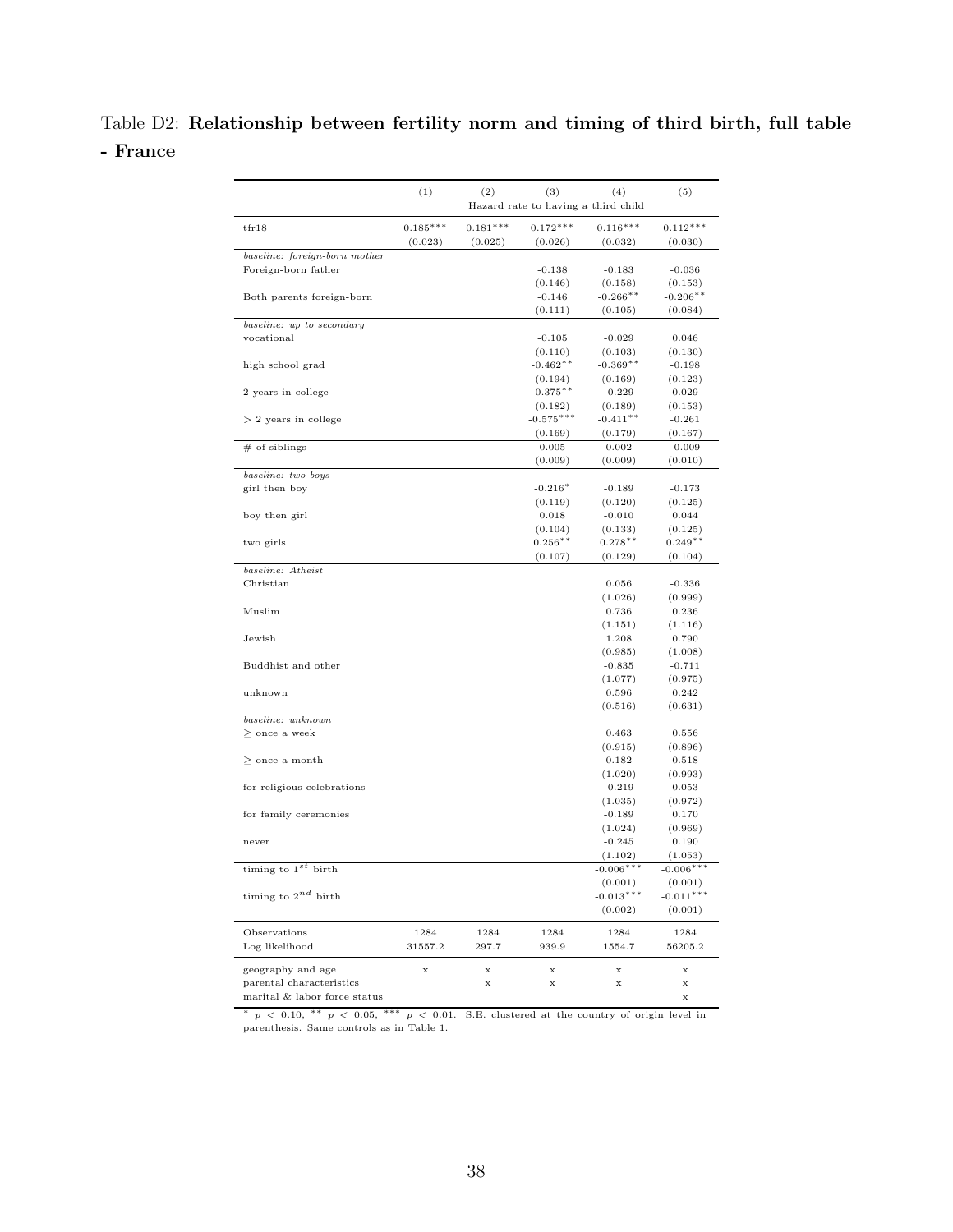## Table D2: Relationship between fertility norm and timing of third birth, full table - France

|                               | (1)         | (2)        | (3)<br>Hazard rate to having a third child | (4)         | (5)         |
|-------------------------------|-------------|------------|--------------------------------------------|-------------|-------------|
| tr18                          | $0.185***$  | $0.181***$ | $0.172***$                                 | $0.116***$  | $0.112***$  |
|                               | (0.023)     | (0.025)    | (0.026)                                    | (0.032)     | (0.030)     |
| baseline: foreign-born mother |             |            |                                            |             |             |
| Foreign-born father           |             |            | $-0.138$                                   | $-0.183$    | $-0.036$    |
|                               |             |            | (0.146)                                    | (0.158)     | (0.153)     |
| Both parents foreign-born     |             |            | $-0.146$                                   | $-0.266**$  | $-0.206**$  |
|                               |             |            | (0.111)                                    | (0.105)     | (0.084)     |
| baseline: up to secondary     |             |            |                                            |             |             |
| vocational                    |             |            | $-0.105$                                   | $-0.029$    | 0.046       |
|                               |             |            | (0.110)                                    | (0.103)     | (0.130)     |
| high school grad              |             |            | $-0.462**$                                 | $-0.369**$  | $-0.198$    |
|                               |             |            | (0.194)                                    | (0.169)     | (0.123)     |
| 2 years in college            |             |            | $-0.375**$                                 | $-0.229$    | 0.029       |
|                               |             |            | (0.182)                                    | (0.189)     | (0.153)     |
| $> 2$ years in college        |             |            | $-0.575***$                                | $-0.411**$  | $-0.261$    |
|                               |             |            | (0.169)                                    | (0.179)     | (0.167)     |
| $#$ of siblings               |             |            | 0.005                                      | 0.002       | $-0.009$    |
|                               |             |            | (0.009)                                    | (0.009)     | (0.010)     |
| baseline: two boys            |             |            |                                            |             |             |
| girl then boy                 |             |            | $-0.216*$                                  | $-0.189$    | $-0.173$    |
|                               |             |            | (0.119)                                    | (0.120)     | (0.125)     |
| boy then girl                 |             |            | 0.018                                      | $-0.010$    | 0.044       |
|                               |             |            | (0.104)                                    | (0.133)     | (0.125)     |
| two girls                     |             |            | $0.256**$                                  | $0.278**$   | $0.249**$   |
|                               |             |            | (0.107)                                    | (0.129)     | (0.104)     |
| baseline: Atheist             |             |            |                                            |             |             |
| Christian                     |             |            |                                            | 0.056       | $-0.336$    |
|                               |             |            |                                            | (1.026)     | (0.999)     |
| Muslim                        |             |            |                                            | 0.736       | 0.236       |
|                               |             |            |                                            | (1.151)     | (1.116)     |
| Jewish                        |             |            |                                            | 1.208       | 0.790       |
|                               |             |            |                                            | (0.985)     | (1.008)     |
| Buddhist and other            |             |            |                                            | $-0.835$    | $-0.711$    |
|                               |             |            |                                            | (1.077)     | (0.975)     |
| unknown                       |             |            |                                            | 0.596       | 0.242       |
|                               |             |            |                                            | (0.516)     | (0.631)     |
| baseline: unknown             |             |            |                                            |             |             |
| $\geq$ once a week            |             |            |                                            | 0.463       | 0.556       |
|                               |             |            |                                            | (0.915)     | (0.896)     |
| $\geq$ once a month           |             |            |                                            | 0.182       | 0.518       |
|                               |             |            |                                            | (1.020)     | (0.993)     |
| for religious celebrations    |             |            |                                            | $-0.219$    | 0.053       |
|                               |             |            |                                            | (1.035)     | (0.972)     |
| for family ceremonies         |             |            |                                            | $-0.189$    | 0.170       |
|                               |             |            |                                            | (1.024)     | (0.969)     |
| never                         |             |            |                                            | $-0.245$    | 0.190       |
|                               |             |            |                                            | (1.102)     | (1.053)     |
| timing to $1s$<br>birth       |             |            |                                            | $-0.006**$  | $-0.006**$  |
|                               |             |            |                                            | (0.001)     | (0.001)     |
| timing to $2^{nd}$ birth      |             |            |                                            | $-0.013***$ | $-0.011***$ |
|                               |             |            |                                            | (0.002)     | (0.001)     |
|                               |             |            |                                            |             |             |
| Observations                  | 1284        | 1284       | 1284                                       | 1284        | 1284        |
| Log likelihood                | 31557.2     | 297.7      | 939.9                                      | 1554.7      | 56205.2     |
|                               |             |            |                                            |             |             |
| geography and age             | $\mathbf x$ | x          | $\mathbf x$                                | x           | x           |
| parental characteristics      |             | x          | $\mathbf x$                                | x           | x           |
| marital & labor force status  |             |            |                                            |             | x           |

 $* p < 0.10$ ,  $* p < 0.05$ ,  $* * p < 0.01$ . S.E. clustered at the country of origin level in parenthesis. Same controls as in Table 1.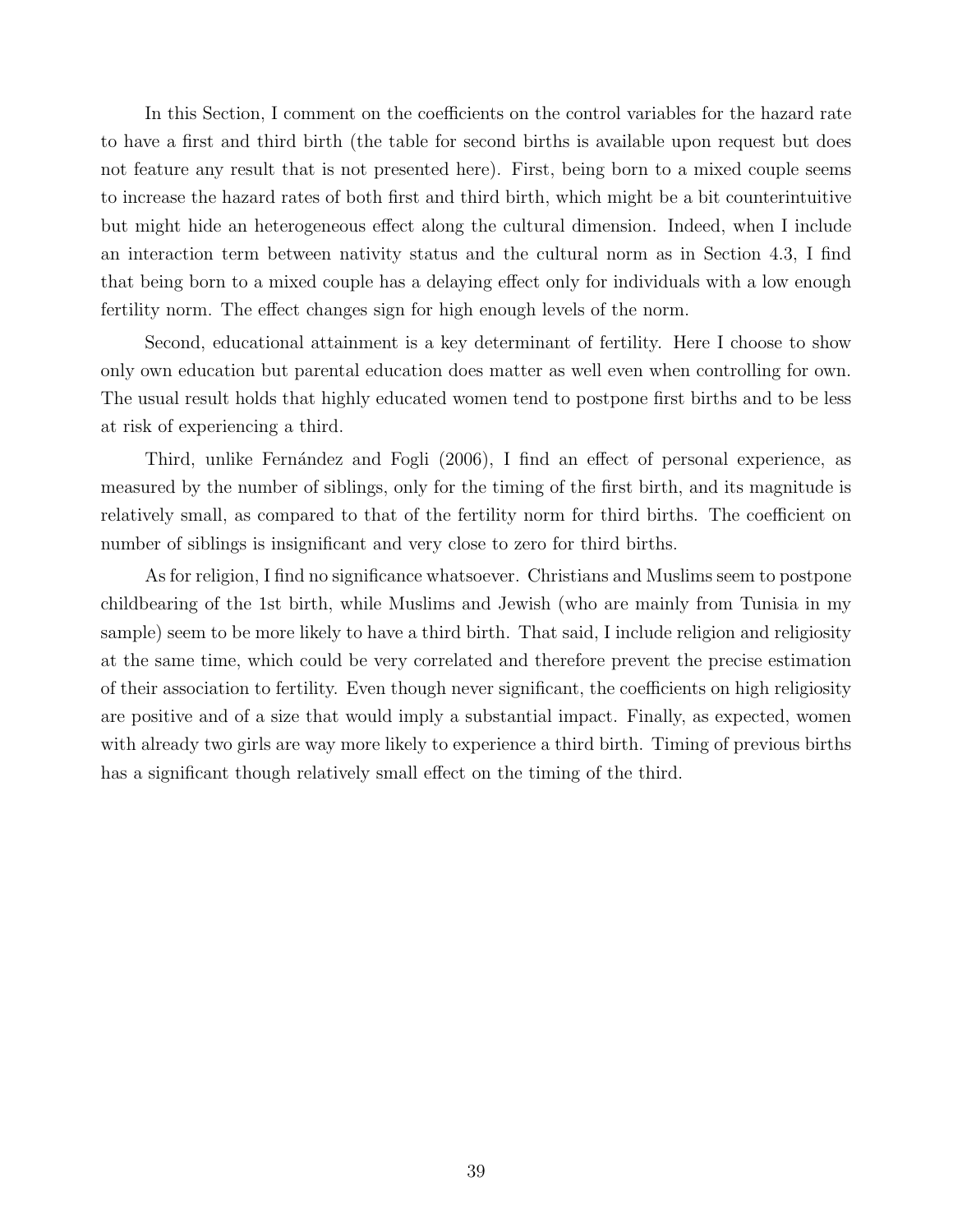In this Section, I comment on the coefficients on the control variables for the hazard rate to have a first and third birth (the table for second births is available upon request but does not feature any result that is not presented here). First, being born to a mixed couple seems to increase the hazard rates of both first and third birth, which might be a bit counterintuitive but might hide an heterogeneous effect along the cultural dimension. Indeed, when I include an interaction term between nativity status and the cultural norm as in Section 4.3, I find that being born to a mixed couple has a delaying effect only for individuals with a low enough fertility norm. The effect changes sign for high enough levels of the norm.

Second, educational attainment is a key determinant of fertility. Here I choose to show only own education but parental education does matter as well even when controlling for own. The usual result holds that highly educated women tend to postpone first births and to be less at risk of experiencing a third.

Third, unlike Fernández and Fogli (2006), I find an effect of personal experience, as measured by the number of siblings, only for the timing of the first birth, and its magnitude is relatively small, as compared to that of the fertility norm for third births. The coefficient on number of siblings is insignificant and very close to zero for third births.

As for religion, I find no significance whatsoever. Christians and Muslims seem to postpone childbearing of the 1st birth, while Muslims and Jewish (who are mainly from Tunisia in my sample) seem to be more likely to have a third birth. That said, I include religion and religiosity at the same time, which could be very correlated and therefore prevent the precise estimation of their association to fertility. Even though never significant, the coefficients on high religiosity are positive and of a size that would imply a substantial impact. Finally, as expected, women with already two girls are way more likely to experience a third birth. Timing of previous births has a significant though relatively small effect on the timing of the third.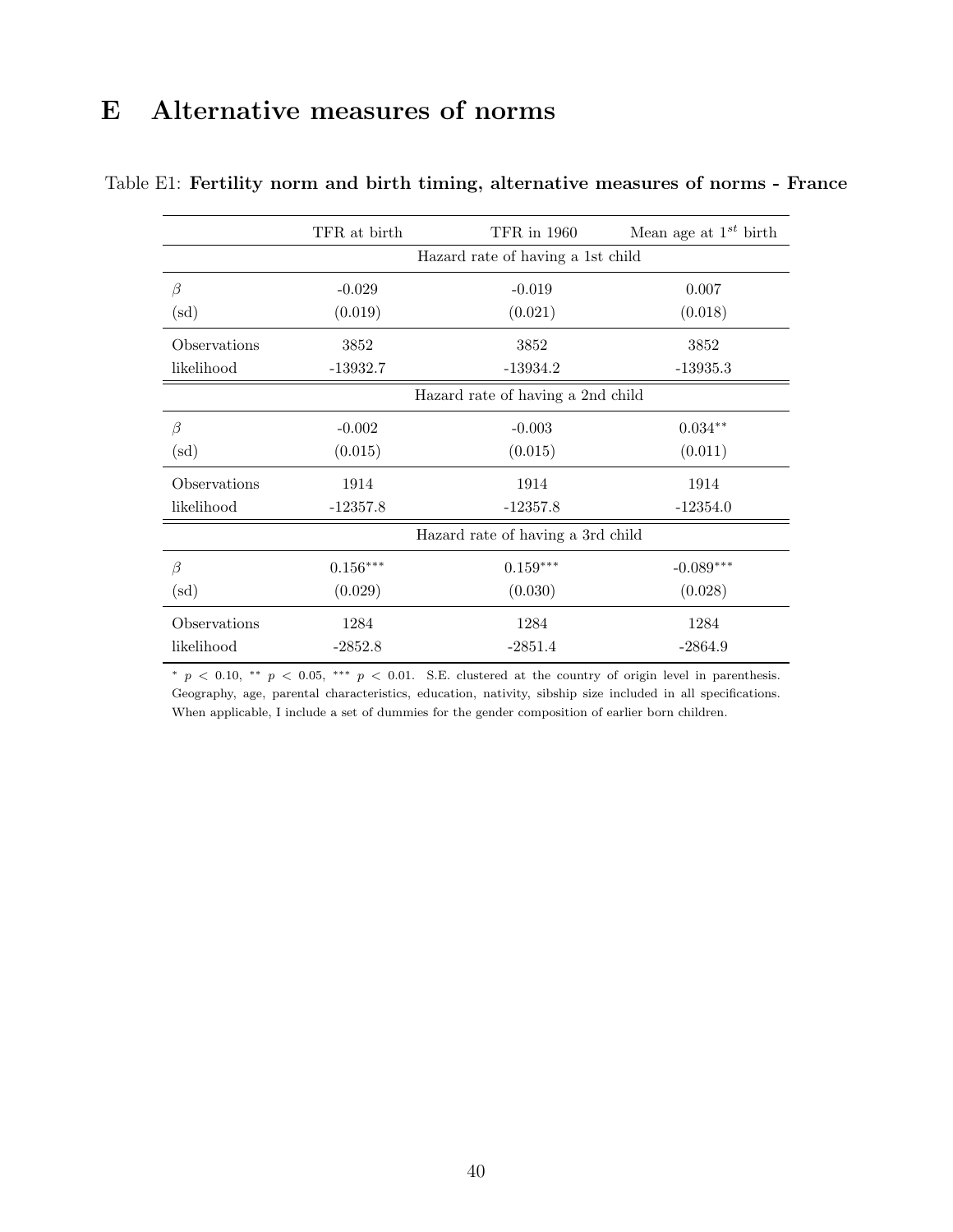## E Alternative measures of norms

|                 | TFR at birth                      | TFR in 1960                       | Mean age at $1^{st}$ birth |  |  |  |  |  |
|-----------------|-----------------------------------|-----------------------------------|----------------------------|--|--|--|--|--|
|                 | Hazard rate of having a 1st child |                                   |                            |  |  |  |  |  |
| β               | $-0.029$                          | $-0.019$                          | 0.007                      |  |  |  |  |  |
| $(\mathrm{sd})$ | (0.019)                           | (0.021)                           | (0.018)                    |  |  |  |  |  |
| Observations    | 3852                              | 3852                              | 3852                       |  |  |  |  |  |
| likelihood      | $-13932.7$                        | $-13934.2$                        | $-13935.3$                 |  |  |  |  |  |
|                 | Hazard rate of having a 2nd child |                                   |                            |  |  |  |  |  |
| $\beta$         | $-0.002$                          | $-0.003$                          | $0.034**$                  |  |  |  |  |  |
| $\rm (sd)$      | (0.015)                           | (0.015)                           | (0.011)                    |  |  |  |  |  |
| Observations    | 1914                              | 1914                              | 1914                       |  |  |  |  |  |
| likelihood      | $-12357.8$                        | $-12357.8$                        | $-12354.0$                 |  |  |  |  |  |
|                 |                                   | Hazard rate of having a 3rd child |                            |  |  |  |  |  |
| $\beta$         | $0.156***$                        | $0.159***$                        | $-0.089***$                |  |  |  |  |  |
| $\rm (sd)$      | (0.029)                           | (0.030)                           | (0.028)                    |  |  |  |  |  |
| Observations    | 1284                              | 1284                              | 1284                       |  |  |  |  |  |
| likelihood      | $-2852.8$                         | $-2851.4$                         | $-2864.9$                  |  |  |  |  |  |

#### Table E1: Fertility norm and birth timing, alternative measures of norms - France

 $*$  p < 0.10, \*\* p < 0.05, \*\*\* p < 0.01. S.E. clustered at the country of origin level in parenthesis. Geography, age, parental characteristics, education, nativity, sibship size included in all specifications. When applicable, I include a set of dummies for the gender composition of earlier born children.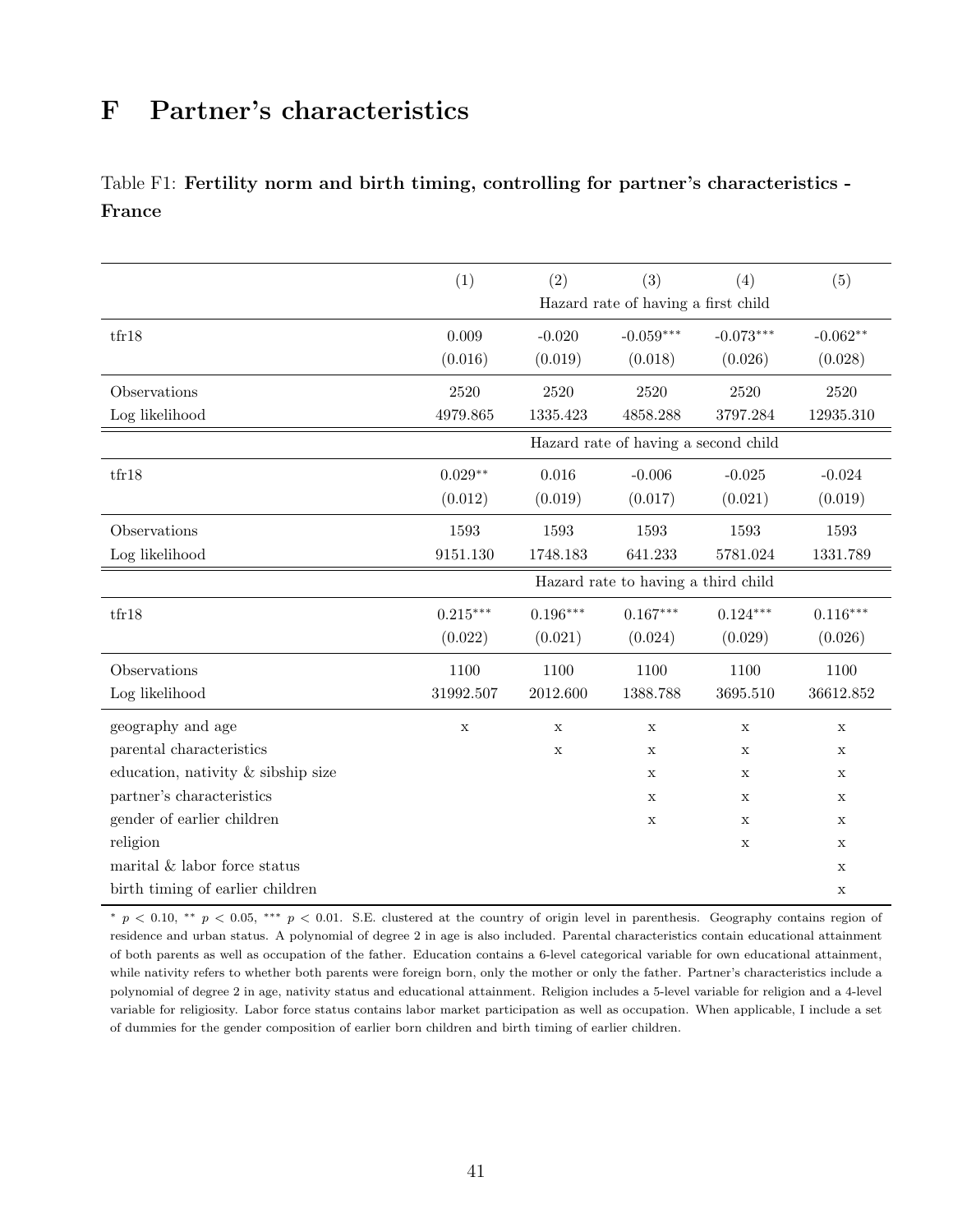## F Partner's characteristics

### Table F1: Fertility norm and birth timing, controlling for partner's characteristics - France

|                                    | (1)                                 | (2)         | (3)                                  | (4)         | (5)         |  |  |  |
|------------------------------------|-------------------------------------|-------------|--------------------------------------|-------------|-------------|--|--|--|
|                                    | Hazard rate of having a first child |             |                                      |             |             |  |  |  |
| tfr18                              | 0.009                               | $-0.020$    | $-0.059***$                          | $-0.073***$ | $-0.062**$  |  |  |  |
|                                    | (0.016)                             | (0.019)     | (0.018)                              | (0.026)     | (0.028)     |  |  |  |
| Observations                       | 2520                                | 2520        | $2520\,$                             | 2520        | $2520\,$    |  |  |  |
| Log likelihood                     | 4979.865                            | 1335.423    | 4858.288                             | 3797.284    | 12935.310   |  |  |  |
|                                    |                                     |             | Hazard rate of having a second child |             |             |  |  |  |
| tfr18                              | $0.029**$                           | 0.016       | $-0.006$                             | $-0.025$    | $-0.024$    |  |  |  |
|                                    | (0.012)                             | (0.019)     | (0.017)                              | (0.021)     | (0.019)     |  |  |  |
| Observations                       | 1593                                | 1593        | 1593                                 | 1593        | 1593        |  |  |  |
| Log likelihood                     | 9151.130                            | 1748.183    | 641.233                              | 5781.024    | 1331.789    |  |  |  |
|                                    |                                     |             | Hazard rate to having a third child  |             |             |  |  |  |
| tfr18                              | $0.215***$                          | $0.196***$  | $0.167***$                           | $0.124***$  | $0.116***$  |  |  |  |
|                                    | (0.022)                             | (0.021)     | (0.024)                              | (0.029)     | (0.026)     |  |  |  |
| Observations                       | 1100                                | 1100        | 1100                                 | 1100        | 1100        |  |  |  |
| Log likelihood                     | 31992.507                           | 2012.600    | 1388.788                             | 3695.510    | 36612.852   |  |  |  |
| geography and age                  | $\mathbf x$                         | $\mathbf x$ | $\mathbf x$                          | $\mathbf x$ | $\mathbf x$ |  |  |  |
| parental characteristics           |                                     | $\mathbf X$ | $\mathbf X$                          | X           | X           |  |  |  |
| education, nativity & sibship size |                                     |             | $\mathbf X$                          | X           | X           |  |  |  |
| partner's characteristics          |                                     |             | X                                    | X           | X           |  |  |  |
| gender of earlier children         |                                     |             | $\mathbf X$                          | X           | X           |  |  |  |
| religion                           |                                     |             |                                      | $\mathbf X$ | $\mathbf X$ |  |  |  |
| marital $\&$ labor force status    |                                     |             |                                      |             | $\mathbf X$ |  |  |  |
| birth timing of earlier children   |                                     |             |                                      |             | $\mathbf X$ |  |  |  |

 $* p < 0.10$ , \*\*  $p < 0.05$ , \*\*\*  $p < 0.01$ . S.E. clustered at the country of origin level in parenthesis. Geography contains region of residence and urban status. A polynomial of degree 2 in age is also included. Parental characteristics contain educational attainment of both parents as well as occupation of the father. Education contains a 6-level categorical variable for own educational attainment, while nativity refers to whether both parents were foreign born, only the mother or only the father. Partner's characteristics include a polynomial of degree 2 in age, nativity status and educational attainment. Religion includes a 5-level variable for religion and a 4-level variable for religiosity. Labor force status contains labor market participation as well as occupation. When applicable, I include a set of dummies for the gender composition of earlier born children and birth timing of earlier children.